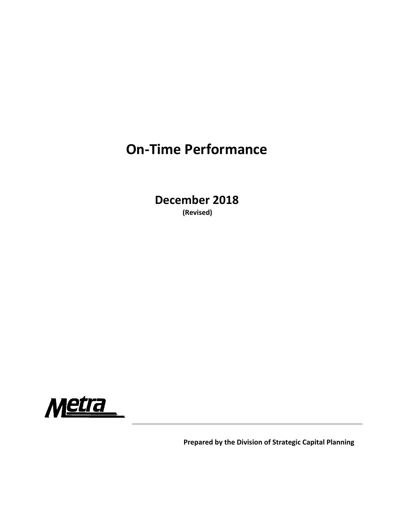# **On‐Time Performance**

**December 2018 (Revised)**



**Prepared by the Division of Strategic Capital Planning**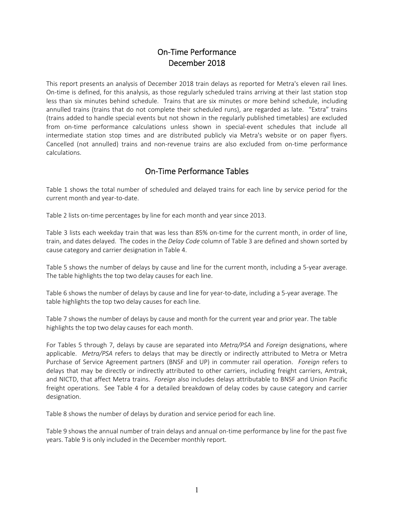## On‐Time Performance December 2018

This report presents an analysis of December 2018 train delays as reported for Metra's eleven rail lines. On‐time is defined, for this analysis, as those regularly scheduled trains arriving at their last station stop less than six minutes behind schedule. Trains that are six minutes or more behind schedule, including annulled trains (trains that do not complete their scheduled runs), are regarded as late. "Extra" trains (trains added to handle special events but not shown in the regularly published timetables) are excluded from on-time performance calculations unless shown in special-event schedules that include all intermediate station stop times and are distributed publicly via Metra's website or on paper flyers. Cancelled (not annulled) trains and non‐revenue trains are also excluded from on‐time performance calculations.

## On‐Time Performance Tables

Table 1 shows the total number of scheduled and delayed trains for each line by service period for the current month and year‐to‐date.

Table 2 lists on-time percentages by line for each month and year since 2013.

Table 3 lists each weekday train that was less than 85% on-time for the current month, in order of line, train, and dates delayed. The codes in the *Delay Code* column of Table 3 are defined and shown sorted by cause category and carrier designation in Table 4.

Table 5 shows the number of delays by cause and line for the current month, including a 5‐year average. The table highlights the top two delay causes for each line.

Table 6 shows the number of delays by cause and line for year-to-date, including a 5-year average. The table highlights the top two delay causes for each line.

Table 7 shows the number of delays by cause and month for the current year and prior year. The table highlights the top two delay causes for each month.

For Tables 5 through 7, delays by cause are separated into *Metra/PSA* and *Foreign* designations, where applicable. *Metra/PSA* refers to delays that may be directly or indirectly attributed to Metra or Metra Purchase of Service Agreement partners (BNSF and UP) in commuter rail operation. *Foreign* refers to delays that may be directly or indirectly attributed to other carriers, including freight carriers, Amtrak, and NICTD, that affect Metra trains. *Foreign* also includes delays attributable to BNSF and Union Pacific freight operations. See Table 4 for a detailed breakdown of delay codes by cause category and carrier designation.

Table 8 shows the number of delays by duration and service period for each line.

Table 9 shows the annual number of train delays and annual on-time performance by line for the past five years. Table 9 is only included in the December monthly report.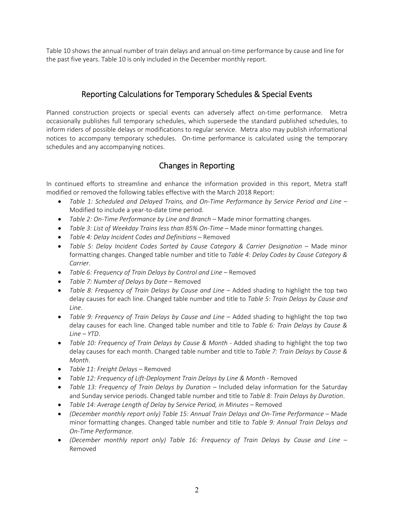Table 10 shows the annual number of train delays and annual on‐time performance by cause and line for the past five years. Table 10 is only included in the December monthly report.

## Reporting Calculations for Temporary Schedules & Special Events

Planned construction projects or special events can adversely affect on-time performance. Metra occasionally publishes full temporary schedules, which supersede the standard published schedules, to inform riders of possible delays or modifications to regular service. Metra also may publish informational notices to accompany temporary schedules. On-time performance is calculated using the temporary schedules and any accompanying notices.

## Changes in Reporting

In continued efforts to streamline and enhance the information provided in this report, Metra staff modified or removed the following tables effective with the March 2018 Report:

- *Table 1: Scheduled and Delayed Trains, and On‐Time Performance by Service Period and Line* Modified to include a year‐to‐date time period.
- *Table 2: On‐Time Performance by Line and Branch* Made minor formatting changes.
- *Table 3: List of Weekday Trains less than 85% On‐Time* Made minor formatting changes.
- *Table 4: Delay Incident Codes and Definitions* Removed
- **•** Table 5: Delay Incident Codes Sorted by Cause Category & Carrier Designation Made minor formatting changes. Changed table number and title to *Table 4: Delay Codes by Cause Category & Carrier*.
- *Table 6: Frequency of Train Delays by Control and Line* Removed
- *Table 7: Number of Delays by Date* Removed
- Table 8: Frequency of Train Delays by Cause and Line Added shading to highlight the top two delay causes for each line. Changed table number and title to *Table 5: Train Delays by Cause and Line*.
- *Table 9: Frequency of Train Delays by Cause and Line* Added shading to highlight the top two delay causes for each line. Changed table number and title to *Table 6: Train Delays by Cause & Line – YTD*.
- **•** Table 10: Frequency of Train Delays by Cause & Month Added shading to highlight the top two delay causes for each month. Changed table number and title to *Table 7: Train Delays by Cause & Month*.
- *Table 11*: *Freight Delays* Removed
- *Table 12: Frequency of Lift‐Deployment Train Delays by Line & Month* ‐ Removed
- *Table 13: Frequency of Train Delays by Duration* Included delay information for the Saturday and Sunday service periods. Changed table number and title to *Table 8: Train Delays by Duration*.
- *Table 14: Average Length of Delay by Service Period, in Minutes* Removed
- *(December monthly report only) Table 15: Annual Train Delays and On‐Time Performance* Made minor formatting changes. Changed table number and title to *Table 9: Annual Train Delays and On‐Time Performance*.
- *(December monthly report only) Table 16: Frequency of Train Delays by Cause and Line* Removed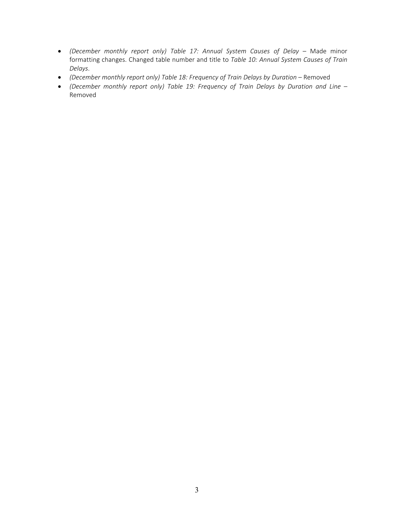- *(December monthly report only) Table 17: Annual System Causes of Delay* Made minor formatting changes. Changed table number and title to *Table 10: Annual System Causes of Train Delays*.
- *(December monthly report only) Table 18: Frequency of Train Delays by Duration* Removed
- *(December monthly report only) Table 19: Frequency of Train Delays by Duration and Line* Removed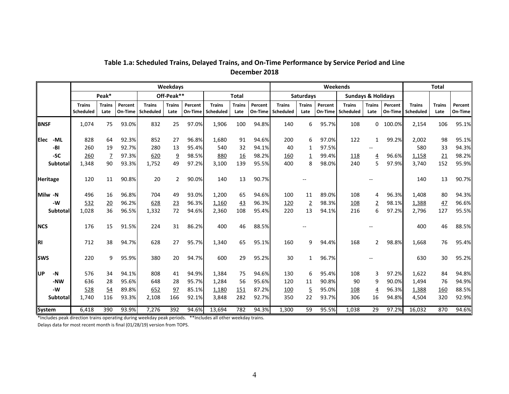|              |                 |                            |                       |                    |                            | Weekdays              |                    |                            |                       |                    |                            |                       |                    | Weekends                      |                       |                    |                            | <b>Total</b>          |                           |
|--------------|-----------------|----------------------------|-----------------------|--------------------|----------------------------|-----------------------|--------------------|----------------------------|-----------------------|--------------------|----------------------------|-----------------------|--------------------|-------------------------------|-----------------------|--------------------|----------------------------|-----------------------|---------------------------|
|              |                 |                            | Peak*                 |                    |                            | Off-Peak**            |                    |                            | <b>Total</b>          |                    |                            | <b>Saturdays</b>      |                    | <b>Sundays &amp; Holidays</b> |                       |                    |                            |                       |                           |
|              |                 | <b>Trains</b><br>Scheduled | <b>Trains</b><br>Late | Percent<br>On-Time | <b>Trains</b><br>Scheduled | <b>Trains</b><br>Late | Percent<br>On-Time | <b>Trains</b><br>Scheduled | <b>Trains</b><br>Late | Percent<br>On-Time | <b>Trains</b><br>Scheduled | <b>Trains</b><br>Late | Percent<br>On-Time | <b>Trains</b><br>Scheduled    | <b>Trains</b><br>Late | Percent<br>On-Time | <b>Trains</b><br>Scheduled | <b>Trains</b><br>Late | <b>Percent</b><br>On-Time |
| <b>BNSF</b>  |                 | 1,074                      | 75                    | 93.0%              | 832                        | 25                    | 97.0%              | 1,906                      | 100                   | 94.8%              | 140                        | 6                     | 95.7%              | 108                           | $\Omega$              | 100.0%             | 2,154                      | 106                   | 95.1%                     |
| <b>IElec</b> | -ML             | 828                        | 64                    | 92.3%              | 852                        | 27                    | 96.8%              | 1,680                      | 91                    | 94.6%              | 200                        | 6                     | 97.0%              | 122                           | $\mathbf{1}$          | 99.2%              | 2,002                      | 98                    | 95.1%                     |
|              | -BI             | 260                        | 19                    | 92.7%              | 280                        | 13                    | 95.4%              | 540                        | 32                    | 94.1%              | 40                         | 1                     | 97.5%              |                               |                       |                    | 580                        | 33                    | 94.3%                     |
|              | -SC             | 260                        | $\overline{1}$        | 97.3%              | 620                        | $\overline{9}$        | 98.5%              | 880                        | <b>16</b>             | 98.2%              | 160                        | $\overline{1}$        | 99.4%              | 118                           | $\overline{4}$        | 96.6%              | 1,158                      | 21                    | 98.2%                     |
|              | <b>Subtotal</b> | 1,348                      | 90                    | 93.3%              | 1,752                      | 49                    | 97.2%              | 3,100                      | 139                   | 95.5%              | 400                        | 8                     | 98.0%              | 240                           | 5                     | 97.9%              | 3,740                      | 152                   | 95.9%                     |
| Heritage     |                 | 120                        | 11                    | 90.8%              | 20                         | $\overline{2}$        | 90.0%              | 140                        | 13                    | 90.7%              |                            |                       |                    |                               |                       |                    | 140                        | 13                    | 90.7%                     |
| Milw -N      |                 | 496                        | 16                    | 96.8%              | 704                        | 49                    | 93.0%              | 1,200                      | 65                    | 94.6%              | 100                        | 11                    | 89.0%              | 108                           | 4                     | 96.3%              | 1,408                      | 80                    | 94.3%                     |
|              | -W              | 532                        | 20                    | 96.2%              | 628                        | 23                    | 96.3%              | 1,160                      | 43                    | 96.3%              | 120                        | $\overline{2}$        | 98.3%              | 108                           | $\overline{2}$        | 98.1%              | 1,388                      | 47                    | 96.6%                     |
|              | <b>Subtotal</b> | 1,028                      | 36                    | 96.5%              | 1,332                      | 72                    | 94.6%              | 2,360                      | 108                   | 95.4%              | 220                        | 13                    | 94.1%              | 216                           | 6                     | 97.2%              | 2,796                      | 127                   | 95.5%                     |
| <b>INCS</b>  |                 | 176                        | 15                    | 91.5%              | 224                        | 31                    | 86.2%              | 400                        | 46                    | 88.5%              |                            |                       |                    |                               |                       |                    | 400                        | 46                    | 88.5%                     |
| <b>RI</b>    |                 | 712                        | 38                    | 94.7%              | 628                        | 27                    | 95.7%              | 1,340                      | 65                    | 95.1%              | 160                        | 9                     | 94.4%              | 168                           | $\overline{2}$        | 98.8%              | 1.668                      | 76                    | 95.4%                     |
| <b>Isws</b>  |                 | 220                        | 9                     | 95.9%              | 380                        | 20                    | 94.7%              | 600                        | 29                    | 95.2%              | 30                         | $\mathbf{1}$          | 96.7%              |                               |                       |                    | 630                        | 30                    | 95.2%                     |
| llup         | $-N$            | 576                        | 34                    | 94.1%              | 808                        | 41                    | 94.9%              | 1,384                      | 75                    | 94.6%              | 130                        | 6                     | 95.4%              | 108                           | 3                     | 97.2%              | 1,622                      | 84                    | 94.8%                     |
|              | -NW             | 636                        | 28                    | 95.6%              | 648                        | 28                    | 95.7%              | 1,284                      | 56                    | 95.6%              | 120                        | 11                    | 90.8%              | 90                            | 9                     | 90.0%              | 1,494                      | 76                    | 94.9%                     |
|              | -W              | 528                        | 54                    | 89.8%              | 652                        | 97                    | 85.1%              | 1,180                      | 151                   | 87.2%              | <u>100</u>                 | $\overline{5}$        | 95.0%              | 108                           | $\overline{4}$        | 96.3%              | 1,388                      | 160                   | 88.5%                     |
|              | <b>Subtotal</b> | 1,740                      | 116                   | 93.3%              | 2,108                      | 166                   | 92.1%              | 3,848                      | 282                   | 92.7%              | 350                        | 22                    | 93.7%              | 306                           | 16                    | 94.8%              | 4,504                      | 320                   | 92.9%                     |
| System       |                 | 6.418                      | 390                   | 93.9%              | 7,276                      | 392                   | 94.6%              | 13,694                     | 782                   | 94.3%              | 1,300                      | 59                    | 95.5%              | 1,038                         | 29                    | 97.2%              | 16.032                     | 870                   | 94.6%                     |

## **Table 1.a: Scheduled Trains, Delayed Trains, and On‐Time Performance by Service Period and Line December 2018**

\*Includes peak direction trains operating during weekday peak periods. \*\*Includes all other weekday trains.

Delays data for most recent month is final (01/28/19) version from TOPS.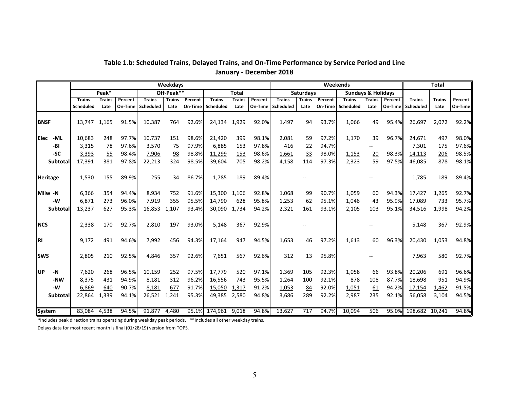|              |                 |               |               |         |               | Weekdays      |         |                     |               |         |               |                  |         | Weekends      |                               |         |                   | <b>Total</b>  |                |
|--------------|-----------------|---------------|---------------|---------|---------------|---------------|---------|---------------------|---------------|---------|---------------|------------------|---------|---------------|-------------------------------|---------|-------------------|---------------|----------------|
|              |                 |               | Peak*         |         |               | Off-Peak**    |         |                     | <b>Total</b>  |         |               | <b>Saturdays</b> |         |               | <b>Sundays &amp; Holidays</b> |         |                   |               |                |
|              |                 | <b>Trains</b> | <b>Trains</b> | Percent | <b>Trains</b> | <b>Trains</b> | Percent | <b>Trains</b>       | <b>Trains</b> | Percent | <b>Trains</b> | <b>Trains</b>    | Percent | <b>Trains</b> | <b>Trains</b>                 | Percent | <b>Trains</b>     | <b>Trains</b> | <b>Percent</b> |
|              |                 | Scheduled     | Late          | On-Time | Scheduled     | Late          | On-Time | Scheduled           | Late          | On-Time | Scheduled     | Late             | On-Time | Scheduled     | Late                          |         | On-Time Scheduled | Late          | On-Time        |
|              |                 |               |               |         |               |               |         |                     |               |         |               |                  |         |               |                               |         |                   |               |                |
| <b>BNSF</b>  |                 | 13,747        | 1,165         | 91.5%   | 10,387        | 764           | 92.6%   | 24,134 1,929        |               | 92.0%   | 1,497         | 94               | 93.7%   | 1,066         | 49                            | 95.4%   | 26,697            | 2,072         | 92.2%          |
| <b>IElec</b> | -ML             | 10,683        | 248           | 97.7%   | 10,737        | 151           | 98.6%   | 21,420              | 399           | 98.1%   | 2,081         | 59               | 97.2%   | 1,170         | 39                            | 96.7%   | 24,671            | 497           | 98.0%          |
|              | -BI             | 3,315         | 78            | 97.6%   | 3,570         | 75            | 97.9%   | 6,885               | 153           | 97.8%   | 416           | 22               | 94.7%   |               | $\overline{\phantom{a}}$      |         | 7,301             | 175           | 97.6%          |
|              | -SC             | 3,393         | 55            | 98.4%   | 7,906         | 98            | 98.8%   | 11,299              | 153           | 98.6%   | 1,661         | 33               | 98.0%   | 1,153         | 20                            | 98.3%   | 14,113            | 206           | 98.5%          |
|              | Subtotal        | 17,391        | 381           | 97.8%   | 22,213        | 324           | 98.5%   | 39,604              | 705           | 98.2%   | 4,158         | 114              | 97.3%   | 2,323         | 59                            | 97.5%   | 46,085            | 878           | 98.1%          |
|              |                 |               |               |         |               |               |         |                     |               |         |               |                  |         |               |                               |         |                   |               |                |
|              | <b>Heritage</b> | 1,530         | 155           | 89.9%   | 255           | 34            | 86.7%   | 1,785               | 189           | 89.4%   |               |                  |         |               |                               |         | 1,785             | 189           | 89.4%          |
|              |                 |               |               |         |               |               |         |                     |               |         |               |                  |         |               |                               |         |                   |               |                |
|              | Milw -N         | 6,366         | 354           | 94.4%   | 8,934         | 752           | 91.6%   | 15,300 1,106        |               | 92.8%   | 1,068         | 99               | 90.7%   | 1,059         | 60                            | 94.3%   | 17,427            | 1,265         | 92.7%          |
|              | $-W$            | 6,871         | 273           | 96.0%   | 7,919         | 355           | 95.5%   | 14,790              | 628           | 95.8%   | 1,253         | 62               | 95.1%   | 1,046         | 43                            | 95.9%   | 17,089            | 733           | 95.7%          |
|              | Subtotal        | 13,237        | 627           | 95.3%   | 16,853        | 1,107         | 93.4%   | 30,090              | 1,734         | 94.2%   | 2.321         | 161              | 93.1%   | 2,105         | 103                           | 95.1%   | 34,516            | 1,998         | 94.2%          |
| <b>NCS</b>   |                 | 2,338         | 170           | 92.7%   | 2,810         | 197           | 93.0%   | 5,148               | 367           | 92.9%   |               |                  |         |               |                               |         | 5,148             | 367           | 92.9%          |
|              |                 |               |               |         |               |               |         |                     |               |         |               |                  |         |               |                               |         |                   |               |                |
| <b>RI</b>    |                 | 9,172         | 491           | 94.6%   | 7,992         | 456           | 94.3%   | 17,164              | 947           | 94.5%   | 1,653         | 46               | 97.2%   | 1,613         | 60                            | 96.3%   | 20,430            | 1,053         | 94.8%          |
|              |                 |               |               |         |               |               |         |                     |               |         |               |                  |         |               |                               |         |                   |               |                |
| <b>SWS</b>   |                 | 2,805         | 210           | 92.5%   | 4,846         | 357           | 92.6%   | 7,651               | 567           | 92.6%   | 312           | 13               | 95.8%   |               |                               |         | 7,963             | 580           | 92.7%          |
| <b>UP</b>    | $-N$            | 7,620         | 268           | 96.5%   | 10,159        | 252           | 97.5%   | 17,779              | 520           | 97.1%   | 1,369         | 105              | 92.3%   | 1,058         | 66                            | 93.8%   | 20,206            | 691           | 96.6%          |
|              | -NW             | 8,375         | 431           | 94.9%   | 8,181         | 312           | 96.2%   | 16,556              | 743           | 95.5%   | 1,264         | 100              | 92.1%   | 878           | 108                           | 87.7%   | 18,698            | 951           | 94.9%          |
|              | -W              | 6,869         | 640           | 90.7%   | 8,181         | 677           | 91.7%   | 15,050              | 1,317         | 91.2%   | 1,053         | 84               | 92.0%   | 1,051         | 61                            | 94.2%   | 17,154            | 1,462         | 91.5%          |
|              | Subtotal        | 22,864        | 1,339         | 94.1%   | 26,521        | 1,241         | 95.3%   | 49,385 2,580        |               | 94.8%   | 3,686         | 289              | 92.2%   | 2,987         | 235                           | 92.1%   | 56,058            | 3,104         | 94.5%          |
|              |                 |               |               |         |               |               |         |                     |               |         |               |                  |         |               |                               |         |                   |               |                |
|              | System          | 83,084 4,538  |               | 94.5%   | 91,877 4,480  |               |         | 95.1% 174,961 9,018 |               | 94.8%   | 13,627        | 717              | 94.7%   | 10,094        | 506                           | 95.0%   | 198,682 10,241    |               | 94.8%          |

## **Table 1.b: Scheduled Trains, Delayed Trains, and On‐Time Performance by Service Period and Line January ‐ December 2018**

\*Includes peak direction trains operating during weekday peak periods. \*\*Includes all other weekday trains.

Delays data for most recent month is final (01/28/19) version from TOPS.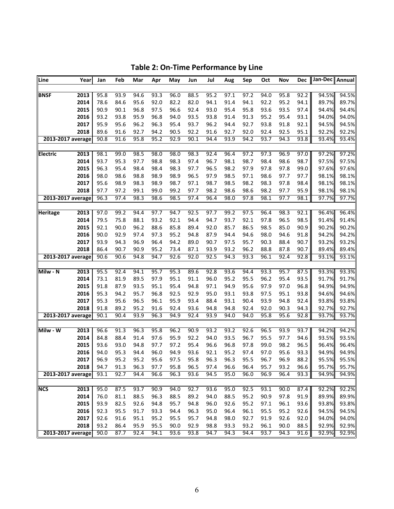| Line<br>Year            | Jan  | Feb  | Mar  | Apr  | May  | Jun  | Jul  | Aug  | Sep  | Oct  | Nov  | Dec  | Jan-Dec Annual |       |
|-------------------------|------|------|------|------|------|------|------|------|------|------|------|------|----------------|-------|
|                         |      |      |      |      |      |      |      |      |      |      |      |      |                |       |
| 2013<br><b>BNSF</b>     | 95.8 | 93.9 | 94.6 | 93.3 | 96.0 | 88.5 | 95.2 | 97.1 | 97.2 | 94.0 | 95.8 | 92.2 | 94.5%          | 94.5% |
| 2014                    | 78.6 | 84.6 | 95.6 | 92.0 | 82.2 | 82.0 | 94.1 | 91.4 | 94.1 | 92.2 | 95.2 | 94.1 | 89.7%          | 89.7% |
| 2015                    | 90.9 | 90.1 | 96.8 | 97.5 | 96.6 | 92.4 | 93.0 | 95.4 | 95.8 | 93.6 | 93.5 | 97.4 | 94.4%          | 94.4% |
| 2016                    | 93.2 | 93.8 | 95.9 | 96.8 | 94.0 | 93.5 | 93.8 | 91.4 | 91.3 | 95.2 | 95.4 | 93.1 | 94.0%          | 94.0% |
| 2017                    | 95.9 | 95.6 | 96.2 | 96.3 | 95.4 | 93.7 | 96.2 | 94.4 | 92.7 | 93.8 | 91.8 | 92.1 | 94.5%          | 94.5% |
| 2018                    | 89.6 | 91.6 | 92.7 | 94.2 | 90.5 | 92.2 | 91.6 | 92.7 | 92.0 | 92.4 | 92.5 | 95.1 | 92.2%          | 92.2% |
| 2013-2017 average       | 90.8 | 91.6 | 95.8 | 95.2 | 92.9 | 90.1 | 94.4 | 93.9 | 94.2 | 93.7 | 94.3 | 93.8 | 93.4%          | 93.4% |
|                         |      |      |      |      |      |      |      |      |      |      |      |      |                |       |
| 2013<br><b>Electric</b> | 98.1 | 99.0 | 98.5 | 98.0 | 98.0 | 98.3 | 92.4 | 96.4 | 97.2 | 97.3 | 96.9 | 97.0 | 97.2%          | 97.2% |
| 2014                    | 93.7 | 95.3 | 97.7 | 98.8 | 98.3 | 97.4 | 96.7 | 98.1 | 98.7 | 98.4 | 98.6 | 98.7 | 97.5%          | 97.5% |
| 2015                    | 96.3 | 95.4 | 98.4 | 98.4 | 98.3 | 97.7 | 96.5 | 98.2 | 97.9 | 97.8 | 97.8 | 99.0 | 97.6%          | 97.6% |
| 2016                    | 98.0 | 98.6 | 98.8 | 98.9 | 98.9 | 96.5 | 97.9 | 98.5 | 97.1 | 98.6 | 97.7 | 97.7 | 98.1%          | 98.1% |
| 2017                    | 95.6 | 98.9 | 98.3 | 98.9 | 98.7 | 97.1 | 98.7 | 98.5 | 98.2 | 98.3 | 97.8 | 98.4 | 98.1%          | 98.1% |
| 2018                    | 97.7 | 97.2 | 99.1 | 99.0 | 99.2 | 97.7 | 98.2 | 98.6 | 98.6 | 98.2 | 97.7 | 95.9 | 98.1%          | 98.1% |
| 2013-2017 average       | 96.3 | 97.4 | 98.3 | 98.6 | 98.5 | 97.4 | 96.4 | 98.0 | 97.8 | 98.1 | 97.7 | 98.1 | 97.7%          | 97.7% |
|                         |      |      |      |      |      |      |      |      |      |      |      |      |                |       |
| <b>Heritage</b><br>2013 | 97.0 | 99.2 | 94.4 | 97.7 | 94.7 | 92.5 | 97.7 | 99.2 | 97.5 | 96.4 | 98.3 | 92.1 | 96.4%          | 96.4% |
| 2014                    | 79.5 | 75.8 | 88.1 | 93.2 | 92.1 | 94.4 | 94.7 | 93.7 | 92.1 | 97.8 | 96.5 | 98.5 | 91.4%          | 91.4% |
| 2015                    | 92.1 | 90.0 | 96.2 | 88.6 | 85.8 | 89.4 | 92.0 | 85.7 | 86.5 | 98.5 | 85.0 | 90.9 | 90.2%          | 90.2% |
| 2016                    | 90.0 | 92.9 | 97.4 | 97.3 | 95.2 | 94.8 | 87.9 | 94.4 | 94.6 | 98.0 | 94.6 | 91.8 | 94.2%          | 94.2% |
| 2017                    | 93.9 | 94.3 | 96.9 | 96.4 | 94.2 | 89.0 | 90.7 | 97.5 | 95.7 | 90.3 | 88.4 | 90.7 | 93.2%          | 93.2% |
| 2018                    | 86.4 | 90.7 | 90.9 | 95.2 | 73.4 | 87.1 | 93.9 | 93.2 | 96.2 | 88.8 | 87.8 | 90.7 | 89.4%          | 89.4% |
| 2013-2017 average       | 90.6 | 90.6 | 94.8 | 94.7 | 92.6 | 92.0 | 92.5 | 94.3 | 93.3 | 96.1 | 92.4 | 92.8 | 93.1%          | 93.1% |
|                         |      |      |      |      |      |      |      |      |      |      |      |      |                |       |
| Milw - N<br>2013        | 95.5 | 92.4 | 94.1 | 95.7 | 95.3 | 89.6 | 92.8 | 93.6 | 94.4 | 93.3 | 95.7 | 87.5 | 93.3%          | 93.3% |
| 2014                    | 73.1 | 81.9 | 89.5 | 97.9 | 95.1 | 91.1 | 96.0 | 95.2 | 95.5 | 96.2 | 95.4 | 93.5 | 91.7%          | 91.7% |
| 2015                    | 91.8 | 87.9 | 93.5 | 95.1 | 95.4 | 94.8 | 97.1 | 94.9 | 95.6 | 97.9 | 97.0 | 96.8 | 94.9%          | 94.9% |
| 2016                    | 95.3 | 94.2 | 95.7 | 96.8 | 92.5 | 92.9 | 95.0 | 93.1 | 93.8 | 97.5 | 95.1 | 93.8 | 94.6%          | 94.6% |
| 2017                    | 95.3 | 95.6 | 96.5 | 96.1 | 95.9 | 93.4 | 88.4 | 93.1 | 90.4 | 93.9 | 94.8 | 92.4 | 93.8%          | 93.8% |
| 2018                    | 91.8 | 89.2 | 95.2 | 91.6 | 92.4 | 93.6 | 94.8 | 94.8 | 92.4 | 92.0 | 90.3 | 94.3 | 92.7%          | 92.7% |
| 2013-2017 average       | 90.1 | 90.4 | 93.9 | 96.3 | 94.9 | 92.4 | 93.9 | 94.0 | 94.0 | 95.8 | 95.6 | 92.8 | 93.7%          | 93.7% |
|                         |      |      |      |      |      |      |      |      |      |      |      |      |                |       |
| Milw - W<br>2013        | 96.6 | 91.3 | 96.3 | 95.8 | 96.2 | 90.9 | 93.2 | 93.2 | 92.6 | 96.5 | 93.9 | 93.7 | 94.2%          | 94.2% |
| 2014                    | 84.8 | 88.4 | 91.4 | 97.6 | 95.9 | 92.2 | 94.0 | 93.5 | 96.7 | 95.5 | 97.7 | 94.6 | 93.5%          | 93.5% |
| 2015                    | 93.6 | 93.0 | 94.8 | 97.7 | 97.2 | 95.4 | 96.6 | 96.8 | 97.8 | 99.0 | 98.2 | 96.5 | 96.4%          | 96.4% |
| 2016                    | 94.0 | 95.3 | 94.4 | 96.0 | 94.9 | 93.6 | 92.1 | 95.2 | 97.4 | 97.0 | 95.6 | 93.3 | 94.9%          | 94.9% |
| 2017                    | 96.9 | 95.2 | 95.2 | 95.6 | 97.5 | 95.8 | 96.3 | 96.3 | 95.5 | 96.7 | 96.9 | 88.2 | 95.5%          | 95.5% |
| 2018                    | 94.7 | 91.3 | 96.3 | 97.7 | 95.8 | 96.5 | 97.4 | 96.6 | 96.4 | 95.7 | 93.2 | 96.6 | 95.7%          | 95.7% |
| 2013-2017 average       | 93.1 | 92.7 | 94.4 | 96.6 | 96.3 | 93.6 | 94.5 | 95.0 | 96.0 | 96.9 | 96.4 | 93.3 | 94.9%          | 94.9% |
|                         |      |      |      |      |      |      |      |      |      |      |      |      |                |       |
| <b>NCS</b><br>2013      | 95.0 | 87.5 | 93.7 | 90.9 | 94.0 | 92.7 | 93.6 | 95.0 | 92.5 | 93.1 | 90.0 | 87.4 | 92.2%          | 92.2% |
| 2014                    | 76.0 | 81.1 | 88.5 | 96.3 | 88.5 | 89.2 | 94.0 | 88.5 | 95.2 | 90.9 | 97.8 | 91.9 | 89.9%          | 89.9% |
| 2015                    | 93.9 | 82.5 | 92.6 | 94.8 | 95.7 | 94.8 | 96.0 | 92.6 | 95.2 | 97.1 | 96.1 | 93.6 | 93.8%          | 93.8% |
| 2016                    | 92.3 | 95.5 | 91.7 | 93.3 | 94.4 | 96.3 | 95.0 | 96.4 | 96.1 | 95.5 | 95.2 | 92.6 | 94.5%          | 94.5% |
| 2017                    | 92.6 | 91.6 | 95.1 | 95.2 | 95.5 | 95.7 | 94.8 | 98.0 | 92.7 | 91.9 | 92.6 | 92.0 | 94.0%          | 94.0% |
| 2018                    | 93.2 | 86.4 | 95.9 | 95.5 | 90.0 | 92.9 | 98.8 | 93.3 | 93.2 | 96.1 | 90.0 | 88.5 | 92.9%          | 92.9% |
| 2013-2017 average       | 90.0 | 87.7 | 92.4 | 94.1 | 93.6 | 93.8 | 94.7 | 94.3 | 94.4 | 93.7 | 94.3 | 91.6 | 92.9%          | 92.9% |

**Table 2: On‐Time Performance by Line**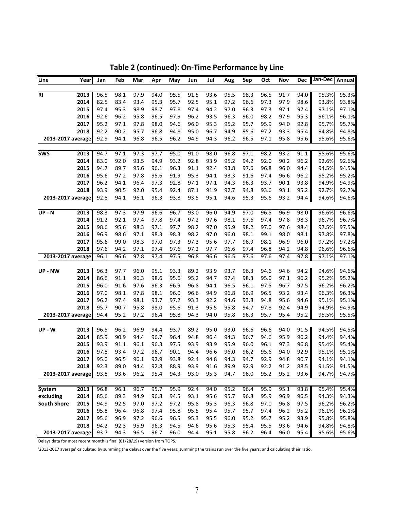| Line               | Year         | Jan  | Feb          | Mar  | Apr  | May  | Jun  | Jul  | Aug  | Sep          | Oct  | Nov  | Dec  | Jan-Dec Annual |       |
|--------------------|--------------|------|--------------|------|------|------|------|------|------|--------------|------|------|------|----------------|-------|
|                    |              |      |              |      |      |      |      |      |      |              |      |      |      |                |       |
| <b>RI</b>          | 2013         | 96.5 | 98.1         | 97.9 | 94.0 | 95.5 | 91.5 | 93.6 | 95.5 | 98.3         | 96.5 | 91.7 | 94.0 | 95.3%          | 95.3% |
|                    | 2014         | 82.5 | 83.4         | 93.4 | 95.3 | 95.7 | 92.5 | 95.1 | 97.2 | 96.6         | 97.3 | 97.9 | 98.6 | 93.8%          | 93.8% |
|                    | 2015         | 97.4 | 95.3         | 98.9 | 98.7 | 97.8 | 97.4 | 94.2 | 97.0 | 96.3         | 97.3 | 97.1 | 97.4 | 97.1%          | 97.1% |
|                    | 2016         | 92.6 | 96.2         | 95.8 | 96.5 | 97.9 | 96.2 | 93.5 | 96.3 | 96.0         | 98.2 | 97.9 | 95.3 | 96.1%          | 96.1% |
|                    | 2017         | 95.2 | 97.1         | 97.8 | 98.0 | 94.6 | 96.0 | 95.3 | 95.2 | 95.7         | 95.9 | 94.0 | 92.8 | 95.7%          | 95.7% |
|                    | 2018         | 92.2 | 90.2         | 95.7 | 96.8 | 94.8 | 95.0 | 96.7 | 94.9 | 95.6         | 97.2 | 93.3 | 95.4 | 94.8%          | 94.8% |
| 2013-2017 average  |              | 92.9 | 94.1         | 96.8 | 96.5 | 96.2 | 94.9 | 94.3 | 96.2 | 96.5         | 97.1 | 95.8 | 95.6 | 95.6%          | 95.6% |
|                    |              |      |              |      |      |      |      |      |      |              |      |      |      |                |       |
| <b>SWS</b>         | 2013         | 94.7 | 97.1         | 97.3 | 97.7 | 95.0 | 91.0 | 98.0 | 96.8 | 97.1         | 98.2 | 93.2 | 91.1 | 95.6%          | 95.6% |
|                    | 2014         | 83.0 | 92.0         | 93.5 | 94.9 | 93.2 | 92.8 | 93.9 | 95.2 | 94.2         | 92.0 | 90.2 | 96.2 | 92.6%          | 92.6% |
|                    | 2015         | 94.7 | 89.7         | 95.6 | 96.1 | 96.3 | 91.1 | 92.4 | 93.8 | 97.6         | 96.8 | 96.0 | 94.4 | 94.5%          | 94.5% |
|                    | 2016         | 95.6 | 97.2         | 97.8 | 95.6 | 91.9 | 95.3 | 94.1 | 93.3 | 91.6         | 97.4 | 96.6 | 96.2 | 95.2%          | 95.2% |
|                    | 2017         | 96.2 | 94.1         | 96.4 | 97.3 | 92.8 | 97.1 | 97.1 | 94.3 | 96.3         | 93.7 | 90.1 | 93.8 | 94.9%          | 94.9% |
|                    | 2018         | 93.9 | 90.5         | 92.0 | 95.4 | 92.4 | 87.1 | 91.9 | 92.7 | 94.8         | 93.6 | 93.1 | 95.2 | 92.7%          | 92.7% |
| 2013-2017 average  |              | 92.8 | 94.1         | 96.1 | 96.3 | 93.8 | 93.5 | 95.1 | 94.6 | 95.3         | 95.6 | 93.2 | 94.4 | 94.6%          | 94.6% |
| UP-N               | 2013         | 98.3 | 97.3         | 97.9 | 96.6 | 96.7 | 93.0 | 96.0 | 94.9 | 97.0         | 96.5 | 96.9 | 98.0 | 96.6%          | 96.6% |
|                    | 2014         | 91.2 | 92.1         | 97.4 | 97.8 | 97.4 | 97.2 | 97.6 | 98.1 | 97.6         | 97.4 | 97.8 | 98.3 | 96.7%          | 96.7% |
|                    | 2015         | 98.6 | 95.6         | 98.3 | 97.1 | 97.7 | 98.2 | 97.0 | 95.9 | 98.2         | 97.0 | 97.6 | 98.4 | 97.5%          | 97.5% |
|                    | 2016         | 96.9 | 98.6         | 97.1 | 98.3 | 98.3 | 98.2 | 97.0 | 96.0 | 98.1         | 99.1 | 98.0 | 98.1 | 97.8%          | 97.8% |
|                    |              | 95.6 |              | 98.3 | 97.0 | 97.3 | 97.3 | 95.6 | 97.7 | 96.9         | 98.1 | 96.9 |      | 97.2%          | 97.2% |
|                    | 2017<br>2018 | 97.6 | 99.0         |      | 97.4 | 97.6 | 97.2 | 97.7 | 96.6 |              | 96.8 |      | 96.0 | 96.6%          | 96.6% |
| 2013-2017 average  |              | 96.1 | 94.2<br>96.6 | 97.1 | 97.4 | 97.5 | 96.8 | 96.6 | 96.5 | 97.4<br>97.6 | 97.6 | 94.2 | 94.8 |                |       |
|                    |              |      |              | 97.8 |      |      |      |      |      |              |      | 97.4 | 97.8 | 97.1%          | 97.1% |
| UP - NW            | 2013         | 96.3 | 97.7         | 96.0 | 95.1 | 93.3 | 89.2 | 93.9 | 93.7 | 96.3         | 94.6 | 94.6 | 94.2 | 94.6%          | 94.6% |
|                    | 2014         | 86.6 | 91.1         | 96.3 | 98.6 | 95.6 | 95.2 | 94.7 | 97.4 | 98.3         | 95.0 | 97.1 | 96.2 | 95.2%          | 95.2% |
|                    | 2015         | 96.0 | 91.6         | 97.6 | 96.3 | 96.9 | 96.8 | 94.1 | 96.5 | 96.1         | 97.5 | 96.7 | 97.5 | 96.2%          | 96.2% |
|                    | 2016         | 97.0 | 98.1         | 97.8 | 98.1 | 96.0 | 96.6 | 94.9 | 96.8 | 96.9         | 96.5 | 93.2 | 93.4 | 96.3%          | 96.3% |
|                    | 2017         | 96.2 | 97.4         | 98.1 | 93.7 | 97.2 | 93.3 | 92.2 | 94.6 | 93.8         | 94.8 | 95.6 | 94.6 | 95.1%          | 95.1% |
|                    | 2018         | 95.7 | 90.7         | 95.8 | 98.0 | 95.6 | 91.3 | 95.5 | 95.8 | 94.7         | 97.8 | 92.4 | 94.9 | 94.9%          | 94.9% |
| 2013-2017 average  |              | 94.4 | 95.2         | 97.2 | 96.4 | 95.8 | 94.3 | 94.0 | 95.8 | 96.3         | 95.7 | 95.4 | 95.2 | 95.5%          | 95.5% |
|                    |              |      |              |      |      |      |      |      |      |              |      |      |      |                |       |
| UP - W             | 2013         | 96.5 | 96.2         | 96.9 | 94.4 | 93.7 | 89.2 | 95.0 | 93.0 | 96.6         | 96.6 | 94.0 | 91.5 | 94.5%          | 94.5% |
|                    | 2014         | 85.9 | 90.9         | 94.4 | 96.7 | 96.4 | 94.8 | 96.4 | 94.3 | 96.7         | 94.6 | 95.9 | 96.2 | 94.4%          | 94.4% |
|                    | 2015         | 93.9 | 91.1         | 96.1 | 96.3 | 97.5 | 93.9 | 93.9 | 95.9 | 96.0         | 96.1 | 97.3 | 96.8 | 95.4%          | 95.4% |
|                    | 2016         | 97.8 | 93.4         | 97.2 | 96.7 | 90.1 | 94.4 | 96.6 | 96.0 | 96.2         | 95.6 | 94.0 | 92.9 | 95.1%          | 95.1% |
|                    | 2017         | 95.0 | 96.5         | 96.1 | 92.9 | 93.8 | 92.4 | 94.8 | 94.3 | 94.7         | 92.9 | 94.8 | 90.7 | 94.1%          | 94.1% |
|                    | 2018         | 92.3 | 89.0         | 94.4 | 92.8 | 88.9 | 93.9 | 91.6 | 89.9 | 92.9         | 92.2 | 91.2 | 88.5 | 91.5%          | 91.5% |
| 2013-2017 average  |              | 93.8 | 93.6         | 96.2 | 95.4 | 94.3 | 93.0 | 95.3 | 94.7 | 96.0         | 95.2 | 95.2 | 93.6 | 94.7%          | 94.7% |
|                    |              |      |              |      |      |      |      |      |      |              |      |      |      |                |       |
| <b>System</b>      | 2013         | 96.8 | 96.1         | 96.7 | 95.7 | 95.9 | 92.4 | 94.0 | 95.2 | 96.4         | 95.9 | 95.1 | 93.8 | 95.4%          | 95.4% |
| excluding          | 2014         | 85.6 | 89.3         | 94.9 | 96.8 | 94.5 | 93.1 | 95.6 | 95.7 | 96.8         | 95.9 | 96.9 | 96.5 | 94.3%          | 94.3% |
| <b>South Shore</b> | 2015         | 94.9 | 92.5         | 97.0 | 97.2 | 97.2 | 95.8 | 95.3 | 96.3 | 96.8         | 97.0 | 96.8 | 97.5 | 96.2%          | 96.2% |
|                    | 2016         | 95.8 | 96.4         | 96.8 | 97.4 | 95.8 | 95.5 | 95.4 | 95.7 | 95.7         | 97.4 | 96.2 | 95.2 | 96.1%          | 96.1% |
|                    | 2017         | 95.6 | 96.9         | 97.2 | 96.6 | 96.5 | 95.3 | 95.5 | 96.0 | 95.2         | 95.7 | 95.2 | 93.9 | 95.8%          | 95.8% |
|                    | 2018         | 94.2 | 92.3         | 95.9 | 96.3 | 94.5 | 94.6 | 95.6 | 95.3 | 95.4         | 95.5 | 93.6 | 94.6 | 94.8%          | 94.8% |
| 2013-2017 average  |              | 93.7 | 94.3         | 96.5 | 96.7 | 96.0 | 94.4 | 95.1 | 95.8 | 96.2         | 96.4 | 96.0 | 95.4 | 95.6%          | 95.6% |

**Table 2 (continued): On‐Time Performance by Line**

Delays data for most recent month is final (01/28/19) version from TOPS.

'2013-2017 average' calculated by summing the delays over the five years, summing the trains run over the five years, and calculating their ratio.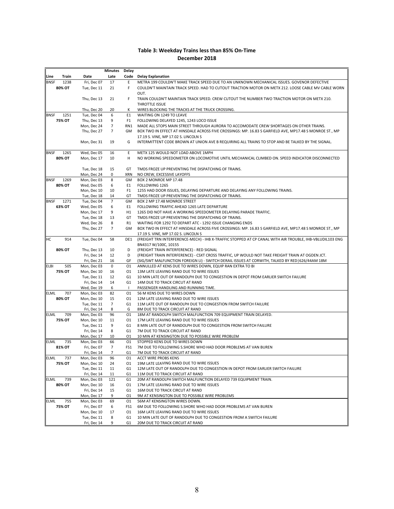## **Table 3: Weekday Trains less than 85% On‐Time December 2018**

|                     |                            | Minutes        | Delay                |                                                                                                                                                             |
|---------------------|----------------------------|----------------|----------------------|-------------------------------------------------------------------------------------------------------------------------------------------------------------|
| Line<br>Train       | Date                       | Late           |                      | Code Delay Explanation                                                                                                                                      |
| 1238<br>BNSF        | Fri, Dec 07                | 17             | E                    | METRA 199 COULDN'T MAKE TRACK SPEED DUE TO AN UNKNOWN MECHANICAL ISSUES. GOVENOR DEFECTIVE                                                                  |
| 80% OT              | Tue, Dec 11                | 21             | F                    | COULDN'T MAINTAIN TRACK SPEED. HAD TO CUTOUT TRACTION MOTOR ON METX 212. LOOSE CABLE MV CABLE WORN                                                          |
|                     |                            |                |                      | OUT.                                                                                                                                                        |
|                     | Thu, Dec 13                | 21             | F                    | TRAIN COULDN'T MAINTAIN TRACK SPEED. CREW CUTOUT THE NUMBER TWO TRACTION MOTOR ON METX 210.                                                                 |
|                     |                            |                |                      | THROTTLE ISSUE                                                                                                                                              |
| 1251<br>BNSF        | Thu, Dec 20<br>Tue, Dec 04 | 20<br>6        | к<br>E1              | WIRES BLOCKING THE TRACKS AT THE TRUCK CROSSING.<br>WAITING ON 1249 TO LEAVE                                                                                |
| 75% OT              | Thu, Dec 13                | 9              | F1                   | FOLLOWING DELAYED 1245, 1243 LOCO ISSUE                                                                                                                     |
|                     | Mon, Dec 24                | $\overline{7}$ | RN1                  | MADE ALL STOPS MAIN STREET THROUGH AURORA TO ACCOMODATE CREW SHORTAGES ON OTHER TRAINS.                                                                     |
|                     | Thu, Dec 27                | $\overline{7}$ | GM                   | BOX TWO IN EFFECT AT HINSDALE ACROSS FIVE CROSSINGS: MP. 16.83 S GARFIELD AVE, MP17.48 S MONROE ST., MP                                                     |
|                     |                            |                |                      | 17.19 S. VINE, MP 17.02 S. LINCOLN S                                                                                                                        |
|                     | Mon, Dec 31                | 19             | G                    | INTERMITTENT CODE BROWN AT UNION AVE B REQUIRING ALL TRAINS TO STOP AND BE TALKED BY THE SIGNAL.                                                            |
|                     |                            |                |                      |                                                                                                                                                             |
| 1265<br><b>BNSF</b> | Wed, Dec 05                | 16             | E                    | METX 125 WOULD NOT LOAD ABOVE 1MPH                                                                                                                          |
| 80% OT              | Mon, Dec 17                | 10             | н                    | NO WORKING SPEEDOMETER ON LOCOMOTIVE UNTIL MECHANICAL CLIMBED ON. SPEED INDICATOR DISCONNECTED                                                              |
|                     |                            |                |                      |                                                                                                                                                             |
|                     | Tue, Dec 18                | 15             | GT                   | TMDS FROZE UP PREVENTING THE DISPATCHING OF TRAINS.                                                                                                         |
|                     | Mon, Dec 24                | 0              | <b>XRN</b>           | NO CREW, EXCESSIVE LAYOFFS                                                                                                                                  |
| <b>BNSF</b><br>1269 | Mon, Dec 03                | 8<br>6         | GM<br>E1             | BOX 2 MONROE MP 17.48<br>FOLLOWING 1265                                                                                                                     |
| 80% OT              | Wed, Dec 05<br>Mon, Dec 10 | 10             | F <sub>1</sub>       | 1255 HAD DOOR ISSUES, DELAYING DEPARTURE AND DELAYING ANY FOLLOWING TRAINS.                                                                                 |
|                     | Tue, Dec 18                | 14             | GT                   | TMDS FROZE UP PREVENTING THE DISPATCHING OF TRAINS.                                                                                                         |
| 1271<br><b>BNSF</b> | Tue, Dec 04                | $\overline{7}$ | GM                   | BOX 2 MP 17.48 MONROE STREET                                                                                                                                |
| 63% OT              | Wed, Dec 05                | 6              | E1                   | FOLLOWING TRAFFIC AHEAD 1265 LATE DEPARTURE                                                                                                                 |
|                     | Mon, Dec 17                | 9              | H1                   | 1265 DID NOT HAVE A WORKING SPEEDOMETER DELAYING PARADE TRAFFIC.                                                                                            |
|                     | Tue, Dec 18                | 13             | GT                   | TMDS FROZE UP PREVENTING THE DISPATCHING OF TRAINS.                                                                                                         |
|                     | Wed, Dec 26                | 8              | R1                   | WAITING FOR 1292 TO DEPART ATC - 1292 ISSUE CHANGING ENDS                                                                                                   |
|                     | Thu, Dec 27                | $\overline{7}$ | GM                   | BOX TWO IN EFFECT AT HINSDALE ACROSS FIVE CROSSINGS: MP. 16.83 S GARFIELD AVE, MP17.48 S MONROE ST., MP                                                     |
|                     |                            |                |                      | 17.19 S. VINE, MP 17.02 S. LINCOLN S                                                                                                                        |
| HС<br>914           | Tue, Dec 04                | 58             | DE1                  | (FREIGHT TRN INTERFERENCE-MECH) - IHB X-TRAFFIC STOPPED AT CP CANAL WITH AIR TROUBLE, IHB-VBLUDIL103 ENG                                                    |
|                     |                            |                |                      | BN4317 W/100C, 10155                                                                                                                                        |
| 80% OT              | Thu, Dec 13                | 10             | D                    | (FREIGHT TRAIN INTERFERENCE) - RED SIGNAL                                                                                                                   |
|                     | Fri, Dec 14                | 12             | D                    | (FREIGHT TRAIN INTERFERENCE) - CSXT CROSS TRAFFIC, UP WOULD NOT TAKE FREIGHT TRAIN AT OGDEN JCT.                                                            |
| 505<br><b>ELBI</b>  | Fri, Dec 21<br>Mon, Dec 03 | 16<br>0        | GF<br>01             | (SIG/SWT MALFUNCTION FOREIGN LI) - SWITCH DERAIL ISSUES AT CORWITH, TALKED BY RED 626/44AM 18M<br>ANNULLED AT KENS DUE TO WIRES DOWN, EQUIP RAN EXTRA TO BI |
| 75% OT              | Mon, Dec 10                | 16             | 01                   | 13M LATE LEAVING RAND DUE TO WIRE ISSUES                                                                                                                    |
|                     | Tue, Dec 11                | 12             | G1                   | 10 MIN LATE OUT OF RANDOLPH DUE TO CONGESTION IN DEPOT FROM EARLIER SWITCH FAILURE                                                                          |
|                     | Fri, Dec 14                | 14             | G1                   | 14M DUE TO TRACK CIRCUT AT RAND                                                                                                                             |
|                     | Wed, Dec 19                | 6              | $\mathbf{I}$         | PASSENGER HANDLING AND RUNNING TIME.                                                                                                                        |
| 707<br><b>ELML</b>  | Mon, Dec 03                | 82             | 01                   | 56 M KENS DUE TO WIRES DOWN                                                                                                                                 |
| 80% OT              | Mon, Dec 10                | 15             | 01                   | 12M LATE LEAVING RAND DUE TO WIRE ISSUES                                                                                                                    |
|                     | Tue, Dec 11                | $\overline{7}$ | G1                   | 11M LATE OUT OF RANDOLPH DUE TO CONGESTION FROM SWITCH FAILURE                                                                                              |
|                     | Fri, Dec 14                | 8              | G                    | 8M DUE TO TRACK CIRCUIT AT RAND                                                                                                                             |
| ELML<br>709         | Mon, Dec 03                | 96             | 01                   | 18M AT RANDOLPH SWITCH MALFUNCTION 709 EQUIPMENT TRAIN DELAYED.                                                                                             |
| 75% OT              | Mon, Dec 10                | 11             | 01                   | 17M LATE LEAVING RAND DUE TO WIRE ISSUES                                                                                                                    |
|                     | Tue, Dec 11<br>Fri, Dec 14 | 9<br>8         | G <sub>1</sub><br>G1 | 8 MIN LATE OUT OF RANDOLPH DUE TO CONGESTION FROM SWITCH FAILURE<br>7M DUE TO TRACK CIRCUIT AT RAND                                                         |
|                     | Mon, Dec 17                | 10             | 01                   | 10 MIN AT KENSINGTON DUE TO POSSIBLE WIRE PROBLEM                                                                                                           |
| <b>ELML</b><br>735  | Mon, Dec 03                | 66             | 01                   | STOPPED KENS DUE TO WIRES DOWN                                                                                                                              |
| 81% OT              | Fri, Dec 07                | 7              | FS1                  | 7M DUE TO FOLLOWING S.SHORE WHO HAD DOOR PROBLEMS AT VAN BUREN                                                                                              |
|                     | Fri, Dec 14                | 7              | G <sub>1</sub>       | 7M DUE TO TRACK CIRCUIT AT RAND                                                                                                                             |
| <b>ELML</b><br>737  | Mon, Dec 03                | 96             | 01                   | ACCT WIRE PROBS KENS                                                                                                                                        |
| 75% OT              | Mon, Dec 10                | 24             | 01                   | 19M LATE LEAVING RAND DUE TO WIRE ISSUES                                                                                                                    |
|                     | Tue, Dec 11                | 11             | G1                   | 12M LATE OUT OF RANDOLPH DUE TO CONGESTION IN DEPOT FROM EARLIER SWITCH FAILURE                                                                             |
|                     | Fri, Dec 14                | 11             | G <sub>1</sub>       | 11M DUE TO TRACK CIRCUIT AT RAND                                                                                                                            |
| 739<br>ELML         | Mon, Dec 03                | 121            | G1                   | 20M AT RANDOLPH SWITCH MALFUNCTION DELAYED 739 EQUIPMENT TRAIN.                                                                                             |
| 80% OT              | Mon, Dec 10                | 16             | 01                   | 17M LATE LEAVING RAND DUE TO WIRE ISSUES                                                                                                                    |
|                     | Fri, Dec 14                | 15<br>9        | G1<br>01             | 16M DUE TO TRACK CIRCUT AT RAND                                                                                                                             |
| 755<br><b>ELML</b>  | Mon, Dec 17<br>Mon, Dec 03 | 69             | 01                   | 9M AT KENSINGTON DUE TO POSSIBLE WIRE PROBLEMS<br>56M AT KENSINGTON WIRES DOWN.                                                                             |
| 75% OT              | Fri, Dec 07                | 6              | FS1                  | 6M DUE TO FOLLOWING S.SHORE WHO HAD DOOR PROBLEMS AT VAN BUREN                                                                                              |
|                     | Mon, Dec 10                | 17             | 01                   | 16M LATE LEAVING RAND DUE TO WIRE ISSUES                                                                                                                    |
|                     | Tue, Dec 11                | 8              | G1                   | 10 MIN LATE OUT OF RANDOLPH DUE TO CONGESTION FROM A SWITCH FAILURE                                                                                         |
|                     | Fri, Dec 14                | 9              | G <sub>1</sub>       | 20M DUE TO TRACK CIRCUIT AT RAND                                                                                                                            |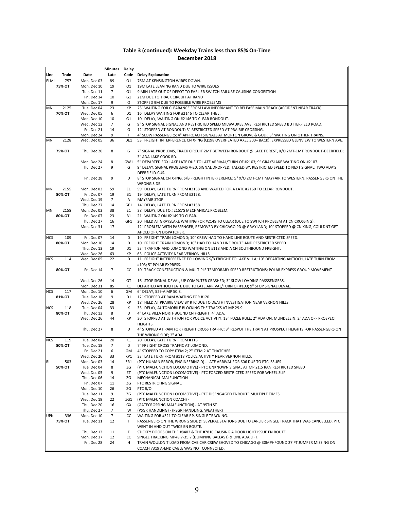|             |                       |                            | Minutes             | Delay                |                                                                                                                                                               |
|-------------|-----------------------|----------------------------|---------------------|----------------------|---------------------------------------------------------------------------------------------------------------------------------------------------------------|
| Line        | Train                 | Date                       | Late                | Code                 | <b>Delay Explanation</b>                                                                                                                                      |
| <b>ELML</b> | 757                   | Mon, Dec 03                | 89                  | 01                   | 76M AT KENSINGTON WIRES DOWN.                                                                                                                                 |
|             | <b>75% OT</b>         | Mon, Dec 10                | 19                  | 01                   | 19M LATE LEAVING RAND DUE TO WIRE ISSUES                                                                                                                      |
|             |                       | Tue, Dec 11                | $\overline{7}$      | G1                   | 9 MIN LATE OUT OF DEPOT TO EARLIER SWITCH FAILURE CAUSING CONGESTION                                                                                          |
|             |                       | Fri, Dec 14                | 10                  | G1                   | 21M DUE TO TRACK CIRCUIT AT RAND                                                                                                                              |
|             |                       | Mon, Dec 17                | 9                   | 0                    | STOPPED 9M DUE TO POSSIBLE WIRE PROBLEMS                                                                                                                      |
| ΜN          | 2125<br><b>70% OT</b> | Tue, Dec 04<br>Wed, Dec 05 | 23<br>6             | КP<br>D1             | 25" WAITING FOR CLEARANCE FROM LAW INFORMANT TO RELEASE MAIN TRACK (ACCIDENT NEAR TRACK).<br>16" DELAY WAITING FOR #2146 TO CLEAR THE J.                      |
|             |                       | Mon, Dec 10                | 10                  | G <sub>1</sub>       | 10" DELAY, WAITING ON #2146 TO CLEAR RONDOUT.                                                                                                                 |
|             |                       | Wed, Dec 12                | $\overline{7}$      | G                    | 9" STOP SIGNAL SIGNAL AND RESTRICTED SPEED MILWAUKEE AVE, RESTRICTED SPEED BUTTERFIELD ROAD.                                                                  |
|             |                       | Fri, Dec 21                | 14                  | G                    | 12" STOPPED AT RONDOUT: 3" RESTRICTED SPEED AT PRAIRIE CROSSING.                                                                                              |
|             |                       | Mon, Dec 24                | 9                   |                      | 4" SLOW PASSENGERS; 4" APPROACH SIGNALS AT MORTON GROVE & GOLF; 3" WAITING ON OTHER TRAINS.                                                                   |
| MN          | 2128                  | Wed, Dec 05                | 36                  | DE1                  | 53" FREIGHT INTERFERENCE CN X-ING (Q198 OVERHEATED AXEL 300+ BACK); EXPRESSED GLENVIEW TO WESTERN AVE.                                                        |
|             |                       |                            |                     |                      |                                                                                                                                                               |
|             | 75% OT                | Thu, Dec 20                | 8                   | G                    | 7" SIGNAL PROBLEMS, TRACK CIRCUIT 2MT BETWEEN RONDOUT @ LAKE FOREST, X/O 2MT-1MT RONDOUT-DEERFIELD;                                                           |
|             |                       |                            |                     |                      | 3" ADA LAKE COOK RD.                                                                                                                                          |
|             |                       | Mon, Dec 24                | 8                   |                      | GW1 5" DEPARTED FOX LAKE LATE DUE TO LATE ARRIVAL/TURN OF #2103; 9" GRAYSLAKE WAITING ON #2107.                                                               |
|             |                       | Thu, Dec 27                | 9                   | G                    | 9" DELAY, SIGNAL PROBLEMS A-20, SIGNAL DROPPED, TALKED BY, RESTRICTED SPEED TO NEXT SIGNAL; TWO ADA'S                                                         |
|             |                       | Fri, Dec 28                | 9                   | D                    | DEERFIELD-CUS.<br>8" STOP SIGNAL CN X-ING, S/B FREIGHT INTERFERENCE; 5" X/O 2MT-1MT MAYFAIR TO WESTERN, PASSENGERS ON THE                                     |
|             |                       |                            |                     |                      | WRONG SIDE.                                                                                                                                                   |
| ΜN          | 2155                  | Mon, Dec 03                | 59                  | E <sub>1</sub>       | 59" DELAY, LATE TURN FROM #2158 AND WAITED FOR A LATE #2160 TO CLEAR RONDOUT.                                                                                 |
|             | 80% OT                | Fri, Dec 07                | 19                  | <b>B1</b>            | 19" DELAY, LATE TURN FROM #2158.                                                                                                                              |
|             |                       | Wed, Dec 19                | $\overline{7}$      | Α                    | <b>MAYFAIR STOP</b>                                                                                                                                           |
|             |                       | Thu, Dec 27                | 14                  | GF1                  | 14" DELAY, LATE TURN FROM #2158.                                                                                                                              |
| MN          | 2158                  | Mon, Dec 03                | 38                  | E <sub>1</sub>       | 38" DELAY, DUE TO #2151'S MECHANICAL PROBLEM.                                                                                                                 |
|             | 80% OT                | Fri, Dec 07                | 23                  | <b>B1</b>            | 21" WAITING ON #2149 TO CLEAR.                                                                                                                                |
|             |                       | Thu, Dec 27                | 16                  | GF1                  | 20" HELD AT GRAYSLAKE WAITING FOR #2149 TO CLEAR (DUE TO SWITCH PROBLEM AT CN CROSSING).                                                                      |
|             |                       | Mon, Dec 31                | 17                  | J                    | 12" PROBLEM WITH PASSENGER, REMOVED BY CHICAGO PD @ GRAYLAND; 10" STOPPED @ CN XING, COULDNT GET                                                              |
| <b>NCS</b>  | 109                   |                            | 14                  | D                    | AHOLD OF CN DISPATCHER.                                                                                                                                       |
|             | 80% OT                | Fri, Dec 07<br>Mon, Dec 10 | 14                  | D                    | 10" FREIGHT TRAIN LOMOND; 10" CREW HAD TO HAND LINE ROUTE AND RESTRICTED SPEED.<br>10" FREIGHT TRAIN LOMOND; 10" HAD TO HAND LINE ROUTE AND RESTRICTED SPEED. |
|             |                       | Thu, Dec 13                | 19                  | D1                   | 23" TRAFTON AND LOMOND WAITING ON #118 AND A CN SOUTHBOUND FREIGHT.                                                                                           |
|             |                       | Wed, Dec 26                | 63                  | КP                   | 63" POLICE ACTIVITY NEAR VERNON HILLS.                                                                                                                        |
| NCS         | 114                   | Wed, Dec 05                | 22                  | D                    | 11" FREIGHT INTERFERENCE FOLLOWING S/B FREIGHT TO LAKE VILLA; 10" DEPARTING ANTIOCH, LATE TURN FROM                                                           |
|             |                       |                            |                     |                      | #103; 5" POLAR EXPRESS.                                                                                                                                       |
|             | 80% OT                | Fri, Dec 14                | $\overline{7}$      | cc                   | 10" TRACK CONSTRUCTION & MULTIPLE TEMPORARY SPEED RESTRICTIONS; POLAR EXPRESS GROUP MOVEMENT                                                                  |
|             |                       |                            |                     |                      |                                                                                                                                                               |
|             |                       | Wed, Dec 26                | 14                  | GT                   | 16" STOP SIGNAL DEVAL, UP COMPUTER CRASHED; 3" SLOW LOADING PASSSENGERS.                                                                                      |
|             |                       | Mon, Dec 31                | 85                  | K1                   | DEPARTED ANTIOCH LATE DUE TO LATE ARRIVAL/TURN OF #103; 9" STOP SIGNAL DEVAL.                                                                                 |
| <b>NCS</b>  | 117<br>81% OT         | Mon, Dec 10<br>Tue, Dec 18 | 6<br>9              | GM<br>D <sub>1</sub> | 6" DELAY, 529-A MP 50.8.<br>12" STOPPED AT RAM WAITING FOR #120.                                                                                              |
|             |                       | Wed, Dec 26                | 28                  | КP                   | 18" HELD AT PRAIRIE VIEW BY RTC DUE TO DEATH INVESTIGATION NEAR VERNON HILLS.                                                                                 |
| <b>NCS</b>  | 118                   | Tue, Dec 04                | 33                  | К                    | 33" DELAY, AUTOMOBILE BLOCKING THE TRACKS AT MP 29.9.                                                                                                         |
|             | 80% OT                | Thu, Dec 13                | 8                   | D                    | 4" LAKE VILLA NORTHBOUND CN FREIGHT; 4" ADA.                                                                                                                  |
|             |                       | Wed, Dec 26                | 44                  | КP                   | 30" STOPPED AT LEITHTON FOR POLICE ACTIVITY; 13" FUZEE RULE; 2" ADA ON, MUNDELEIN; 2" ADA OFF PROSPECT                                                        |
|             |                       |                            |                     |                      | <b>HEIGHTS.</b>                                                                                                                                               |
|             |                       | Thu, Dec 27                | 8                   | D                    | 4" STOPPED AT RAM FOR FREIGHT CROSS TRAFFIC; 3" RESPOT THE TRAIN AT PROSPECT HEIGHTS FOR PASSENGERS ON                                                        |
|             |                       |                            |                     |                      | THE WRONG SIDE; 2" ADA.                                                                                                                                       |
| <b>NCS</b>  | 119                   | Tue, Dec 04                | 20                  | K1                   | 20" DELAY, LATE TURN FROM #118.                                                                                                                               |
|             | 80% OT                | Tue, Dec 18<br>Fri, Dec 21 | $\overline{7}$<br>6 | D<br>GM              | 7" FREIGHT CROSS TRAFFIC AT LOMOND.<br>4" STOPPED TO COPY ITEM 2; 2" ITEM 2 AT THATCHER.                                                                      |
|             |                       | Wed, Dec 26                | 33                  | KP1                  | 33" LATE TURN FROM #118 POLICE ACTIVITY NEAR VERNON HILLS.                                                                                                    |
| RI          | 503                   | Mon, Dec 03                | 14                  | ZR1                  | (PTC HUMAN ERROR, ENGINEERING D) - LATE ARRIVAL FOR 606 DUE TO PTC ISSUES                                                                                     |
|             | 50% OT                | Tue, Dec 04                | 8                   | ΖG                   | (PTC MALFUNCTION LOCOMOTIVE) - PTC UNKNOWN SIGNAL AT MP 21.5 RAN RESTRICTED SPEED                                                                             |
|             |                       | Wed, Dec 05                | 9                   | ΖT                   | (PTC MALFUNCTION LOCOMOTIVE) - PTC FORCED RESTRICTED SPEED FOR WHEEL SLIP                                                                                     |
|             |                       | Thu, Dec 06                | 14                  | ΖG                   | MECHANICAL MALFUNCTION                                                                                                                                        |
|             |                       | Fri, Dec 07                | 11                  | ZG                   | PTC RESTRICTING SIGNAL.                                                                                                                                       |
|             |                       | Mon, Dec 10                | 26                  | ΖG                   | PTC B/O                                                                                                                                                       |
|             |                       | Tue, Dec 11                | 9                   | ZG                   | (PTC MALFUNCTION LOCOMOTIVE) - PTC DISENGAGED ENROUTE MULTIPLE TIMES                                                                                          |
|             |                       | Wed, Dec 19                | 22                  | ZG1                  | (PTC MALFUNCTION COACH) -                                                                                                                                     |
|             |                       | Thu, Dec 20<br>Thu, Dec 27 | 16<br>7             | GX<br>IW             | (GATECROSSING MALFUNCTION) - AT 95TH ST                                                                                                                       |
| UPN         | 336                   | Mon, Dec 10                | $\overline{7}$      | СC                   | (PSGR HANDLING) - (PSGR HANDLING, WEATHER)<br>WAITING FOR #321 TO CLEAR RP, SINGLE TRACKING.                                                                  |
|             | 75% OT                | Tue, Dec 11                | 12                  | $\mathbf{I}$         | PASSENGERS ON THE WRONG SIDE @ SEVERAL STATIONS DUE TO EARLIER SINGLE TRACK THAT WAS CANCELLED, PTC                                                           |
|             |                       |                            |                     |                      | WENT IN AND OUT TWICE EN ROUTE.                                                                                                                               |
|             |                       | Thu, Dec 13                | 11                  | F                    | STICKEY DOORS ON THE #8402 & THE #7810 CAUSING A DOOR LIGHT ISSUE EN ROUTE.                                                                                   |
|             |                       | Mon, Dec 17                | 12                  | CC                   | SINGLE TRACKING MP48.7-35.7 (DUMPING BALLAST) & ONE ADA LIFT.                                                                                                 |
|             |                       | Fri, Dec 28                | 24                  | H                    | TRAIN WOULDN'T LOAD FROM CAB CAR CREW SHOVED TO CHICAGO @ 30MPHFOUND 27 PT JUMPER MISSING ON                                                                  |
|             |                       |                            |                     |                      | COACH 7319 A-END CABLE WAS NOT CONNECTED.                                                                                                                     |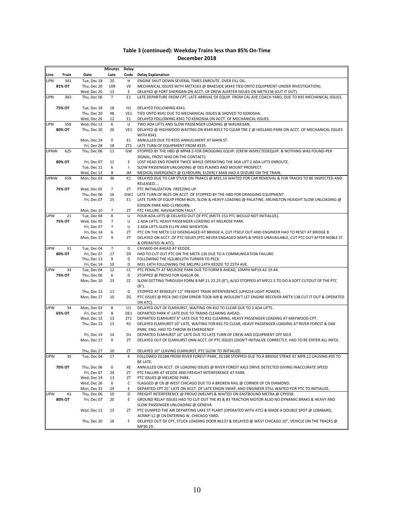|             |               |                            | Minutes        | Delay        |                                                                                                          |
|-------------|---------------|----------------------------|----------------|--------------|----------------------------------------------------------------------------------------------------------|
| Line        | Train         | Date                       | Late           | Code         | <b>Delay Explanation</b>                                                                                 |
| <b>UPN</b>  | 341           | Tue, Dec 18                | 20             | н            | ENGINE SHUT DOWN SEVERAL TIMES ENROUTE. OVER FILL OIL.                                                   |
|             | 81% OT        | Thu, Dec 20                | 109            | VE           | MECHANICAL ISSUES WITH METX163 @ BRAESIDE (#343 TIED ONTO EQUIPMENT-UNDER INVESTIGATION).                |
|             |               | Wed, Dec 26                | 13             | Ε            | DELAYED @ FORT SHERIDAN ON ACCT. OF CREW ALERTER ISSUES ON METX156 (CUT IT OUT).                         |
| <b>UPN</b>  | 343           | Thu, Dec 06                | $\overline{7}$ | E1           | LATE DEPARTURE FROM CPT, LATE ARRIVAL OF EQUIP. FROM CAL AVE COACH YARD, DUE TO #35 MECHANICAL ISSUES.   |
|             |               |                            |                |              |                                                                                                          |
|             | 75% OT        | Tue, Dec 18                | 18             | H1           | DELAYED FOLLOWING #341.                                                                                  |
|             |               | Thu, Dec 20                | 98             | VE1          | TIED ONTO #341 DUE TO MECHANICAL ISSUES & SHOVED TO KENOSHA.                                             |
|             |               | Wed, Dec 26                | 12             | E1           | DELAYED FOLLOWING #341 TO KENOSHA ON ACCT. OF MECHANICAL ISSUES.                                         |
| <b>UPN</b>  | 356           | Wed, Dec 12                | 6              | U            | TWO ADA LIFTS AND SLOW PASSENGER LOADING @ WAUKEGAN.                                                     |
|             | 80% OT        | Thu, Dec 20                | 20             | VE1          | DELAYED @ HIGHWOOD WAITING ON #349-#353 TO CLEAR TRK 2 @ HIGLAND PARK ON ACCT. OF MECHANICAL ISSUES      |
|             |               |                            | 0              |              | WITH #341.                                                                                               |
|             |               | Mon, Dec 24<br>Fri, Dec 28 | 18             | E1<br>ZT1    | ANNULLED DUE TO #335 ANNULLMENT AT MAIN ST.<br>LATE TURN OF EQUIPMENT FROM #335.                         |
| <b>UPNW</b> | 625           | Thu, Dec 06                | 11             | GW           | STOPPED BY THE HBD @ MP48.5 FOR DROGGING EQUIP. (CREW INSPECTEDEQUIP. & NOTHING WAS FOUND-PER            |
|             |               |                            |                |              | SIGNAL, FROST WAS ON THE CONTACT).                                                                       |
|             | 80% OT        | Fri, Dec 07                | 11             | Ε            | LOST HEAD END POWER TWICE WHILE OPERATING THE ADA LIFT 2 ADA LIFTS ENROUTE.                              |
|             |               | Tue, Dec 11                | 6              | $\mathbf{I}$ | SLOW PASSENGER UNLOADING @ DES PLAINES AND MOUNT PROSPECT.                                               |
|             |               | Wed, Dec 12                | 8              | JM           | MEDICAL EMERGENCY @ CLYBOURN, ELDERLY MAN HAD A SEIZURE ON THE TRAIN.                                    |
| <b>UPNW</b> | 658           | Mon, Dec 03                | 36             | K1           | DELAYED DUE TO CAR STUCK ON TRAKCS @ M35.14 WAITED FOR CAR REMOVAL & FOR TRACKS TO BE INSPECTED AND      |
|             |               |                            |                |              | RELEASED                                                                                                 |
|             | <b>75% OT</b> | Wed, Dec 05                | 7              | ZT           | PTC INITIALIZATION. FREEZING UP.                                                                         |
|             |               | Thu, Dec 06                | 16             | GW1          | LATE TURN OF #625 ON ACCT. OF STOPPED BY THE HBD FOR DRAGGING EQUIPMENT.                                 |
|             |               | Fri, Dec 07                | 25             | E1           | LATE TURN OF EQUIP FROM #625, SLOW & HEAVY LOADING @ PALATINE, ARLINGTON HEAIGHT SLOW UNLOADING @        |
|             |               |                            |                |              | EDISON PARK AND CLYBOURN.                                                                                |
|             |               | Mon, Dec 10                | 7              | ΖT           | PTC FAILURE. NAVIGATION FAULT                                                                            |
| UPW         | 21            | Tue, Dec 04                | 8              | U            | FOUR ADA LIFTS @ DELAYED OUT OF PTC (METX 153 PTC WOULD NOT INITIALIZE).                                 |
|             | 75% OT        | Wed, Dec 05                | 7              | U            | 2 ADA LIFTS, HEAVY PASSENGER LOADING AT MELROSE PARK.                                                    |
|             |               | Fri, Dec 07                | $\overline{7}$ | U            | 2 ADA LIFTS GLEN ELLYN AND WHEATON.                                                                      |
|             |               | Fri, Dec 14                | 6              | ΖT           | PTC ON THE METX 132 DISENGAGED AT BRIDGE A, CUT ITSELF OUT AND ENGINEER HAD TO RESET AT BRIDGE B         |
|             |               | Mon, Dec 17                | 9              | ΖT           | DELAYED ON ACCT. OF PTC ISSUES (PTC NEVER ENGAGED-MAPS & SPEED UNAVAILABLE, CUT PTC OUT AFTER NOBLE ST   |
| <b>UPW</b>  | 31            | Tue, Dec 04                | $\overline{7}$ | D            | & OPERATED IN ATC).<br>CAVWE0-04 AHEAD AT KEDZIE.                                                        |
|             | 80% OT        | Fri, Dec 07                | 17             | ZΗ           | HAD TO CUT OUT PTC ON THE METX 136 DUE TO A COMMUNICATION FAILURE.                                       |
|             |               | Thu, Dec 13                | 9              | D            | FOLLOWING THE IG2LB012TH TURNER TO PECK.                                                                 |
|             |               | Fri, Dec 14                | 10             | D            | M31-14TH FOLLOWING THE MELPRJ-14TH KEDZIE TO 25TH AVE.                                                   |
| UPW         | 33            | Tue, Dec 04                | 12             | cc           | PTC PENALTY AT MELROSE PARK DUE TO FORM B AHEAD, 10MPH MP19.42-19.44.                                    |
|             | 75% OT        | Thu, Dec 06                | 6              | D            | STOPPED @ PROVO FOR IG4G1R-06.                                                                           |
|             |               | Mon, Dec 10                | 23             | cc           | SLOW GETTING THROUGH FORM B MP 21-22.25 (8"), ALSO STOPPED AT MP21.5 TO DO A SOFT CUTOUT OF THE PTC      |
|             |               |                            |                |              | $(8")$ .                                                                                                 |
|             |               | Thu, Dec 13                | 11             | D            | STOPPED AT BERKELEY 12" FREIGHT TRAIN INTERFERENCE (UP4224 LIGHT POWER).                                 |
|             |               | Mon, Dec 17                | 10             | ΖG           | PTC ISSUES @ PECK (NO COM ERROR-TOOK AIR & WOULDN'T LET ENGINE RECOVER-METX 138 CUT IT OUT & OPERATED    |
|             |               |                            |                |              | ON ATC).                                                                                                 |
| UPW         | 34            | Mon, Dec 03                | 8              | U1           | DELAYED OUT OF ELMHURST, WAITING ON #32 TO CLEAR DUE TO 3 ADA LIFTS.                                     |
|             | 65% OT        | Fri, Dec 07                | 8              | DE1          | DEPARTED PARK 4" LATE DUE TO TRAINS CLEARING AHEAD.                                                      |
|             |               | Wed. Dec 12                | 13             | ZT1          | DEPARTED ELMHURST 6" LATE DUE TO #32 CLEARING, HEAVY PASSENGER LOADING AT MAYWOOD-CPT.                   |
|             |               | Thu, Dec 13                | 13             | R1           | DELAYED ELMHURST 10" LATE, WAITING FOR #32 TO CLEAR, HEAVY PASSENGER LOADING AT RIVER FOREST & OAK       |
|             |               |                            |                |              | PARK. ENG. HAD TO THROW IN EMERGENCY                                                                     |
|             |               | Fri, Dec 14                | 14             | D1           | DEPARTED ELMHURST 10" LATE DUE TO LATE TURN OF CREW AND EQUIPMENT OFF M19                                |
|             |               | Mon, Dec 17                | 9              | ZT           | DELAYED OUT OF ELMHURST ONN ACCT. OF PTC ISSUES (DIDN'T INITIALIZE CORRECTLY, HAD TO RE-ENTER ALL INFO). |
|             |               | Thu, Dec 27                | 10             | ΖT           | DELAYED 10" LEAVING ELMHURST, PTC SLOW TO INITIALIZE.                                                    |
| <b>UPW</b>  | 35            | Tue, Dec 04                | 17             | Κ            | FOLLOWED ZG1BR FROM RIVER FOREST-PARK, ZG1BR STOPPED DUE TO A BRIDGE STRIKE AT MP8.12 CAUSING #35 TO     |
|             |               |                            |                |              | BE LATE.                                                                                                 |
|             | 70% OT        | Thu, Dec 06                | 0              | XE           | ANNULLED ON ACCT. OF LOADING ISSUES @ RIVER FOREST AXLE DRIVE DETECTED GIVING INACCURATE SPEED           |
|             |               | Fri, Dec 07                | 24             | ΖT           | PTC FAILURE AT KEDZIE AND FREIGHT INTERFERENCE AT PARK.                                                  |
|             |               | Wed, Dec 19                | 13             | ΖT           | PTC ISSUES @ MELROSE PARK.                                                                               |
|             |               | Wed, Dec 26                | 6              | C            | FLAGGED @ CN @ WEST CHICAGO DUE TO A BROKEN RAIL @ CORNER OF CN DIAMOND.                                 |
|             |               | Mon, Dec 31                | 24             | Ε            | DEPARTED CPT 25" LATE ON ACCT. OF LATE ENGIN SWAP, AND ENGINEER STILL WAITED FOR PTC TO INITIALIZE.      |
| UPW         | 41            | Thu, Dec 06                | 10             | D            | FREIGHT INTERFERENCE @ PROVO (MELNP) & WAITED ON EASTBOUND METRA @ CPY038.                               |
|             | 80% OT        | Fri, Dec 07                | 20             | E            | GROUND RELAY ISSUES HAD TO CUT OUT THE #1 & #3 TRACTION MOTOR ALSO NO DYNAMIC BRAKS & HEAVY AND          |
|             |               |                            |                |              | SLOW PASSENGER UNLOADING @ GENEVA.                                                                       |
|             |               | Wed, Dec 12                | 13             | ΖT           | PTC DUMPED THE AIR DEPARTING LAKE ST PLANT (OPERATED WITH ATC) & MADE A DOUBLE SPOT @ LOMBARD,           |
|             |               |                            |                |              | ACNNP-12 @ CN ENTERING W. CHICAGO YARD.                                                                  |
|             |               | Thu, Dec 20                | 18             | F            | DELAYED OUT OF CPT, STUCK LOADING DOOR #6137 & DELAYED @ WEST CHICAGO 10", VEHICLE ON THE TRACKS @       |
|             |               |                            |                |              | MP30.29.                                                                                                 |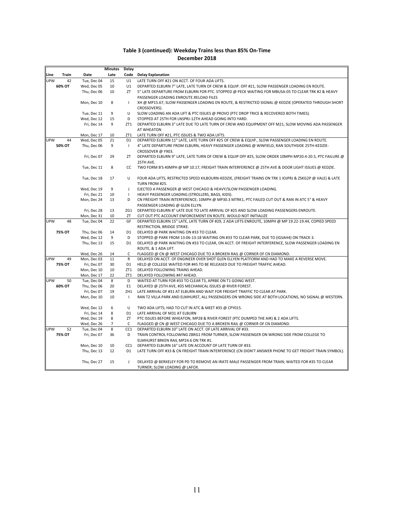|      |               |             | <b>Minutes</b> | Delay           |                                                                                                                                  |
|------|---------------|-------------|----------------|-----------------|----------------------------------------------------------------------------------------------------------------------------------|
| Line | Train         | Date        | Late           |                 | Code Delay Explanation                                                                                                           |
| UPW  | 42            | Tue, Dec 04 | 15             | U1              | LATE TURN OFF #21 ON ACCT. OF FOUR ADA LIFTS.                                                                                    |
|      | 60% OT        | Wed, Dec 05 | 10             | U1              | DEPARTED ELBURN 7" LATE, LATE TURN OF CREW & EQUIP. OFF #21, SLOW PASSENGER LOADING EN ROUTE.                                    |
|      |               | Thu, Dec 06 | 10             | ZT              | 5" LATE DEPARTURE FROM ELBURN FOR PTC. STOPPED @ PECK WAITING FOR MBUSA-05 TO CLEAR TRK #2 & HEAVY                               |
|      |               |             |                |                 | PASSENGER LOADING ENROUTE.RELOAD FILES                                                                                           |
|      |               | Mon, Dec 10 | 8              | $\mathbf{I}$    | XH @ MP15.67; SLOW PASSENGER LOADING EN ROUTE, & RESTRICTED SIGNAL @ KEDZIE (OPERATED THROUGH SHORT                              |
|      |               |             |                |                 | CROSSOVERS).                                                                                                                     |
|      |               | Tue, Dec 11 | 9              | U               | SLOW LOADING AN ADA LIFT & PTC ISSUES @ PROVO (PTC DROP TRICE & RECOVERED BOTH TIMES).                                           |
|      |               | Wed, Dec 12 | 15             | D               | STOPPED AT 25TH FOR LNSPRJ-12TH AHEAD GOING INTO YARD.                                                                           |
|      |               | Fri, Dec 14 | 9              |                 | ZT1 DEPARTED ELBURN 3" LATE DUE TO LATE TURN OF CREW AND EQUIPMENT OFF M21, SLOW MOVING ADA PASSENGER                            |
|      |               |             |                |                 | AT WHEATON                                                                                                                       |
|      |               | Mon, Dec 17 | 10             | ZT1             | LATE TURN OFF #21, PTC ISSUES & TWO ADA LIFTS.                                                                                   |
| UPW  | 44            | Wed, Dec 05 | 21             | D1              | DEPARTED ELBURN 11" LATE, LATE TURN OFF #25 OF CREW & EQUIP., SLOW PASSENGER LOADING EN ROUTE.                                   |
|      | 50% OT        | Thu, Dec 06 | 9              | $\perp$         | 4" LATE DEPARTURE FROM ELBURN, HEAVY PASSENGER LOADING @ WINFIELD, RAN SOUTHSIDE 25TH-KEDZIE-<br>CROSSOVER @ Y903.               |
|      |               | Fri, Dec 07 | 29             | ΖT              | DEPARTED ELBURN 9" LATE, LATE TURN OF CREW & EQUIP OFF #25, SLOW ORDER 10MPH MP20.4-20.5, PTC FAILURE @                          |
|      |               |             |                |                 | 25TH AVE.                                                                                                                        |
|      |               | Tue, Dec 11 | 8              | CC              | TWO FORM B'S 40MPH @ MP 10.17, FREIGHT TRAIN INTERFERENCE @ 25TH AVE & DOOR LIGHT ISSUES @ KEDZIE.                               |
|      |               | Tue, Dec 18 | 17             | U               | FOUR ADA LIFTS, RESTRICTED SPEED KILBOURN-KEDZIE, (FREIGHT TRAINS ON TRK 1 IOJPRJ & ZSKG2P @ VALE) & LATE<br>TURN FROM #25.      |
|      |               | Wed, Dec 19 | 9              | J               | EJECTED A PASSENGER @ WEST CHICAGO & HEAVY/SLOW PASSENGER LOADING.                                                               |
|      |               | Fri, Dec 21 | 10             | $\mathbf{I}$    | HEAVY PASSENGER LOADING (STROLLERS, BAGS, KIDS).                                                                                 |
|      |               | Mon, Dec 24 | 13             | D               | CN FREIGHT TRAIN INTERFERENCE; 10MPH @ MP30.3 MTRK1, PTC FAILED CUT OUT & RAN IN ATC 5" & HEAVY                                  |
|      |               |             |                |                 | PASSENGER LOADING @ GLEN ELLYN.                                                                                                  |
|      |               | Fri, Dec 28 | 13             | ZG1             | DEPARTED ELBURN 8" LATE DUE TO LATE ARRIVAL OF #25 AND SLOW LOADING PASSENGERS ENROUTE.                                          |
|      |               | Mon, Dec 31 | 10             | ΖT              | CUT OUT PTC ACCOUNT ENFORCEMENT EN ROUTE. WOULD NOT INITIALIZE                                                                   |
| UPW  | 48            | Tue, Dec 04 | 22             | GF              | DEPARTED ELBURN 15" LATE, LATE TURN OF #29, 2 ADA LIFTS ENROUTE, 10MPH @ MP 19.22-19.44, COPIED SPEED                            |
|      |               |             |                |                 | RESTRICTION, BRIDGE STRIKE.                                                                                                      |
|      | 75% OT        | Thu, Dec 06 | 14             | D <sub>1</sub>  | DELAYED @ PARK WAITING ON #33 TO CLEAR.                                                                                          |
|      |               | Wed, Dec 12 | 9              | D               | STOPPED @ PARK FROM 13:06-13:18 WAITING ON #33 TO CLEAR PARK, DUE TO (IGSAH4) ON TRACK 3.                                        |
|      |               | Thu, Dec 13 | 15             | D <sub>1</sub>  | DELAYED @ PARK WAITING ON #33 TO CLEAR, ON ACCT. OF FREIGHT INTERFERENCE, SLOW PASSENGER LOADING EN                              |
|      |               |             |                |                 | ROUTE, & 1 ADA LIFT.                                                                                                             |
|      |               | Wed, Dec 26 | 14             | C               | FLAGGED @ CN @ WEST CHICAGO DUE TO A BROKEN RAIL @ CORNER OF CN DIAMOND.                                                         |
| UPW  | 49            | Mon, Dec 03 | 11             | R               | DELAYED ON ACCT. OF ENGINEER OVER SHOT GLEN ELLYEN PLATFORM AND HAD TO MAKE A REVERSE MOVE.                                      |
|      | 75% OT        | Fri, Dec 07 | 30             | D <sub>1</sub>  | HELD @ COLLEGE WAITED FOR #45 TO BE RELEASED DUE TO FREIGHT TRAFFIC AHEAD.                                                       |
|      |               | Mon, Dec 10 | 10             | ZT1             | DELAYED FOLLOWING TRAINS AHEAD.                                                                                                  |
|      |               | Mon, Dec 17 | 22             | ZT1             | DELAYED FOLLOWING #47 AHEAD.                                                                                                     |
| UPW  | 50            | Tue, Dec 04 | 8              | D               | WAITED AT TURN FOR #33 TO CLEAR T3, APRBE ON T1 GOING WEST.                                                                      |
|      | 60% OT        | Thu, Dec 06 | 20             | E1              | DELAYED @ 25TH AVE, #35 MECHANICAL ISSUES @ RIVER FOREST.                                                                        |
|      |               | Fri, Dec 07 | 19             | ZH1             | LATE ARRIVAL OF #31 AT ELBURN AND WAIT FOR FREIGHT TRAFFIC TO CLEAR AT PARK.                                                     |
|      |               | Mon, Dec 10 | 10             | $\mathbf{I}$    | RAN T2 VILLA PARK AND ELMHURST, ALL PASSENGERS ON WRONG SIDE AT BOTH LOCATIONS, NO SIGNAL @ WESTERN.                             |
|      |               | Wed, Dec 12 | 6              | U               | TWO ADA LIFTS; HAD TO CUT IN ATC & MEET #35 @ CPY015.                                                                            |
|      |               | Fri, Dec 14 | 8              | D <sub>1</sub>  | LATE ARRIVAL OF M31 AT ELBURN                                                                                                    |
|      |               | Wed, Dec 19 | 8              | ZT              | PTC ISSUES BEFORE WHEATON, MP28 & RIVER FOREST (PTC DUMPED THE AIR) & 2 ADA LIFTS.                                               |
|      |               | Wed, Dec 26 | 7              | C               | FLAGGED @ CN @ WEST CHICAGO DUE TO A BROKEN RAIL @ CORNER OF CN DIAMOND.                                                         |
| UPW  | 52            | Tue, Dec 04 | 8              | CC <sub>1</sub> | DEPARTED ELBURN 10" LATE ON ACCT. OF LATE ARRIVAL OF #33.                                                                        |
|      | <b>75% OT</b> | Fri, Dec 07 | 36             | D               | TRAIN CONTROL FOLLOWING ZBRG1 FROM TURNER, SLOW PASSENGER ON WRONG SIDE FROM COLLEGE TO                                          |
|      |               |             |                |                 | ELMHURST BRKEN RAIL MP24.6 ON TRK #1.                                                                                            |
|      |               | Mon, Dec 10 | 10             | CC1             | DEPARTED ELBURN 16" LATE ON ACCOUNT OF LATE TURN OF #33.                                                                         |
|      |               | Thu, Dec 13 | 12             | D1              | LATE TURN OFF #33 & CN FREIGHT TRAIN INTERFERENCE (CN DIDN'T ANSWER PHONE TO GET FREIGHT TRAIN SYMBOL).                          |
|      |               | Thu, Dec 27 | 15             | J               | DELAYED @ BERKELEY FOR PD TO REMOVE AN IRATE MALE PASSENGER FROM TRAIN; WAITED FOR #35 TO CLEAR<br>TURNER; SLOW LOADING @ LAFOX. |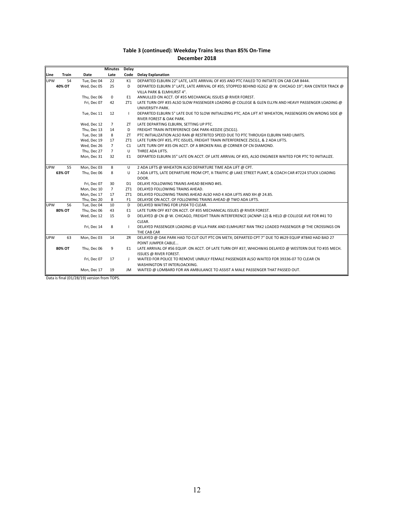|            |        |             | <b>Minutes</b>  | Delay          |                                                                                                         |
|------------|--------|-------------|-----------------|----------------|---------------------------------------------------------------------------------------------------------|
| Line       | Train  | Date        | Late            |                | Code Delay Explanation                                                                                  |
| <b>UPW</b> | 54     | Tue, Dec 04 | 22              | K1             | DEPARTED ELBURN 22" LATE, LATE ARRIVAL OF #35 AND PTC FAILED TO INITIATE ON CAB CAR 8444.               |
|            | 40% OT | Wed, Dec 05 | 25              | D              | DEPARTED ELBURN 3" LATE, LATE ARRIVAL OF #35; STOPPED BEHIND IG2G2 @ W. CHICAGO 19"; RAN CENTER TRACK @ |
|            |        |             |                 |                | VILLA PARK & ELMHURST 4".                                                                               |
|            |        | Thu, Dec 06 | $\mathsf 0$     | E1             | ANNULLED ON ACCT. OF #35 MECHANICAL ISSUES @ RIVER FOREST.                                              |
|            |        | Fri, Dec 07 | 42              | ZT1            | LATE TURN OFF #35 ALSO SLOW PASSENGER LOADING @ COLLEGE & GLEN ELLYN AND HEAVY PASSENGER LOADING @      |
|            |        |             |                 |                | UNIVERSITY-PARK.                                                                                        |
|            |        | Tue, Dec 11 | 12              | $\mathbf{I}$   | DEPARTED ELBURN 5" LATE DUE TO SLOW INITIALIZING PTC, ADA LIFT AT WHEATON, PASSENGERS ON WRONG SIDE @   |
|            |        |             |                 |                | RIVER FOREST & OAK PARK.                                                                                |
|            |        | Wed, Dec 12 | $\overline{7}$  | ZT             | LATE DEPARTING ELBURN, SETTING UP PTC.                                                                  |
|            |        | Thu, Dec 13 | 14              | D              | FREIGHT TRAIN INTERFERENCE OAK PARK-KEDZIE (ZSCG1).                                                     |
|            |        | Tue, Dec 18 | 8               | ZT             | PTC INITIALIZATION ALSO RAN @ RESTRITED SPEED DUE TO PTC THROUGH ELBURN YARD LIMITS.                    |
|            |        | Wed, Dec 19 | 17              | ZT1            | LATE TURN OFF #35, PTC ISSUES, FREIGHT TRAIN INTERFERENCE ZSCG1, & 2 ADA LIFTS.                         |
|            |        | Wed, Dec 26 | $7^{\circ}$     | C1             | LATE TURN OFF #35 ON ACCT. OF A BROKEN RAIL @ CORNER OF CN DIAMOND.                                     |
|            |        | Thu, Dec 27 | $7\overline{ }$ | U              | THREE ADA LIFTS.                                                                                        |
|            |        | Mon, Dec 31 | 32              | E1             | DEPARTED ELBURN 35" LATE ON ACCT. OF LATE ARRIVAL OF #35, ALSO ENGINEER WAITED FOR PTC TO INITIALIZE.   |
|            |        |             |                 |                |                                                                                                         |
| <b>UPW</b> | 55     | Mon, Dec 03 | 8               | U              | 2 ADA LIFTS @ WHEATON ALSO DEPARTURE TIME ADA LIFT @ CPT.                                               |
|            | 63% OT | Thu, Dec 06 | 8               | U              | 2 ADA LIFTS, LATE DEPARTURE FROM CPT, X-TRAFFIC @ LAKE STREET PLANT, & COACH CAR #7224 STUCK LOADING    |
|            |        |             |                 |                | DOOR.                                                                                                   |
|            |        | Fri, Dec 07 | 30              | D1             | DELAYE FOLLOWING TRAINS AHEAD BEHIND #45.                                                               |
|            |        | Mon, Dec 10 | $7\overline{ }$ | ZT1            | DELAYED FOLLOWING TRAINS AHEAD.                                                                         |
|            |        | Mon, Dec 17 | 17              | ZT1            | DELAYED FOLLOWING TRAINS AHEAD ALSO HAD 4 ADA LIFTS AND XH @ 24.85.                                     |
|            |        | Thu, Dec 20 | 8               | F <sub>1</sub> | DELAYDE ON ACCT. OF FOLLOWING TRAINS AHEAD @ TWO ADA LIFTS.                                             |
| <b>UPW</b> | 56     | Tue, Dec 04 | 10              | D              | DELAYED WAITING FOR LPJ04 TO CLEAR.                                                                     |
|            | 80% OT | Thu, Dec 06 | 43              | E1             | LATE TURN OFF #37 ON ACCT. OF #35 MECHANICAL ISSUES @ RIVER FOREST.                                     |
|            |        | Wed, Dec 12 | 15              | D              | DELAYED @ CN @ W. CHICAGO, FREIGHT TRAIN INTERFERENCE (ACNNP-12) & HELD @ COLLEGE AVE FOR #41 TO        |
|            |        |             |                 |                | CLEAR.                                                                                                  |
|            |        | Fri, Dec 14 | 8               | T              | DELAYED PASSENGER LOADING @ VILLA PARK AND ELMHURST RAN TRK2 LOADED PASSENGER @ THE CROSSINGS ON        |
|            |        |             |                 |                | THE CAB CAR                                                                                             |
| <b>UPW</b> | 63     | Mon, Dec 03 | 14              | ZR             | DELAYED @ OAK PARK HAD TO CUT OUT PTC ON METX; DEPARTED CPT 7" DUE TO #629 EQUIP #7840 HAD BAD 27       |
|            |        |             |                 |                | POINT JUMPER CABLE                                                                                      |
|            | 80% OT | Thu, Dec 06 | 9               | E1             | LATE ARRIVAL OF #56 EQUIP. ON ACCT. OF LATE TURN OFF #37, WHICHWAS DELAYED @ WESTERN DUE TO #35 MECH.   |
|            |        |             |                 |                | ISSUES @ RIVER FOREST.                                                                                  |
|            |        | Fri, Dec 07 | 17              | J              | WAITED FOR POLICE TO REMOVE UNRULY FEMALE PASSENGER ALSO WAITED FOR 39336-07 TO CLEAR CN                |
|            |        |             |                 |                | WASHINGTON ST INTERLOACKING.                                                                            |
|            |        | Mon, Dec 17 | 19              | JM             | WAITED @ LOMBARD FOR AN AMBULANCE TO ASSIST A MALE PASSENGER THAT PASSED OUT.                           |

Data is final (01/28/19) version from TOPS.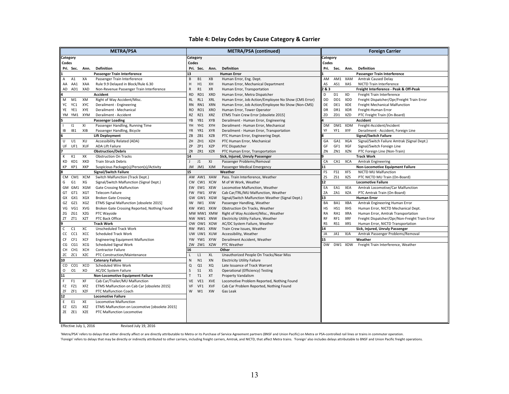#### **Table 4: Delay Codes by Cause Category & Carrier**

|                 |                |                                                       | <b>METRA/PSA</b>                             |              |                |            | METRA/PSA (continued)                                |           |                |            | <b>Foreign Carrier</b>                         |
|-----------------|----------------|-------------------------------------------------------|----------------------------------------------|--------------|----------------|------------|------------------------------------------------------|-----------|----------------|------------|------------------------------------------------|
| <b>Category</b> |                |                                                       |                                              | Category     |                |            |                                                      | Category  |                |            |                                                |
| Codes           |                |                                                       |                                              | Codes        |                |            |                                                      | Codes     |                |            |                                                |
|                 | Pri. Sec.      | Ann.                                                  | Definition                                   |              | Pri. Sec.      | Ann.       | Definition                                           |           | Pri. Sec.      | Ann.       | <b>Definition</b>                              |
|                 |                |                                                       | Passenger Train Interference                 | 13           |                |            | <b>Human Error</b>                                   |           |                |            | Passenger Train Interference                   |
| A               | A1             | XA                                                    | Passenger Train Interference                 | B            | <b>B1</b>      | XB         | Human Error, Eng. Dept.                              | AM        |                | AM1 XAM    | <b>Amtrak Caused Delay</b>                     |
|                 | AA AA1         | XAA                                                   | Rule 9.9 Delayed in Block/Rule 6.30          | Н            | H1             | XH         | Human Error, Mechanical Department                   | AS        | AS1            | XAS        | NICTD Train Interference                       |
| AD              | AD1            | XAD                                                   | Non-Revenue Passenger Train Interference     | R            | R1             | XR         | Human Error, Transportation                          | 2&3       |                |            | Freight Interference - Peak & Off-Peak         |
|                 |                |                                                       | Accident                                     | <b>RD</b>    | RD1            | <b>XRD</b> | Human Error, Metra Dispatcher                        | D         | D <sub>1</sub> | XD         | Freight Train Interference                     |
| М               | M1             | XM                                                    | Right of Way Accident/Misc.                  | <b>RL</b>    | RL1            | <b>XRL</b> | Human Error, Job Action/Employee No Show (CMS Error) | DD        | DD1            | XDD        | Freight Dispatcher/Opr/Freight Train Error     |
| YC              | YC1            | XYC                                                   | Derailment - Engineering                     | <b>RN</b>    | RN1            | <b>XRN</b> | Human Error, Job Action/Employee No Show (Non-CMS)   | DE        | DE1            | XDE        | Freight Mechanical Malfunction                 |
| YE              | YE1            | XYE                                                   | Derailment - Mechanical                      | <b>RO</b>    | RO1            | <b>XRO</b> | Human Error, Tower Operator                          | <b>DR</b> | DR1            | XDR        | Freight-Human Error                            |
|                 | YM YM1         | XYM                                                   | Derailment - Accident                        | <b>RZ</b>    | RZ1            | <b>XRZ</b> | ETMS Train Crew Error [obsolete 2015]                | ZD        | ZD1            | <b>XZD</b> | PTC Freight Train (On-Board)                   |
|                 |                |                                                       | <b>Passenger Loading</b>                     | YB           | YB1            | <b>XYB</b> | Derailment - Human Error, Engineering                |           |                |            | Accident                                       |
|                 | 11             | XI                                                    | Passenger Handling, Running Time             | YH           | YH1            | XYH        | Derailment - Human Error, Mechanical                 | <b>DM</b> |                | DM1 XDM    | Freight-Accident/Incident                      |
| IB              | IB1            | XIB                                                   | Passenger Handling, Bicycle                  | YR           | YR1            | <b>XYR</b> | Derailment - Human Error, Transportation             | YF        | YF1            | XYF        | Derailment - Accident, Foreign Line            |
|                 |                |                                                       | <b>Lift Deployment</b>                       | ZB           | ZB1            | <b>XZB</b> | PTC Human Error, Engineering Dept.                   |           |                |            | <b>Signal/Switch Failure</b>                   |
| U               | U1             | XU                                                    | Accessibility Related (ADA)                  | ZH           | ZH1            | <b>XZH</b> | PTC Human Error, Mechanical                          | GA        | GA1            | XGA        | Signal/Switch Failure Amtrak (Signal Dept.)    |
|                 | UF UF1         | <b>XUF</b>                                            | ADA Lift Failure                             | ZΡ           | ZP1            | <b>XZP</b> | PTC Dispatcher                                       | GF        | GF1            | XGF        | Signal/Switch Foreign Line                     |
|                 |                |                                                       | <b>Obstruction/Debris</b>                    | ZR           | ZR1            | <b>XZR</b> | PTC Human Error, Transportation                      | ZN        | ZN1            | XZN        | PTC Foreign Line (Non-Train)                   |
| К               | K1             | XK                                                    | <b>Obstruction On Tracks</b>                 | 14           |                |            | Sick, Injured, Unruly Passenger                      |           |                |            | <b>Track Work</b>                              |
| KD              | KD1            | XKD                                                   | <b>Train Struck Debris</b>                   | $\perp$      | J1             | XJ         | Passenger Problems/Removal                           | CA        | CA1            | XCA        | <b>Amtrak Engineering</b>                      |
| КP              | KP1            | XKP                                                   | Suspicious Package(s)/Person(s)/Activity     | JM<br>15     | JM1            | XJM        | Passenger Medical Emergency                          | 11        |                |            | <b>Non-Locomotive Equipment Failure</b>        |
|                 |                |                                                       | <b>Signal/Switch Failure</b>                 |              |                |            | Weather                                              | FS        | FS1            | <b>XFS</b> | NICTD MU Malfunction                           |
|                 |                | CM CM1 XCM                                            | Switch Malfunction (Track Dept.)             |              | AW AW1         | XAW        | Pass. Train Interference, Weather                    | ZS        | ZS1            | <b>XZS</b> | PTC NICTD MU Train (On-Board)                  |
| G               | G <sub>1</sub> | XG                                                    | Signal/Switch Malfunction (Signal Dept.)     | <b>CW</b>    | CW1 XCW        |            | M of W Work, Weather                                 | 12        |                |            | <b>Locomotive Failure</b>                      |
|                 |                | GM GM1 XGM                                            | <b>Gate Crossing Malfunction</b>             |              | EW EW1         | <b>XEW</b> | Locomotive Malfunction, Weather                      | EA        | EA1            | XEA        | Amtrak Locomotive/Car Malfunction              |
|                 | GT GT1         | <b>XGT</b>                                            | <b>Telecom Failure</b>                       | <b>FW</b>    | FW1            | <b>XFW</b> | Cab Car/TRL/MU Malfunction, Weather                  | ZA        | ZA1            | <b>XZA</b> | PTC Amtrak Train (On-Board)                    |
|                 | GX GX1         | XGX                                                   | <b>Broken Gate Crossing</b>                  | GW           | GW1            | <b>XGW</b> | Signal/Switch Malfunction Weather (Signal Dept.)     | 13        |                |            | <b>Human Error</b>                             |
| GZ              | GZ1            | XGZ                                                   | ETMS Signal Malfunction [obsolete 2015]      | IW           | IW1            | XIW        | Passenger Handling, Weather                          | BA        | BA1            | XBA        | Amtrak Engineering Human Error                 |
| VG              | VG1            | XVG                                                   | Broken Gate Crossing Reported, Nothing Found | <b>KW</b>    | KW1            | <b>XKW</b> | Obstruction On Tracks, Weather                       | HS        | HS1            | XHS        | Human Error, NICTD Mechanical Dept.            |
|                 | ZG ZG1         | XZG                                                   | PTC Wayside                                  |              |                | MW MW1 XMW | Right of Way Accident/Misc., Weather                 | RA        | RA1            | <b>XRA</b> | Human Error, Amtrak Transportation             |
| ZT              | ZT1            | <b>XZT</b>                                            | PTC Back Office                              |              |                | NW NW1 XNW | Electricity Utility Failure, Weather                 | RF        | RF1            | <b>XRF</b> | Freight Dispatcher/Opr/Non-Freight Train Error |
|                 |                |                                                       | <b>Track Work</b>                            |              |                | OW OW1 XOW | AC/DC System Failure, Weather                        | <b>RS</b> | RS1            | <b>XRS</b> | Human Error, NICTD Transportation              |
| C               | C1             | ХC                                                    | Unscheduled Track Work                       |              | RW RW1 XRW     |            | Train Crew Issues, Weather                           | 14        |                |            | Sick, Injured, Unruly Passenger                |
| СC              | CC1            | <b>XCC</b>                                            | <b>Scheduled Track Work</b>                  |              |                | UW UW1 XUW | Accessibility, Weather                               | JA        | JA1            | XJA        | Amtrak Passenger Problems/Removal              |
| CF              | CF1            | <b>XCF</b>                                            | <b>Engineering Equipment Malfunction</b>     |              | YW YW1 XYW     |            | Derailment Accident, Weather                         | 15        |                |            | Weather                                        |
| CG              | CG1            | <b>XCG</b>                                            | <b>Scheduled Signal Work</b>                 | ZW           | ZW1            | <b>XZW</b> | PTC Weather                                          | <b>DW</b> |                | DW1 XDW    | Freight Train Interference, Weather            |
|                 | CH CH1 XCH     |                                                       | <b>Contractor Failure</b>                    | 16           |                |            | Other                                                |           |                |            |                                                |
| ZC              | ZC1            | XZC                                                   | PTC Construction/Maintenance                 | $\mathsf{L}$ | L1             | XL         | Unauthorized People On Tracks/Near Miss              |           |                |            |                                                |
| 10              |                |                                                       | <b>Catenary Failure</b>                      | ${\sf N}$    | N1             | XN         | <b>Electricity Utility Failure</b>                   |           |                |            |                                                |
| CO              | CO1 XCO        |                                                       | Scheduled Wire Work                          | Q            | Q1             | XQ         | Late Issuance of Track Warrant                       |           |                |            |                                                |
| O               | 01             | XO                                                    | AC/DC System Failure                         | S<br>T       | S <sub>1</sub> | <b>XS</b>  | Operational (Efficiency) Testing                     |           |                |            |                                                |
| 11              |                |                                                       | Non-Locomotive Equipment Failure             |              | T1             | XT         | Property Vandalism                                   |           |                |            |                                                |
| F.              | F <sub>1</sub> | XF                                                    | Cab Car/Trailer/MU Malfunction               | VE           | VE1            | XVE        | Locomotive Problem Reported, Nothing Found           |           |                |            |                                                |
| FZ              | FZ1            | <b>XFZ</b>                                            | ETMS Malfunction on Cab Car [obsolete 2015]  | VF           | VF1            | <b>XVF</b> | Cab Car Problem Reported, Nothing Found              |           |                |            |                                                |
| ZF              | ZF1            | <b>XZF</b>                                            | PTC Malfunction Coach                        | W            | W1             | XW         | Gas Leak                                             |           |                |            |                                                |
| 12              |                |                                                       | <b>Locomotive Failure</b>                    |              |                |            |                                                      |           |                |            |                                                |
| E.              | E <sub>1</sub> | XE                                                    | Locomotive Malfunction                       |              |                |            |                                                      |           |                |            |                                                |
| EZ              | EZ1            | XEZ<br>ETMS Malfunction on Locomotive [obsolete 2015] |                                              |              |                |            |                                                      |           |                |            |                                                |
|                 | ZE ZE1         | XZE<br>PTC Malfunction Locomotive                     |                                              |              |                |            |                                                      |           |                |            |                                                |
|                 |                |                                                       |                                              |              |                |            |                                                      |           |                |            |                                                |

Effective July 1, 2016 Revised July 19, 2016

'Metra/PSA' refers to delays that either directly affect or are directly attributable to Metra or its Purchase of Service Agreement partners (BNSF and Union Pacific) on Metra or PSA-controlled rail lines or trains in commu 'Foreign' refers to delays that may be directly or indirectly attributed to other carriers, including freight carriers, Amtrak, and NICTD, that affect Metra trains. 'Foreign' also includes delays attributable to BNSF and U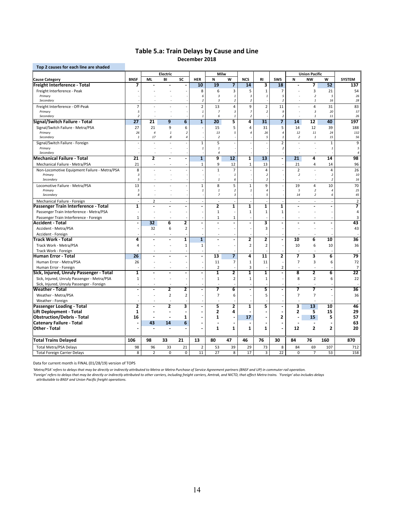## **Table 5.a: Train Delays by Cause and Line December 2018**

| Electric<br>Milw<br><b>Union Pacific</b><br>SC<br><b>SWS</b><br><b>NW</b><br><b>BNSF</b><br><b>ML</b><br>BI<br><b>HER</b><br>N<br>W<br><b>NCS</b><br>RI.<br>N<br>w<br><b>SYSTEM</b><br>19<br>10<br>14<br>3<br>18<br>52<br>137<br>7<br>7<br>7<br>3<br>54<br>Freight Interference - Peak<br>8<br>6<br>3<br>5<br>$\mathbf{1}$<br>7<br>21<br>5<br>Primary<br>6<br>$\overline{\mathbf{3}}$<br>$\mathbf{1}$<br>$\overline{3}$<br>$\overline{2}$<br>5<br>26<br>$\mathbf{1}$<br>28<br>$\overline{a}$<br>16<br>Secondary<br>$\overline{\mathbf{3}}$<br>$\overline{2}$<br>$\overline{2}$<br>$\it 1$<br>2<br>$\overline{7}$<br>$\overline{2}$<br>$\overline{\mathbf{4}}$<br>9<br>$\overline{2}$<br>11<br>31<br>83<br>Freight Interference - Off-Peak<br>13<br>$\overline{4}$<br>Primary<br>5<br>$\sqrt{3}$<br>$\overline{z}$<br>9<br>$\overline{\mathbf{3}}$<br>20<br>57<br>$\mathbf{1}$<br>$\overline{7}$<br>$\overline{2}$<br>$\overline{2}$<br>$\boldsymbol{2}$<br>26<br>Secondary<br>6<br>$\overline{2}$<br>$\it 1$<br>$11\,$<br>$\mathbf{1}$<br>$\mathbf{1}$<br>5<br>$\overline{31}$<br>$\overline{\mathbf{7}}$<br>$\overline{27}$<br>6<br>$\overline{20}$<br>12<br>40<br>197<br><b>Signal/Switch Failure - Total</b><br>21<br>9<br>$\mathbf{1}$<br>4<br>14<br>21<br>5<br>5<br>188<br>Signal/Switch Failure - Metra/PSA<br>27<br>9<br>6<br>15<br>4<br>31<br>14<br>12<br>39<br>132<br>Primary<br>26<br>$\overline{4}$<br>$\overline{2}$<br>13<br>5<br>26<br>$\sqrt{4}$<br>12<br>11<br>24<br>$\mathbf{1}$<br>$\overline{4}$<br>15<br>Secondary<br>$\it 1$<br>17<br>8<br>$\overline{4}$<br>$\overline{2}$<br>5<br>$\mathbf{1}$<br>$\overline{2}$<br>$\it 1$<br>56<br>5<br>$\overline{2}$<br>9<br>$\mathbf 1$<br>$\mathbf 1$<br>Signal/Switch Failure - Foreign<br>÷,<br>Primary<br>$\mathbf{1}$<br>$\mathbf{1}$<br>$\overline{2}$<br>$\overline{1}$<br>5<br>$\overline{4}$<br>Secondary<br>$\overline{4}$<br>÷,<br>98<br><b>Mechanical Failure - Total</b><br>21<br>2<br>$\mathbf{1}$<br>9<br>12<br>$\mathbf{1}$<br>13<br>21<br>4<br>14<br>$\blacksquare$<br>96<br>21<br>$\mathbf 1$<br>9<br>12<br>13<br>21<br>$\overline{4}$<br>Mechanical Failure - Metra/PSA<br>$\mathbf 1$<br>14<br>÷,<br>$\mathbf{1}$<br>$\overline{7}$<br>$\overline{2}$<br>26<br>8<br>$\overline{4}$<br>$\overline{4}$<br>Non-Locomotive Equipment Failure - Metra/PSA<br>$\overline{\phantom{a}}$<br>$\boldsymbol{\mathcal{S}}$<br>10<br>Primary<br>$\it 1$<br>$\overline{2}$<br>$\overline{2}$<br>$\overline{2}$<br>5<br>6<br>16<br>Secondary<br>$\mathbf{1}$<br>$\overline{2}$<br>$\overline{2}$<br>÷<br>5<br>70<br>Locomotive Failure - Metra/PSA<br>13<br>$\mathbf 1$<br>8<br>$\mathbf 1$<br>9<br>19<br>10<br>4<br>$\boldsymbol{2}$<br>25<br>Primary<br>5<br>$\mathbf{1}$<br>$\mathbf{1}$<br>5<br>$\overline{2}$<br>$\overline{1}$<br>$\overline{4}$<br>4<br>$\boldsymbol{s}$<br>$\overline{7}$<br>$\sqrt{3}$<br>45<br>5<br>14<br>$\boldsymbol{2}$<br>Secondary<br>6<br>$\mathbf 2$<br>$\overline{2}$<br>Mechanical Failure - Foreign<br>÷,<br>$\sim$<br>÷,<br>$\overline{a}$<br>L,<br>$\sim$<br>T<br>$\overline{\mathbf{2}}$<br>1<br>1<br>1<br>1<br>7<br>Passenger Train Interference - Total<br>$\overline{\phantom{a}}$<br>$\overline{\phantom{a}}$<br>$\blacksquare$<br>$\blacksquare$<br>$\blacksquare$<br>$\mathbf{1}$<br>Passenger Train Interference - Metra/PSA<br>$\mathbf 1$<br>$\mathbf{1}$<br>$1\,$<br>4<br>Passenger Train Interference - Foreign<br>$\mathbf{1}$<br>3<br>1<br>1<br>6<br>2<br>3<br>43<br>32<br>$\blacksquare$<br>L.<br>L,<br>$\blacksquare$<br>$\overline{2}$<br>$\overline{3}$<br>43<br>Accident - Metra/PSA<br>32<br>6<br>Accident - Foreign<br>2<br>6<br>10<br><b>Track Work - Total</b><br>4<br>1<br>$\mathbf{1}$<br>2<br>10<br>36<br>ä,<br>L,<br>$\blacksquare$<br>Track Work - Metra/PSA<br>$\mathbf 2$<br>$\overline{2}$<br>10<br>6<br>10<br>36<br>$\overline{4}$<br>$\mathbf 1$<br>$\mathbf 1$<br>ä,<br>Track Work - Foreign<br>13<br>7<br>4<br>2<br>7<br>3<br>6<br>79<br><b>Human Error - Total</b><br>26<br>11<br>$\overline{7}$<br>$\overline{7}$<br>$\overline{3}$<br>72<br>Human Error - Metra/PSA<br>26<br>11<br>$\mathbf 1$<br>11<br>6<br>ä,<br>$\overline{2}$<br>$\overline{7}$<br>3<br>$\overline{2}$<br>Human Error - Foreign<br>2<br>8<br>$\overline{2}$<br>6<br>22<br>$\mathbf{1}$<br>1<br>1<br>1<br>Sick, Injured, Unruly Passenger - Metra/PSA<br>$\mathbf{1}$<br>$\overline{2}$<br>8<br>$\overline{2}$<br>6<br>22<br>$\mathbf{1}$<br>1<br>1<br>Sick, Injured, Unruly Passenger - Foreign<br>6<br>5<br>7<br>36<br>2<br>7<br>$\overline{ }$<br>2<br>ä,<br>L.<br>$\overline{a}$<br>$\blacksquare$<br>$\blacksquare$<br>÷.<br>$\overline{2}$<br>$\overline{7}$<br>6<br>$\overline{7}$<br>$\overline{7}$<br>36<br>Weather - Metra/PSA<br>$\overline{2}$<br>5<br>Weather - Foreign<br>$\overline{a}$<br>$\overline{a}$<br>$\overline{a}$<br>$\overline{\mathbf{2}}$<br>5<br>2<br>$\overline{13}$<br>46<br>$\overline{2}$<br>3<br>$\overline{\mathbf{1}}$<br>5<br>3<br>10<br>Passenger Loading - Total<br>$\overline{\phantom{a}}$<br>$\blacksquare$<br>Lift Deployment - Total<br>$\mathbf{1}$<br>2<br>4<br>2<br>5<br>15<br>29<br>$\blacksquare$<br>57<br><b>Obstruction/Debris - Total</b><br>16<br>1<br>17<br>2<br>15<br>5<br>1<br>$\overline{a}$<br>$\blacksquare$<br>63<br>6<br>43<br>14<br>Î.<br>$\blacksquare$<br>$\overline{2}$<br>$\mathbf{1}$<br>$\mathbf{1}$<br>$\mathbf{1}$<br>$\mathbf{1}$<br>12<br>$\overline{2}$<br>20<br>ä,<br>÷<br>106<br>98<br>33<br>21<br>13<br>80<br>47<br>46<br>76<br>30<br>84<br>76<br>160<br>870<br><b>Total Metra/PSA Delays</b><br>21<br>73<br>712<br>98<br>96<br>33<br>$\overline{2}$<br>53<br>39<br>29<br>8<br>84<br>69<br>107<br>22<br>8<br>$\overline{2}$<br>$\pmb{0}$<br>$\mathsf 0$<br>11<br>27<br>8<br>17<br>3<br>$\pmb{0}$<br>$\overline{7}$<br>158<br><b>Total Foreign Carrier Delays</b><br>53 | Top 2 causes for each line are shaded   |  |  |  |  |  |  |  |
|--------------------------------------------------------------------------------------------------------------------------------------------------------------------------------------------------------------------------------------------------------------------------------------------------------------------------------------------------------------------------------------------------------------------------------------------------------------------------------------------------------------------------------------------------------------------------------------------------------------------------------------------------------------------------------------------------------------------------------------------------------------------------------------------------------------------------------------------------------------------------------------------------------------------------------------------------------------------------------------------------------------------------------------------------------------------------------------------------------------------------------------------------------------------------------------------------------------------------------------------------------------------------------------------------------------------------------------------------------------------------------------------------------------------------------------------------------------------------------------------------------------------------------------------------------------------------------------------------------------------------------------------------------------------------------------------------------------------------------------------------------------------------------------------------------------------------------------------------------------------------------------------------------------------------------------------------------------------------------------------------------------------------------------------------------------------------------------------------------------------------------------------------------------------------------------------------------------------------------------------------------------------------------------------------------------------------------------------------------------------------------------------------------------------------------------------------------------------------------------------------------------------------------------------------------------------------------------------------------------------------------------------------------------------------------------------------------------------------------------------------------------------------------------------------------------------------------------------------------------------------------------------------------------------------------------------------------------------------------------------------------------------------------------------------------------------------------------------------------------------------------------------------------------------------------------------------------------------------------------------------------------------------------------------------------------------------------------------------------------------------------------------------------------------------------------------------------------------------------------------------------------------------------------------------------------------------------------------------------------------------------------------------------------------------------------------------------------------------------------------------------------------------------------------------------------------------------------------------------------------------------------------------------------------------------------------------------------------------------------------------------------------------------------------------------------------------------------------------------------------------------------------------------------------------------------------------------------------------------------------------------------------------------------------------------------------------------------------------------------------------------------------------------------------------------------------------------------------------------------------------------------------------------------------------------------------------------------------------------------------------------------------------------------------------------------------------------------------------------------------------------------------------------------------------------------------------------------------------------------------------------------------------------------------------------------------------------------------------------------------------------------------------------------------------------------------------------------------------------------------------------------------------------------------------------------------------------------------------------------------------------------------------------------------------------------------------------------------------------------------------------------------------------------------------------------------------------------------------------------------------------------------------------------------------------------------------------------------------------------------------------------------------------------------------------------------------------------------------------------------------------------------------------------------------------------------------------------------------------------------|-----------------------------------------|--|--|--|--|--|--|--|
|                                                                                                                                                                                                                                                                                                                                                                                                                                                                                                                                                                                                                                                                                                                                                                                                                                                                                                                                                                                                                                                                                                                                                                                                                                                                                                                                                                                                                                                                                                                                                                                                                                                                                                                                                                                                                                                                                                                                                                                                                                                                                                                                                                                                                                                                                                                                                                                                                                                                                                                                                                                                                                                                                                                                                                                                                                                                                                                                                                                                                                                                                                                                                                                                                                                                                                                                                                                                                                                                                                                                                                                                                                                                                                                                                                                                                                                                                                                                                                                                                                                                                                                                                                                                                                                                                                                                                                                                                                                                                                                                                                                                                                                                                                                                                                                                                                                                                                                                                                                                                                                                                                                                                                                                                                                                                                                                                                                                                                                                                                                                                                                                                                                                                                                                                                                                                                                                    |                                         |  |  |  |  |  |  |  |
|                                                                                                                                                                                                                                                                                                                                                                                                                                                                                                                                                                                                                                                                                                                                                                                                                                                                                                                                                                                                                                                                                                                                                                                                                                                                                                                                                                                                                                                                                                                                                                                                                                                                                                                                                                                                                                                                                                                                                                                                                                                                                                                                                                                                                                                                                                                                                                                                                                                                                                                                                                                                                                                                                                                                                                                                                                                                                                                                                                                                                                                                                                                                                                                                                                                                                                                                                                                                                                                                                                                                                                                                                                                                                                                                                                                                                                                                                                                                                                                                                                                                                                                                                                                                                                                                                                                                                                                                                                                                                                                                                                                                                                                                                                                                                                                                                                                                                                                                                                                                                                                                                                                                                                                                                                                                                                                                                                                                                                                                                                                                                                                                                                                                                                                                                                                                                                                                    | <b>Cause Category</b>                   |  |  |  |  |  |  |  |
|                                                                                                                                                                                                                                                                                                                                                                                                                                                                                                                                                                                                                                                                                                                                                                                                                                                                                                                                                                                                                                                                                                                                                                                                                                                                                                                                                                                                                                                                                                                                                                                                                                                                                                                                                                                                                                                                                                                                                                                                                                                                                                                                                                                                                                                                                                                                                                                                                                                                                                                                                                                                                                                                                                                                                                                                                                                                                                                                                                                                                                                                                                                                                                                                                                                                                                                                                                                                                                                                                                                                                                                                                                                                                                                                                                                                                                                                                                                                                                                                                                                                                                                                                                                                                                                                                                                                                                                                                                                                                                                                                                                                                                                                                                                                                                                                                                                                                                                                                                                                                                                                                                                                                                                                                                                                                                                                                                                                                                                                                                                                                                                                                                                                                                                                                                                                                                                                    | Freight Interference - Total            |  |  |  |  |  |  |  |
|                                                                                                                                                                                                                                                                                                                                                                                                                                                                                                                                                                                                                                                                                                                                                                                                                                                                                                                                                                                                                                                                                                                                                                                                                                                                                                                                                                                                                                                                                                                                                                                                                                                                                                                                                                                                                                                                                                                                                                                                                                                                                                                                                                                                                                                                                                                                                                                                                                                                                                                                                                                                                                                                                                                                                                                                                                                                                                                                                                                                                                                                                                                                                                                                                                                                                                                                                                                                                                                                                                                                                                                                                                                                                                                                                                                                                                                                                                                                                                                                                                                                                                                                                                                                                                                                                                                                                                                                                                                                                                                                                                                                                                                                                                                                                                                                                                                                                                                                                                                                                                                                                                                                                                                                                                                                                                                                                                                                                                                                                                                                                                                                                                                                                                                                                                                                                                                                    |                                         |  |  |  |  |  |  |  |
|                                                                                                                                                                                                                                                                                                                                                                                                                                                                                                                                                                                                                                                                                                                                                                                                                                                                                                                                                                                                                                                                                                                                                                                                                                                                                                                                                                                                                                                                                                                                                                                                                                                                                                                                                                                                                                                                                                                                                                                                                                                                                                                                                                                                                                                                                                                                                                                                                                                                                                                                                                                                                                                                                                                                                                                                                                                                                                                                                                                                                                                                                                                                                                                                                                                                                                                                                                                                                                                                                                                                                                                                                                                                                                                                                                                                                                                                                                                                                                                                                                                                                                                                                                                                                                                                                                                                                                                                                                                                                                                                                                                                                                                                                                                                                                                                                                                                                                                                                                                                                                                                                                                                                                                                                                                                                                                                                                                                                                                                                                                                                                                                                                                                                                                                                                                                                                                                    |                                         |  |  |  |  |  |  |  |
|                                                                                                                                                                                                                                                                                                                                                                                                                                                                                                                                                                                                                                                                                                                                                                                                                                                                                                                                                                                                                                                                                                                                                                                                                                                                                                                                                                                                                                                                                                                                                                                                                                                                                                                                                                                                                                                                                                                                                                                                                                                                                                                                                                                                                                                                                                                                                                                                                                                                                                                                                                                                                                                                                                                                                                                                                                                                                                                                                                                                                                                                                                                                                                                                                                                                                                                                                                                                                                                                                                                                                                                                                                                                                                                                                                                                                                                                                                                                                                                                                                                                                                                                                                                                                                                                                                                                                                                                                                                                                                                                                                                                                                                                                                                                                                                                                                                                                                                                                                                                                                                                                                                                                                                                                                                                                                                                                                                                                                                                                                                                                                                                                                                                                                                                                                                                                                                                    |                                         |  |  |  |  |  |  |  |
|                                                                                                                                                                                                                                                                                                                                                                                                                                                                                                                                                                                                                                                                                                                                                                                                                                                                                                                                                                                                                                                                                                                                                                                                                                                                                                                                                                                                                                                                                                                                                                                                                                                                                                                                                                                                                                                                                                                                                                                                                                                                                                                                                                                                                                                                                                                                                                                                                                                                                                                                                                                                                                                                                                                                                                                                                                                                                                                                                                                                                                                                                                                                                                                                                                                                                                                                                                                                                                                                                                                                                                                                                                                                                                                                                                                                                                                                                                                                                                                                                                                                                                                                                                                                                                                                                                                                                                                                                                                                                                                                                                                                                                                                                                                                                                                                                                                                                                                                                                                                                                                                                                                                                                                                                                                                                                                                                                                                                                                                                                                                                                                                                                                                                                                                                                                                                                                                    |                                         |  |  |  |  |  |  |  |
|                                                                                                                                                                                                                                                                                                                                                                                                                                                                                                                                                                                                                                                                                                                                                                                                                                                                                                                                                                                                                                                                                                                                                                                                                                                                                                                                                                                                                                                                                                                                                                                                                                                                                                                                                                                                                                                                                                                                                                                                                                                                                                                                                                                                                                                                                                                                                                                                                                                                                                                                                                                                                                                                                                                                                                                                                                                                                                                                                                                                                                                                                                                                                                                                                                                                                                                                                                                                                                                                                                                                                                                                                                                                                                                                                                                                                                                                                                                                                                                                                                                                                                                                                                                                                                                                                                                                                                                                                                                                                                                                                                                                                                                                                                                                                                                                                                                                                                                                                                                                                                                                                                                                                                                                                                                                                                                                                                                                                                                                                                                                                                                                                                                                                                                                                                                                                                                                    |                                         |  |  |  |  |  |  |  |
|                                                                                                                                                                                                                                                                                                                                                                                                                                                                                                                                                                                                                                                                                                                                                                                                                                                                                                                                                                                                                                                                                                                                                                                                                                                                                                                                                                                                                                                                                                                                                                                                                                                                                                                                                                                                                                                                                                                                                                                                                                                                                                                                                                                                                                                                                                                                                                                                                                                                                                                                                                                                                                                                                                                                                                                                                                                                                                                                                                                                                                                                                                                                                                                                                                                                                                                                                                                                                                                                                                                                                                                                                                                                                                                                                                                                                                                                                                                                                                                                                                                                                                                                                                                                                                                                                                                                                                                                                                                                                                                                                                                                                                                                                                                                                                                                                                                                                                                                                                                                                                                                                                                                                                                                                                                                                                                                                                                                                                                                                                                                                                                                                                                                                                                                                                                                                                                                    |                                         |  |  |  |  |  |  |  |
|                                                                                                                                                                                                                                                                                                                                                                                                                                                                                                                                                                                                                                                                                                                                                                                                                                                                                                                                                                                                                                                                                                                                                                                                                                                                                                                                                                                                                                                                                                                                                                                                                                                                                                                                                                                                                                                                                                                                                                                                                                                                                                                                                                                                                                                                                                                                                                                                                                                                                                                                                                                                                                                                                                                                                                                                                                                                                                                                                                                                                                                                                                                                                                                                                                                                                                                                                                                                                                                                                                                                                                                                                                                                                                                                                                                                                                                                                                                                                                                                                                                                                                                                                                                                                                                                                                                                                                                                                                                                                                                                                                                                                                                                                                                                                                                                                                                                                                                                                                                                                                                                                                                                                                                                                                                                                                                                                                                                                                                                                                                                                                                                                                                                                                                                                                                                                                                                    |                                         |  |  |  |  |  |  |  |
|                                                                                                                                                                                                                                                                                                                                                                                                                                                                                                                                                                                                                                                                                                                                                                                                                                                                                                                                                                                                                                                                                                                                                                                                                                                                                                                                                                                                                                                                                                                                                                                                                                                                                                                                                                                                                                                                                                                                                                                                                                                                                                                                                                                                                                                                                                                                                                                                                                                                                                                                                                                                                                                                                                                                                                                                                                                                                                                                                                                                                                                                                                                                                                                                                                                                                                                                                                                                                                                                                                                                                                                                                                                                                                                                                                                                                                                                                                                                                                                                                                                                                                                                                                                                                                                                                                                                                                                                                                                                                                                                                                                                                                                                                                                                                                                                                                                                                                                                                                                                                                                                                                                                                                                                                                                                                                                                                                                                                                                                                                                                                                                                                                                                                                                                                                                                                                                                    |                                         |  |  |  |  |  |  |  |
|                                                                                                                                                                                                                                                                                                                                                                                                                                                                                                                                                                                                                                                                                                                                                                                                                                                                                                                                                                                                                                                                                                                                                                                                                                                                                                                                                                                                                                                                                                                                                                                                                                                                                                                                                                                                                                                                                                                                                                                                                                                                                                                                                                                                                                                                                                                                                                                                                                                                                                                                                                                                                                                                                                                                                                                                                                                                                                                                                                                                                                                                                                                                                                                                                                                                                                                                                                                                                                                                                                                                                                                                                                                                                                                                                                                                                                                                                                                                                                                                                                                                                                                                                                                                                                                                                                                                                                                                                                                                                                                                                                                                                                                                                                                                                                                                                                                                                                                                                                                                                                                                                                                                                                                                                                                                                                                                                                                                                                                                                                                                                                                                                                                                                                                                                                                                                                                                    |                                         |  |  |  |  |  |  |  |
|                                                                                                                                                                                                                                                                                                                                                                                                                                                                                                                                                                                                                                                                                                                                                                                                                                                                                                                                                                                                                                                                                                                                                                                                                                                                                                                                                                                                                                                                                                                                                                                                                                                                                                                                                                                                                                                                                                                                                                                                                                                                                                                                                                                                                                                                                                                                                                                                                                                                                                                                                                                                                                                                                                                                                                                                                                                                                                                                                                                                                                                                                                                                                                                                                                                                                                                                                                                                                                                                                                                                                                                                                                                                                                                                                                                                                                                                                                                                                                                                                                                                                                                                                                                                                                                                                                                                                                                                                                                                                                                                                                                                                                                                                                                                                                                                                                                                                                                                                                                                                                                                                                                                                                                                                                                                                                                                                                                                                                                                                                                                                                                                                                                                                                                                                                                                                                                                    |                                         |  |  |  |  |  |  |  |
|                                                                                                                                                                                                                                                                                                                                                                                                                                                                                                                                                                                                                                                                                                                                                                                                                                                                                                                                                                                                                                                                                                                                                                                                                                                                                                                                                                                                                                                                                                                                                                                                                                                                                                                                                                                                                                                                                                                                                                                                                                                                                                                                                                                                                                                                                                                                                                                                                                                                                                                                                                                                                                                                                                                                                                                                                                                                                                                                                                                                                                                                                                                                                                                                                                                                                                                                                                                                                                                                                                                                                                                                                                                                                                                                                                                                                                                                                                                                                                                                                                                                                                                                                                                                                                                                                                                                                                                                                                                                                                                                                                                                                                                                                                                                                                                                                                                                                                                                                                                                                                                                                                                                                                                                                                                                                                                                                                                                                                                                                                                                                                                                                                                                                                                                                                                                                                                                    |                                         |  |  |  |  |  |  |  |
|                                                                                                                                                                                                                                                                                                                                                                                                                                                                                                                                                                                                                                                                                                                                                                                                                                                                                                                                                                                                                                                                                                                                                                                                                                                                                                                                                                                                                                                                                                                                                                                                                                                                                                                                                                                                                                                                                                                                                                                                                                                                                                                                                                                                                                                                                                                                                                                                                                                                                                                                                                                                                                                                                                                                                                                                                                                                                                                                                                                                                                                                                                                                                                                                                                                                                                                                                                                                                                                                                                                                                                                                                                                                                                                                                                                                                                                                                                                                                                                                                                                                                                                                                                                                                                                                                                                                                                                                                                                                                                                                                                                                                                                                                                                                                                                                                                                                                                                                                                                                                                                                                                                                                                                                                                                                                                                                                                                                                                                                                                                                                                                                                                                                                                                                                                                                                                                                    |                                         |  |  |  |  |  |  |  |
|                                                                                                                                                                                                                                                                                                                                                                                                                                                                                                                                                                                                                                                                                                                                                                                                                                                                                                                                                                                                                                                                                                                                                                                                                                                                                                                                                                                                                                                                                                                                                                                                                                                                                                                                                                                                                                                                                                                                                                                                                                                                                                                                                                                                                                                                                                                                                                                                                                                                                                                                                                                                                                                                                                                                                                                                                                                                                                                                                                                                                                                                                                                                                                                                                                                                                                                                                                                                                                                                                                                                                                                                                                                                                                                                                                                                                                                                                                                                                                                                                                                                                                                                                                                                                                                                                                                                                                                                                                                                                                                                                                                                                                                                                                                                                                                                                                                                                                                                                                                                                                                                                                                                                                                                                                                                                                                                                                                                                                                                                                                                                                                                                                                                                                                                                                                                                                                                    |                                         |  |  |  |  |  |  |  |
|                                                                                                                                                                                                                                                                                                                                                                                                                                                                                                                                                                                                                                                                                                                                                                                                                                                                                                                                                                                                                                                                                                                                                                                                                                                                                                                                                                                                                                                                                                                                                                                                                                                                                                                                                                                                                                                                                                                                                                                                                                                                                                                                                                                                                                                                                                                                                                                                                                                                                                                                                                                                                                                                                                                                                                                                                                                                                                                                                                                                                                                                                                                                                                                                                                                                                                                                                                                                                                                                                                                                                                                                                                                                                                                                                                                                                                                                                                                                                                                                                                                                                                                                                                                                                                                                                                                                                                                                                                                                                                                                                                                                                                                                                                                                                                                                                                                                                                                                                                                                                                                                                                                                                                                                                                                                                                                                                                                                                                                                                                                                                                                                                                                                                                                                                                                                                                                                    |                                         |  |  |  |  |  |  |  |
|                                                                                                                                                                                                                                                                                                                                                                                                                                                                                                                                                                                                                                                                                                                                                                                                                                                                                                                                                                                                                                                                                                                                                                                                                                                                                                                                                                                                                                                                                                                                                                                                                                                                                                                                                                                                                                                                                                                                                                                                                                                                                                                                                                                                                                                                                                                                                                                                                                                                                                                                                                                                                                                                                                                                                                                                                                                                                                                                                                                                                                                                                                                                                                                                                                                                                                                                                                                                                                                                                                                                                                                                                                                                                                                                                                                                                                                                                                                                                                                                                                                                                                                                                                                                                                                                                                                                                                                                                                                                                                                                                                                                                                                                                                                                                                                                                                                                                                                                                                                                                                                                                                                                                                                                                                                                                                                                                                                                                                                                                                                                                                                                                                                                                                                                                                                                                                                                    |                                         |  |  |  |  |  |  |  |
|                                                                                                                                                                                                                                                                                                                                                                                                                                                                                                                                                                                                                                                                                                                                                                                                                                                                                                                                                                                                                                                                                                                                                                                                                                                                                                                                                                                                                                                                                                                                                                                                                                                                                                                                                                                                                                                                                                                                                                                                                                                                                                                                                                                                                                                                                                                                                                                                                                                                                                                                                                                                                                                                                                                                                                                                                                                                                                                                                                                                                                                                                                                                                                                                                                                                                                                                                                                                                                                                                                                                                                                                                                                                                                                                                                                                                                                                                                                                                                                                                                                                                                                                                                                                                                                                                                                                                                                                                                                                                                                                                                                                                                                                                                                                                                                                                                                                                                                                                                                                                                                                                                                                                                                                                                                                                                                                                                                                                                                                                                                                                                                                                                                                                                                                                                                                                                                                    |                                         |  |  |  |  |  |  |  |
|                                                                                                                                                                                                                                                                                                                                                                                                                                                                                                                                                                                                                                                                                                                                                                                                                                                                                                                                                                                                                                                                                                                                                                                                                                                                                                                                                                                                                                                                                                                                                                                                                                                                                                                                                                                                                                                                                                                                                                                                                                                                                                                                                                                                                                                                                                                                                                                                                                                                                                                                                                                                                                                                                                                                                                                                                                                                                                                                                                                                                                                                                                                                                                                                                                                                                                                                                                                                                                                                                                                                                                                                                                                                                                                                                                                                                                                                                                                                                                                                                                                                                                                                                                                                                                                                                                                                                                                                                                                                                                                                                                                                                                                                                                                                                                                                                                                                                                                                                                                                                                                                                                                                                                                                                                                                                                                                                                                                                                                                                                                                                                                                                                                                                                                                                                                                                                                                    |                                         |  |  |  |  |  |  |  |
|                                                                                                                                                                                                                                                                                                                                                                                                                                                                                                                                                                                                                                                                                                                                                                                                                                                                                                                                                                                                                                                                                                                                                                                                                                                                                                                                                                                                                                                                                                                                                                                                                                                                                                                                                                                                                                                                                                                                                                                                                                                                                                                                                                                                                                                                                                                                                                                                                                                                                                                                                                                                                                                                                                                                                                                                                                                                                                                                                                                                                                                                                                                                                                                                                                                                                                                                                                                                                                                                                                                                                                                                                                                                                                                                                                                                                                                                                                                                                                                                                                                                                                                                                                                                                                                                                                                                                                                                                                                                                                                                                                                                                                                                                                                                                                                                                                                                                                                                                                                                                                                                                                                                                                                                                                                                                                                                                                                                                                                                                                                                                                                                                                                                                                                                                                                                                                                                    |                                         |  |  |  |  |  |  |  |
|                                                                                                                                                                                                                                                                                                                                                                                                                                                                                                                                                                                                                                                                                                                                                                                                                                                                                                                                                                                                                                                                                                                                                                                                                                                                                                                                                                                                                                                                                                                                                                                                                                                                                                                                                                                                                                                                                                                                                                                                                                                                                                                                                                                                                                                                                                                                                                                                                                                                                                                                                                                                                                                                                                                                                                                                                                                                                                                                                                                                                                                                                                                                                                                                                                                                                                                                                                                                                                                                                                                                                                                                                                                                                                                                                                                                                                                                                                                                                                                                                                                                                                                                                                                                                                                                                                                                                                                                                                                                                                                                                                                                                                                                                                                                                                                                                                                                                                                                                                                                                                                                                                                                                                                                                                                                                                                                                                                                                                                                                                                                                                                                                                                                                                                                                                                                                                                                    |                                         |  |  |  |  |  |  |  |
|                                                                                                                                                                                                                                                                                                                                                                                                                                                                                                                                                                                                                                                                                                                                                                                                                                                                                                                                                                                                                                                                                                                                                                                                                                                                                                                                                                                                                                                                                                                                                                                                                                                                                                                                                                                                                                                                                                                                                                                                                                                                                                                                                                                                                                                                                                                                                                                                                                                                                                                                                                                                                                                                                                                                                                                                                                                                                                                                                                                                                                                                                                                                                                                                                                                                                                                                                                                                                                                                                                                                                                                                                                                                                                                                                                                                                                                                                                                                                                                                                                                                                                                                                                                                                                                                                                                                                                                                                                                                                                                                                                                                                                                                                                                                                                                                                                                                                                                                                                                                                                                                                                                                                                                                                                                                                                                                                                                                                                                                                                                                                                                                                                                                                                                                                                                                                                                                    |                                         |  |  |  |  |  |  |  |
|                                                                                                                                                                                                                                                                                                                                                                                                                                                                                                                                                                                                                                                                                                                                                                                                                                                                                                                                                                                                                                                                                                                                                                                                                                                                                                                                                                                                                                                                                                                                                                                                                                                                                                                                                                                                                                                                                                                                                                                                                                                                                                                                                                                                                                                                                                                                                                                                                                                                                                                                                                                                                                                                                                                                                                                                                                                                                                                                                                                                                                                                                                                                                                                                                                                                                                                                                                                                                                                                                                                                                                                                                                                                                                                                                                                                                                                                                                                                                                                                                                                                                                                                                                                                                                                                                                                                                                                                                                                                                                                                                                                                                                                                                                                                                                                                                                                                                                                                                                                                                                                                                                                                                                                                                                                                                                                                                                                                                                                                                                                                                                                                                                                                                                                                                                                                                                                                    |                                         |  |  |  |  |  |  |  |
|                                                                                                                                                                                                                                                                                                                                                                                                                                                                                                                                                                                                                                                                                                                                                                                                                                                                                                                                                                                                                                                                                                                                                                                                                                                                                                                                                                                                                                                                                                                                                                                                                                                                                                                                                                                                                                                                                                                                                                                                                                                                                                                                                                                                                                                                                                                                                                                                                                                                                                                                                                                                                                                                                                                                                                                                                                                                                                                                                                                                                                                                                                                                                                                                                                                                                                                                                                                                                                                                                                                                                                                                                                                                                                                                                                                                                                                                                                                                                                                                                                                                                                                                                                                                                                                                                                                                                                                                                                                                                                                                                                                                                                                                                                                                                                                                                                                                                                                                                                                                                                                                                                                                                                                                                                                                                                                                                                                                                                                                                                                                                                                                                                                                                                                                                                                                                                                                    |                                         |  |  |  |  |  |  |  |
|                                                                                                                                                                                                                                                                                                                                                                                                                                                                                                                                                                                                                                                                                                                                                                                                                                                                                                                                                                                                                                                                                                                                                                                                                                                                                                                                                                                                                                                                                                                                                                                                                                                                                                                                                                                                                                                                                                                                                                                                                                                                                                                                                                                                                                                                                                                                                                                                                                                                                                                                                                                                                                                                                                                                                                                                                                                                                                                                                                                                                                                                                                                                                                                                                                                                                                                                                                                                                                                                                                                                                                                                                                                                                                                                                                                                                                                                                                                                                                                                                                                                                                                                                                                                                                                                                                                                                                                                                                                                                                                                                                                                                                                                                                                                                                                                                                                                                                                                                                                                                                                                                                                                                                                                                                                                                                                                                                                                                                                                                                                                                                                                                                                                                                                                                                                                                                                                    |                                         |  |  |  |  |  |  |  |
|                                                                                                                                                                                                                                                                                                                                                                                                                                                                                                                                                                                                                                                                                                                                                                                                                                                                                                                                                                                                                                                                                                                                                                                                                                                                                                                                                                                                                                                                                                                                                                                                                                                                                                                                                                                                                                                                                                                                                                                                                                                                                                                                                                                                                                                                                                                                                                                                                                                                                                                                                                                                                                                                                                                                                                                                                                                                                                                                                                                                                                                                                                                                                                                                                                                                                                                                                                                                                                                                                                                                                                                                                                                                                                                                                                                                                                                                                                                                                                                                                                                                                                                                                                                                                                                                                                                                                                                                                                                                                                                                                                                                                                                                                                                                                                                                                                                                                                                                                                                                                                                                                                                                                                                                                                                                                                                                                                                                                                                                                                                                                                                                                                                                                                                                                                                                                                                                    |                                         |  |  |  |  |  |  |  |
|                                                                                                                                                                                                                                                                                                                                                                                                                                                                                                                                                                                                                                                                                                                                                                                                                                                                                                                                                                                                                                                                                                                                                                                                                                                                                                                                                                                                                                                                                                                                                                                                                                                                                                                                                                                                                                                                                                                                                                                                                                                                                                                                                                                                                                                                                                                                                                                                                                                                                                                                                                                                                                                                                                                                                                                                                                                                                                                                                                                                                                                                                                                                                                                                                                                                                                                                                                                                                                                                                                                                                                                                                                                                                                                                                                                                                                                                                                                                                                                                                                                                                                                                                                                                                                                                                                                                                                                                                                                                                                                                                                                                                                                                                                                                                                                                                                                                                                                                                                                                                                                                                                                                                                                                                                                                                                                                                                                                                                                                                                                                                                                                                                                                                                                                                                                                                                                                    | <b>Accident - Total</b>                 |  |  |  |  |  |  |  |
|                                                                                                                                                                                                                                                                                                                                                                                                                                                                                                                                                                                                                                                                                                                                                                                                                                                                                                                                                                                                                                                                                                                                                                                                                                                                                                                                                                                                                                                                                                                                                                                                                                                                                                                                                                                                                                                                                                                                                                                                                                                                                                                                                                                                                                                                                                                                                                                                                                                                                                                                                                                                                                                                                                                                                                                                                                                                                                                                                                                                                                                                                                                                                                                                                                                                                                                                                                                                                                                                                                                                                                                                                                                                                                                                                                                                                                                                                                                                                                                                                                                                                                                                                                                                                                                                                                                                                                                                                                                                                                                                                                                                                                                                                                                                                                                                                                                                                                                                                                                                                                                                                                                                                                                                                                                                                                                                                                                                                                                                                                                                                                                                                                                                                                                                                                                                                                                                    |                                         |  |  |  |  |  |  |  |
|                                                                                                                                                                                                                                                                                                                                                                                                                                                                                                                                                                                                                                                                                                                                                                                                                                                                                                                                                                                                                                                                                                                                                                                                                                                                                                                                                                                                                                                                                                                                                                                                                                                                                                                                                                                                                                                                                                                                                                                                                                                                                                                                                                                                                                                                                                                                                                                                                                                                                                                                                                                                                                                                                                                                                                                                                                                                                                                                                                                                                                                                                                                                                                                                                                                                                                                                                                                                                                                                                                                                                                                                                                                                                                                                                                                                                                                                                                                                                                                                                                                                                                                                                                                                                                                                                                                                                                                                                                                                                                                                                                                                                                                                                                                                                                                                                                                                                                                                                                                                                                                                                                                                                                                                                                                                                                                                                                                                                                                                                                                                                                                                                                                                                                                                                                                                                                                                    |                                         |  |  |  |  |  |  |  |
|                                                                                                                                                                                                                                                                                                                                                                                                                                                                                                                                                                                                                                                                                                                                                                                                                                                                                                                                                                                                                                                                                                                                                                                                                                                                                                                                                                                                                                                                                                                                                                                                                                                                                                                                                                                                                                                                                                                                                                                                                                                                                                                                                                                                                                                                                                                                                                                                                                                                                                                                                                                                                                                                                                                                                                                                                                                                                                                                                                                                                                                                                                                                                                                                                                                                                                                                                                                                                                                                                                                                                                                                                                                                                                                                                                                                                                                                                                                                                                                                                                                                                                                                                                                                                                                                                                                                                                                                                                                                                                                                                                                                                                                                                                                                                                                                                                                                                                                                                                                                                                                                                                                                                                                                                                                                                                                                                                                                                                                                                                                                                                                                                                                                                                                                                                                                                                                                    |                                         |  |  |  |  |  |  |  |
|                                                                                                                                                                                                                                                                                                                                                                                                                                                                                                                                                                                                                                                                                                                                                                                                                                                                                                                                                                                                                                                                                                                                                                                                                                                                                                                                                                                                                                                                                                                                                                                                                                                                                                                                                                                                                                                                                                                                                                                                                                                                                                                                                                                                                                                                                                                                                                                                                                                                                                                                                                                                                                                                                                                                                                                                                                                                                                                                                                                                                                                                                                                                                                                                                                                                                                                                                                                                                                                                                                                                                                                                                                                                                                                                                                                                                                                                                                                                                                                                                                                                                                                                                                                                                                                                                                                                                                                                                                                                                                                                                                                                                                                                                                                                                                                                                                                                                                                                                                                                                                                                                                                                                                                                                                                                                                                                                                                                                                                                                                                                                                                                                                                                                                                                                                                                                                                                    |                                         |  |  |  |  |  |  |  |
|                                                                                                                                                                                                                                                                                                                                                                                                                                                                                                                                                                                                                                                                                                                                                                                                                                                                                                                                                                                                                                                                                                                                                                                                                                                                                                                                                                                                                                                                                                                                                                                                                                                                                                                                                                                                                                                                                                                                                                                                                                                                                                                                                                                                                                                                                                                                                                                                                                                                                                                                                                                                                                                                                                                                                                                                                                                                                                                                                                                                                                                                                                                                                                                                                                                                                                                                                                                                                                                                                                                                                                                                                                                                                                                                                                                                                                                                                                                                                                                                                                                                                                                                                                                                                                                                                                                                                                                                                                                                                                                                                                                                                                                                                                                                                                                                                                                                                                                                                                                                                                                                                                                                                                                                                                                                                                                                                                                                                                                                                                                                                                                                                                                                                                                                                                                                                                                                    |                                         |  |  |  |  |  |  |  |
|                                                                                                                                                                                                                                                                                                                                                                                                                                                                                                                                                                                                                                                                                                                                                                                                                                                                                                                                                                                                                                                                                                                                                                                                                                                                                                                                                                                                                                                                                                                                                                                                                                                                                                                                                                                                                                                                                                                                                                                                                                                                                                                                                                                                                                                                                                                                                                                                                                                                                                                                                                                                                                                                                                                                                                                                                                                                                                                                                                                                                                                                                                                                                                                                                                                                                                                                                                                                                                                                                                                                                                                                                                                                                                                                                                                                                                                                                                                                                                                                                                                                                                                                                                                                                                                                                                                                                                                                                                                                                                                                                                                                                                                                                                                                                                                                                                                                                                                                                                                                                                                                                                                                                                                                                                                                                                                                                                                                                                                                                                                                                                                                                                                                                                                                                                                                                                                                    |                                         |  |  |  |  |  |  |  |
|                                                                                                                                                                                                                                                                                                                                                                                                                                                                                                                                                                                                                                                                                                                                                                                                                                                                                                                                                                                                                                                                                                                                                                                                                                                                                                                                                                                                                                                                                                                                                                                                                                                                                                                                                                                                                                                                                                                                                                                                                                                                                                                                                                                                                                                                                                                                                                                                                                                                                                                                                                                                                                                                                                                                                                                                                                                                                                                                                                                                                                                                                                                                                                                                                                                                                                                                                                                                                                                                                                                                                                                                                                                                                                                                                                                                                                                                                                                                                                                                                                                                                                                                                                                                                                                                                                                                                                                                                                                                                                                                                                                                                                                                                                                                                                                                                                                                                                                                                                                                                                                                                                                                                                                                                                                                                                                                                                                                                                                                                                                                                                                                                                                                                                                                                                                                                                                                    |                                         |  |  |  |  |  |  |  |
|                                                                                                                                                                                                                                                                                                                                                                                                                                                                                                                                                                                                                                                                                                                                                                                                                                                                                                                                                                                                                                                                                                                                                                                                                                                                                                                                                                                                                                                                                                                                                                                                                                                                                                                                                                                                                                                                                                                                                                                                                                                                                                                                                                                                                                                                                                                                                                                                                                                                                                                                                                                                                                                                                                                                                                                                                                                                                                                                                                                                                                                                                                                                                                                                                                                                                                                                                                                                                                                                                                                                                                                                                                                                                                                                                                                                                                                                                                                                                                                                                                                                                                                                                                                                                                                                                                                                                                                                                                                                                                                                                                                                                                                                                                                                                                                                                                                                                                                                                                                                                                                                                                                                                                                                                                                                                                                                                                                                                                                                                                                                                                                                                                                                                                                                                                                                                                                                    |                                         |  |  |  |  |  |  |  |
|                                                                                                                                                                                                                                                                                                                                                                                                                                                                                                                                                                                                                                                                                                                                                                                                                                                                                                                                                                                                                                                                                                                                                                                                                                                                                                                                                                                                                                                                                                                                                                                                                                                                                                                                                                                                                                                                                                                                                                                                                                                                                                                                                                                                                                                                                                                                                                                                                                                                                                                                                                                                                                                                                                                                                                                                                                                                                                                                                                                                                                                                                                                                                                                                                                                                                                                                                                                                                                                                                                                                                                                                                                                                                                                                                                                                                                                                                                                                                                                                                                                                                                                                                                                                                                                                                                                                                                                                                                                                                                                                                                                                                                                                                                                                                                                                                                                                                                                                                                                                                                                                                                                                                                                                                                                                                                                                                                                                                                                                                                                                                                                                                                                                                                                                                                                                                                                                    | Sick, Injured, Unruly Passenger - Total |  |  |  |  |  |  |  |
|                                                                                                                                                                                                                                                                                                                                                                                                                                                                                                                                                                                                                                                                                                                                                                                                                                                                                                                                                                                                                                                                                                                                                                                                                                                                                                                                                                                                                                                                                                                                                                                                                                                                                                                                                                                                                                                                                                                                                                                                                                                                                                                                                                                                                                                                                                                                                                                                                                                                                                                                                                                                                                                                                                                                                                                                                                                                                                                                                                                                                                                                                                                                                                                                                                                                                                                                                                                                                                                                                                                                                                                                                                                                                                                                                                                                                                                                                                                                                                                                                                                                                                                                                                                                                                                                                                                                                                                                                                                                                                                                                                                                                                                                                                                                                                                                                                                                                                                                                                                                                                                                                                                                                                                                                                                                                                                                                                                                                                                                                                                                                                                                                                                                                                                                                                                                                                                                    |                                         |  |  |  |  |  |  |  |
|                                                                                                                                                                                                                                                                                                                                                                                                                                                                                                                                                                                                                                                                                                                                                                                                                                                                                                                                                                                                                                                                                                                                                                                                                                                                                                                                                                                                                                                                                                                                                                                                                                                                                                                                                                                                                                                                                                                                                                                                                                                                                                                                                                                                                                                                                                                                                                                                                                                                                                                                                                                                                                                                                                                                                                                                                                                                                                                                                                                                                                                                                                                                                                                                                                                                                                                                                                                                                                                                                                                                                                                                                                                                                                                                                                                                                                                                                                                                                                                                                                                                                                                                                                                                                                                                                                                                                                                                                                                                                                                                                                                                                                                                                                                                                                                                                                                                                                                                                                                                                                                                                                                                                                                                                                                                                                                                                                                                                                                                                                                                                                                                                                                                                                                                                                                                                                                                    |                                         |  |  |  |  |  |  |  |
|                                                                                                                                                                                                                                                                                                                                                                                                                                                                                                                                                                                                                                                                                                                                                                                                                                                                                                                                                                                                                                                                                                                                                                                                                                                                                                                                                                                                                                                                                                                                                                                                                                                                                                                                                                                                                                                                                                                                                                                                                                                                                                                                                                                                                                                                                                                                                                                                                                                                                                                                                                                                                                                                                                                                                                                                                                                                                                                                                                                                                                                                                                                                                                                                                                                                                                                                                                                                                                                                                                                                                                                                                                                                                                                                                                                                                                                                                                                                                                                                                                                                                                                                                                                                                                                                                                                                                                                                                                                                                                                                                                                                                                                                                                                                                                                                                                                                                                                                                                                                                                                                                                                                                                                                                                                                                                                                                                                                                                                                                                                                                                                                                                                                                                                                                                                                                                                                    | <b>Weather - Total</b>                  |  |  |  |  |  |  |  |
|                                                                                                                                                                                                                                                                                                                                                                                                                                                                                                                                                                                                                                                                                                                                                                                                                                                                                                                                                                                                                                                                                                                                                                                                                                                                                                                                                                                                                                                                                                                                                                                                                                                                                                                                                                                                                                                                                                                                                                                                                                                                                                                                                                                                                                                                                                                                                                                                                                                                                                                                                                                                                                                                                                                                                                                                                                                                                                                                                                                                                                                                                                                                                                                                                                                                                                                                                                                                                                                                                                                                                                                                                                                                                                                                                                                                                                                                                                                                                                                                                                                                                                                                                                                                                                                                                                                                                                                                                                                                                                                                                                                                                                                                                                                                                                                                                                                                                                                                                                                                                                                                                                                                                                                                                                                                                                                                                                                                                                                                                                                                                                                                                                                                                                                                                                                                                                                                    |                                         |  |  |  |  |  |  |  |
|                                                                                                                                                                                                                                                                                                                                                                                                                                                                                                                                                                                                                                                                                                                                                                                                                                                                                                                                                                                                                                                                                                                                                                                                                                                                                                                                                                                                                                                                                                                                                                                                                                                                                                                                                                                                                                                                                                                                                                                                                                                                                                                                                                                                                                                                                                                                                                                                                                                                                                                                                                                                                                                                                                                                                                                                                                                                                                                                                                                                                                                                                                                                                                                                                                                                                                                                                                                                                                                                                                                                                                                                                                                                                                                                                                                                                                                                                                                                                                                                                                                                                                                                                                                                                                                                                                                                                                                                                                                                                                                                                                                                                                                                                                                                                                                                                                                                                                                                                                                                                                                                                                                                                                                                                                                                                                                                                                                                                                                                                                                                                                                                                                                                                                                                                                                                                                                                    |                                         |  |  |  |  |  |  |  |
|                                                                                                                                                                                                                                                                                                                                                                                                                                                                                                                                                                                                                                                                                                                                                                                                                                                                                                                                                                                                                                                                                                                                                                                                                                                                                                                                                                                                                                                                                                                                                                                                                                                                                                                                                                                                                                                                                                                                                                                                                                                                                                                                                                                                                                                                                                                                                                                                                                                                                                                                                                                                                                                                                                                                                                                                                                                                                                                                                                                                                                                                                                                                                                                                                                                                                                                                                                                                                                                                                                                                                                                                                                                                                                                                                                                                                                                                                                                                                                                                                                                                                                                                                                                                                                                                                                                                                                                                                                                                                                                                                                                                                                                                                                                                                                                                                                                                                                                                                                                                                                                                                                                                                                                                                                                                                                                                                                                                                                                                                                                                                                                                                                                                                                                                                                                                                                                                    |                                         |  |  |  |  |  |  |  |
|                                                                                                                                                                                                                                                                                                                                                                                                                                                                                                                                                                                                                                                                                                                                                                                                                                                                                                                                                                                                                                                                                                                                                                                                                                                                                                                                                                                                                                                                                                                                                                                                                                                                                                                                                                                                                                                                                                                                                                                                                                                                                                                                                                                                                                                                                                                                                                                                                                                                                                                                                                                                                                                                                                                                                                                                                                                                                                                                                                                                                                                                                                                                                                                                                                                                                                                                                                                                                                                                                                                                                                                                                                                                                                                                                                                                                                                                                                                                                                                                                                                                                                                                                                                                                                                                                                                                                                                                                                                                                                                                                                                                                                                                                                                                                                                                                                                                                                                                                                                                                                                                                                                                                                                                                                                                                                                                                                                                                                                                                                                                                                                                                                                                                                                                                                                                                                                                    |                                         |  |  |  |  |  |  |  |
|                                                                                                                                                                                                                                                                                                                                                                                                                                                                                                                                                                                                                                                                                                                                                                                                                                                                                                                                                                                                                                                                                                                                                                                                                                                                                                                                                                                                                                                                                                                                                                                                                                                                                                                                                                                                                                                                                                                                                                                                                                                                                                                                                                                                                                                                                                                                                                                                                                                                                                                                                                                                                                                                                                                                                                                                                                                                                                                                                                                                                                                                                                                                                                                                                                                                                                                                                                                                                                                                                                                                                                                                                                                                                                                                                                                                                                                                                                                                                                                                                                                                                                                                                                                                                                                                                                                                                                                                                                                                                                                                                                                                                                                                                                                                                                                                                                                                                                                                                                                                                                                                                                                                                                                                                                                                                                                                                                                                                                                                                                                                                                                                                                                                                                                                                                                                                                                                    |                                         |  |  |  |  |  |  |  |
|                                                                                                                                                                                                                                                                                                                                                                                                                                                                                                                                                                                                                                                                                                                                                                                                                                                                                                                                                                                                                                                                                                                                                                                                                                                                                                                                                                                                                                                                                                                                                                                                                                                                                                                                                                                                                                                                                                                                                                                                                                                                                                                                                                                                                                                                                                                                                                                                                                                                                                                                                                                                                                                                                                                                                                                                                                                                                                                                                                                                                                                                                                                                                                                                                                                                                                                                                                                                                                                                                                                                                                                                                                                                                                                                                                                                                                                                                                                                                                                                                                                                                                                                                                                                                                                                                                                                                                                                                                                                                                                                                                                                                                                                                                                                                                                                                                                                                                                                                                                                                                                                                                                                                                                                                                                                                                                                                                                                                                                                                                                                                                                                                                                                                                                                                                                                                                                                    | <b>Catenary Failure - Total</b>         |  |  |  |  |  |  |  |
|                                                                                                                                                                                                                                                                                                                                                                                                                                                                                                                                                                                                                                                                                                                                                                                                                                                                                                                                                                                                                                                                                                                                                                                                                                                                                                                                                                                                                                                                                                                                                                                                                                                                                                                                                                                                                                                                                                                                                                                                                                                                                                                                                                                                                                                                                                                                                                                                                                                                                                                                                                                                                                                                                                                                                                                                                                                                                                                                                                                                                                                                                                                                                                                                                                                                                                                                                                                                                                                                                                                                                                                                                                                                                                                                                                                                                                                                                                                                                                                                                                                                                                                                                                                                                                                                                                                                                                                                                                                                                                                                                                                                                                                                                                                                                                                                                                                                                                                                                                                                                                                                                                                                                                                                                                                                                                                                                                                                                                                                                                                                                                                                                                                                                                                                                                                                                                                                    | Other - Total                           |  |  |  |  |  |  |  |
|                                                                                                                                                                                                                                                                                                                                                                                                                                                                                                                                                                                                                                                                                                                                                                                                                                                                                                                                                                                                                                                                                                                                                                                                                                                                                                                                                                                                                                                                                                                                                                                                                                                                                                                                                                                                                                                                                                                                                                                                                                                                                                                                                                                                                                                                                                                                                                                                                                                                                                                                                                                                                                                                                                                                                                                                                                                                                                                                                                                                                                                                                                                                                                                                                                                                                                                                                                                                                                                                                                                                                                                                                                                                                                                                                                                                                                                                                                                                                                                                                                                                                                                                                                                                                                                                                                                                                                                                                                                                                                                                                                                                                                                                                                                                                                                                                                                                                                                                                                                                                                                                                                                                                                                                                                                                                                                                                                                                                                                                                                                                                                                                                                                                                                                                                                                                                                                                    | <b>Total Trains Delayed</b>             |  |  |  |  |  |  |  |
|                                                                                                                                                                                                                                                                                                                                                                                                                                                                                                                                                                                                                                                                                                                                                                                                                                                                                                                                                                                                                                                                                                                                                                                                                                                                                                                                                                                                                                                                                                                                                                                                                                                                                                                                                                                                                                                                                                                                                                                                                                                                                                                                                                                                                                                                                                                                                                                                                                                                                                                                                                                                                                                                                                                                                                                                                                                                                                                                                                                                                                                                                                                                                                                                                                                                                                                                                                                                                                                                                                                                                                                                                                                                                                                                                                                                                                                                                                                                                                                                                                                                                                                                                                                                                                                                                                                                                                                                                                                                                                                                                                                                                                                                                                                                                                                                                                                                                                                                                                                                                                                                                                                                                                                                                                                                                                                                                                                                                                                                                                                                                                                                                                                                                                                                                                                                                                                                    |                                         |  |  |  |  |  |  |  |
|                                                                                                                                                                                                                                                                                                                                                                                                                                                                                                                                                                                                                                                                                                                                                                                                                                                                                                                                                                                                                                                                                                                                                                                                                                                                                                                                                                                                                                                                                                                                                                                                                                                                                                                                                                                                                                                                                                                                                                                                                                                                                                                                                                                                                                                                                                                                                                                                                                                                                                                                                                                                                                                                                                                                                                                                                                                                                                                                                                                                                                                                                                                                                                                                                                                                                                                                                                                                                                                                                                                                                                                                                                                                                                                                                                                                                                                                                                                                                                                                                                                                                                                                                                                                                                                                                                                                                                                                                                                                                                                                                                                                                                                                                                                                                                                                                                                                                                                                                                                                                                                                                                                                                                                                                                                                                                                                                                                                                                                                                                                                                                                                                                                                                                                                                                                                                                                                    |                                         |  |  |  |  |  |  |  |

Data for current month is FINAL (01/28/19) version of TOPS

'Metra/PSA' refers to delays that may be directly or indirectly attributed to Metra or Metra Purchase of Service Agreement partners (BNSF and UP) in commuter rail operation.<br>'Foreign' refers to delays that may be directly

*attributable to BNSF and Union Pacific freight operations.*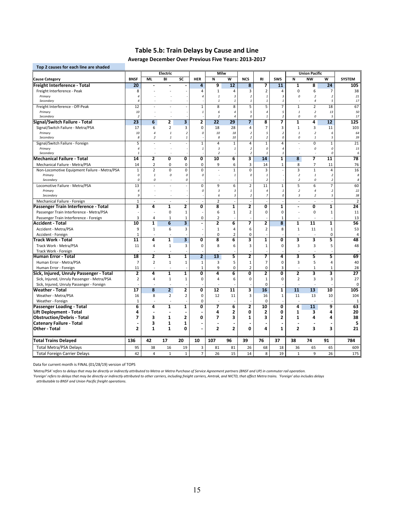## **Table 5.b: Train Delays by Cause and Line**

**Average December Over Previous Five Years: 2013‐2017**

| Top 2 causes for each line are shaded        |                 |                                  |                                |                                |                           |                         |                         |                                            |                               |                                 |                          |                                |                         |                |
|----------------------------------------------|-----------------|----------------------------------|--------------------------------|--------------------------------|---------------------------|-------------------------|-------------------------|--------------------------------------------|-------------------------------|---------------------------------|--------------------------|--------------------------------|-------------------------|----------------|
|                                              |                 |                                  | <b>Electric</b>                |                                |                           | <b>Milw</b>             |                         |                                            |                               |                                 |                          | <b>Union Pacific</b>           |                         |                |
| <b>Cause Category</b>                        | <b>BNSF</b>     | ML                               | BI                             | SC                             | <b>HER</b>                | N                       | $\overline{\mathsf{w}}$ | <b>NCS</b>                                 | <b>RI</b>                     | <b>SWS</b>                      | N                        | <b>NW</b>                      | $\overline{\mathsf{w}}$ | <b>SYSTEM</b>  |
| Freight Interference - Total                 | 20              |                                  |                                |                                | 4                         | 9                       | $\overline{12}$         | 8                                          | 7                             | $\overline{11}$                 | 1                        | 8                              | 24                      | 105            |
| Freight Interference - Peak                  | 8               |                                  |                                |                                | 4                         | $\mathbf{1}$            | $\overline{4}$          | 3                                          | $\overline{2}$                | 4                               | $\mathbf 0$              | 6                              | $\overline{7}$          | 38             |
| Primary                                      | $\overline{4}$  |                                  |                                |                                | $\overline{4}$            | $\mathbf{1}$            | 3                       | $\overline{2}$                             | -1                            | $\overline{3}$                  | 0                        | $\overline{2}$                 | $\overline{2}$          | 21             |
| Secondary                                    | $\overline{4}$  |                                  |                                |                                |                           | $\mathbf{1}$            | $\it 1$                 | $\overline{1}$                             | $\mathbf{1}$                  | $\mathbf{1}$                    | ÷.                       | $\overline{4}$                 | 5                       | 17             |
| Freight Interference - Off-Peak              | 12              |                                  |                                |                                | $\mathbf 1$               | 8                       | 8                       | 5                                          | 5                             | $\overline{7}$                  | $1\,$                    | $\overline{2}$                 | 18                      | 67             |
| Primary                                      | 10              |                                  |                                |                                | $\mathbf{1}$              | 6                       | $\sqrt{4}$              | 5                                          | $\overline{4}$                | 5                               | $\it 1$                  | $\overline{2}$                 | 13                      | 50             |
| Secondary                                    | $\overline{2}$  |                                  | ÷                              |                                |                           | $\overline{c}$          | $\overline{4}$          | 0                                          | $\mathbf{1}$                  | $\overline{2}$                  | 0                        | 0                              | 5                       | 17             |
| Signal/Switch Failure - Total                | 23              | 6                                | 2                              | 3                              | $\overline{\mathbf{2}}$   | 22                      | 29                      | 7                                          | 8                             | 7                               | 1                        | 4                              | 12                      | 125            |
| Signal/Switch Failure - Metra/PSA            | 17              | 6                                | 2                              | 3                              | $\pmb{0}$                 | 18                      | 28                      | 4                                          | 7                             | 3                               | $\mathbf{1}$             | 3                              | 11                      | 103            |
| Primary<br>Secondary                         | 10<br>8         | $\overline{4}$<br>$\overline{2}$ | $\overline{1}$<br>$\mathbf{1}$ | $\overline{c}$<br>$\mathbf{1}$ | 0                         | 10<br>8                 | 18<br>10                | $\overline{2}$<br>$\overline{\phantom{a}}$ | 5<br>$\overline{\phantom{a}}$ | $\overline{c}$<br>$\mathcal{O}$ | $\overline{1}$<br>0      | $\overline{2}$<br>$\mathbf{1}$ | 6<br>5                  | 64<br>39       |
| Signal/Switch Failure - Foreign              | $\overline{5}$  |                                  |                                |                                | $\mathbf 1$               | $\overline{4}$          | $\mathbf 1$             | 4                                          | $\mathbf 1$                   | $\overline{4}$                  | L.                       | $\mathbf 0$                    | $\mathbf{1}$            | 21             |
| Primary                                      | $\overline{4}$  |                                  |                                |                                | $\mathbf{1}$              | 3                       | $\it 1$                 | $\overline{2}$                             | 0                             | 4                               |                          | 0                              | 0                       | 15             |
| Secondary                                    | $\mathbf{1}$    |                                  |                                |                                |                           | $\overline{2}$          |                         | $\overline{2}$                             | $\overline{1}$                | $\mathbf{1}$                    |                          | $\sim$                         | 0                       | 6              |
| <b>Mechanical Failure - Total</b>            | 14              | $\overline{\mathbf{2}}$          | 0                              | Ō                              | Ō                         | 10                      | $6\overline{6}$         | 3                                          | 14                            | $\overline{\mathbf{1}}$         | $\overline{\mathbf{8}}$  | 7                              | $\overline{11}$         | 78             |
| Mechanical Failure - Metra/PSA               | 14              | $\overline{2}$                   | 0                              | 0                              | $\mathbf 0$               | 9                       | 6                       | 3                                          | 14                            | 1                               | 8                        | 7                              | 11                      | 76             |
| Non-Locomotive Equipment Failure - Metra/PSA | $\mathbf 1$     | $\overline{2}$                   | 0                              | $\mathsf 0$                    | $\pmb{0}$                 | $\overline{a}$          | $\mathbf 1$             | 0                                          | 3                             |                                 | 3                        | $\mathbf{1}$                   | $\overline{4}$          | 16             |
| Primary                                      | 0               | $\mathbf{1}$                     | 0                              | $\mathcal{O}$                  | 0                         |                         | $\it 1$                 | 0                                          | $\mathbf{1}$                  |                                 | $\boldsymbol{2}$         | $\mathbf{1}$                   | $\overline{2}$          | 8              |
| Secondary                                    | 0               | 0                                |                                | $\mathcal{O}$                  |                           |                         |                         |                                            | $\overline{\phantom{a}}$      |                                 | $\boldsymbol{2}$         | 0                              | $\overline{a}$          | 8              |
| Locomotive Failure - Metra/PSA               | 13              | ä,                               |                                |                                | $\pmb{0}$                 | 9                       | 6                       | 2                                          | 11                            | $\mathbf 1$                     | 5                        | 6                              | 7                       | 60             |
| Primary                                      | $\overline{4}$  |                                  |                                |                                | 0                         | 3                       | 3                       | $\it 1$                                    | $\overline{4}$                | $\overline{1}$                  | $\boldsymbol{2}$         | $\overline{4}$                 | $\overline{2}$          | 22             |
| Secondary                                    | 9               |                                  |                                |                                |                           | 6                       | 3                       | $\overline{2}$                             | $\overline{7}$                | 0                               | 3                        | $\overline{2}$                 | 5                       | 38             |
| Mechanical Failure - Foreign                 | $\mathbf 1$     | $\sim$                           | $\sim$                         |                                |                           | $\overline{2}$          |                         |                                            |                               |                                 | $\overline{a}$           | ÷.                             |                         | $\overline{2}$ |
| Passenger Train Interference - Total         | 3               | 4                                | 1                              | 2                              | 0                         | 8                       | 1                       | 2                                          | 0                             | 1                               | $\overline{\phantom{a}}$ | O                              | 1                       | 24             |
| Passenger Train Interference - Metra/PSA     |                 |                                  | $\mathbf 0$                    | $\mathbf 1$                    |                           | 6                       | $\mathbf 1$             | $\overline{2}$                             | $\mathbf 0$                   | $\mathbf 0$                     |                          | $\mathbf 0$                    | $\mathbf{1}$            | 11             |
| Passenger Train Interference - Foreign       | 3               | $\overline{4}$                   | $\mathbf{1}$                   | $\mathbf{1}$                   | $\mathbf 0$               | $\overline{2}$          |                         |                                            |                               | $\mathbf{1}$                    | $\overline{a}$           | $\overline{a}$                 |                         | 13             |
| <b>Accident - Total</b>                      | 10              | 1                                | 6                              | 3                              | $\blacksquare$            | $\overline{\mathbf{2}}$ | 6                       | 7                                          | 2                             | 8                               | 1                        | $\overline{11}$                | 1                       | 56             |
| Accident - Metra/PSA                         | 9               | $\mathbf{1}$                     | 6                              | 3                              |                           | $\mathbf{1}$            | $\overline{4}$          | 6                                          | $\overline{2}$                | 8                               | $\mathbf{1}$             | 11                             | $\mathbf{1}$            | 53             |
| Accident - Foreign                           | $\mathbf 1$     |                                  |                                |                                |                           | $\mathbf 0$             | $\overline{2}$          | 0                                          |                               |                                 |                          |                                | 0                       | $\overline{4}$ |
| Track Work - Total                           | $\overline{11}$ | 4                                | 1                              | $\overline{\mathbf{3}}$        | $\overline{\mathfrak{o}}$ | 8                       | $\overline{6}$          | 3                                          | 1                             | Ō                               | 3                        | 3                              | 5                       | 48             |
| Track Work - Metra/PSA                       | 11              | $\overline{4}$                   | $\mathbf{1}$                   | 3                              | $\pmb{0}$                 | 8                       | 6                       | 3                                          | $\mathbf 1$                   | 0                               | $\overline{3}$           | 3                              | 5                       | 48             |
| Track Work - Foreign                         |                 |                                  | $\overline{a}$                 |                                |                           |                         |                         |                                            |                               |                                 | $\overline{a}$           | L.                             |                         |                |
| Human Error - Total                          | 18              | 2                                | 1                              | 1                              | $\overline{2}$            | $\overline{13}$         | 5                       | 2                                          | 7                             | 4                               | 3                        | 5                              | 5                       | 69             |
| Human Error - Metra/PSA                      | $\overline{7}$  | $\overline{2}$                   | $\mathbf{1}$                   | $\mathbf 1$                    | 1                         | 3                       | 5                       | $\mathbf 1$                                | $\overline{7}$                | 0                               | 3                        | 5                              | 4                       | 40             |
| Human Error - Foreign                        | 11              |                                  |                                |                                | $\mathbf 1$               | 9                       | $\mathbf 0$             | $\overline{2}$                             | $\mathbf 0$                   | 3                               | ÷,                       | $\mathbf 1$                    | $\mathbf 1$             | 28             |
| Sick, Injured, Unruly Passenger - Total      | 2               | 4                                | $\overline{\mathbf{1}}$        | 1                              | Ō                         | 4                       | $\overline{\mathbf{6}}$ | O                                          | 2                             | O                               | 2                        | 3                              | $\overline{\mathbf{3}}$ | 27             |
| Sick, Injured, Unruly Passenger - Metra/PSA  | $\mathbf 2$     | $\overline{4}$                   | $1\,$                          | $\mathbf 1$                    | $\pmb{0}$                 | $\overline{4}$          | 6                       | 0                                          | $\mathbf 1$                   | $\mathbf 0$                     | $\mathbf 2$              | 3                              | 3                       | 27             |
| Sick, Injured, Unruly Passenger - Foreign    |                 |                                  |                                |                                |                           |                         |                         |                                            | $\mathbf 0$                   |                                 |                          |                                |                         | $\mathbf 0$    |
| Weather - Total                              | 17              | 8                                | $\overline{2}$                 | 2                              | 0                         | 12                      | 11                      | 3                                          | 16                            | 1                               | 11                       | 13                             | 10                      | 105            |
| Weather - Metra/PSA                          | 16              | 8                                | $\overline{2}$                 | $\overline{2}$                 | $\mathbf 0$               | 12                      | 11                      | 3                                          | 16                            | $\mathbf{1}$                    | 11                       | 13                             | 10                      | 104            |
| Weather - Foreign                            | 1               |                                  |                                |                                | $\mathbf 0$               |                         |                         |                                            | $\mathbf 0$                   |                                 |                          |                                |                         | 1              |
| Passenger Loading - Total                    | 6               | 4                                | $\mathbf{1}$                   | 1                              | 0                         | 7                       | 6                       | 2                                          | 10                            | 0                               | 4                        | 11                             | 9                       | 63             |
| Lift Deployment - Total                      | 4               |                                  |                                |                                |                           | 4                       | $\mathbf{2}$            | 0                                          | $\mathbf{2}$                  | 0                               | 1                        | 3                              | 4                       | 20             |
| <b>Obstruction/Debris - Total</b>            | 7               | 3                                | 1                              | $\mathbf{2}$                   | 0                         | 7                       | 3                       | 1                                          | 3                             | 2                               | $\mathbf{1}$             | 4                              | 4                       | 38             |
| <b>Catenary Failure - Total</b>              | ä,              | 3                                | 1                              | 1                              |                           |                         |                         |                                            |                               |                                 |                          | $\blacksquare$                 |                         | 5              |
| Other Total                                  | 2               | $\mathbf{1}$                     | $\mathbf{1}$                   | 0                              | Ĭ.                        | $\overline{2}$          | $\mathbf{z}$            | 0                                          | 4                             | $\mathbf{1}$                    | $\overline{2}$           | 3                              | 3                       | 21             |
| <b>Total Trains Delayed</b>                  | 136             | 42                               | 17                             | 20                             | 10                        | 107                     | 96                      | 39                                         | 76                            | 37                              | 38                       | 74                             | 91                      | 784            |
| <b>Total Metra/PSA Delays</b>                | 95              | 38                               | 16                             | 19                             | 3                         | 81                      | 81                      | 26                                         | 68                            | 18                              | 36                       | 65                             | 65                      | 609            |
| <b>Total Foreign Carrier Delays</b>          | 42              | $\overline{4}$                   | $\mathbf{1}$                   | $\mathbf{1}$                   | $\overline{7}$            | 26                      | 15                      | 14                                         | 8                             | 19                              | $\mathbf{1}$             | 9                              | 26                      | 175            |

Data for current month is FINAL (01/28/19) version of TOPS

'Metro/PSA' refers to delays that may be directly or indirectly attributed to Metra or Metra Purchase of Service Agreement partners (BNSF and UP) in commuter rail operation.

'Foreign' refers to delays that may be directly or indirectly attributed to other carriers, including freight carriers, Amtrak, and NICTD, that affect Metra trains. 'Foreign' also includes delays *attributable to BNSF and Union Pacific freight operations.*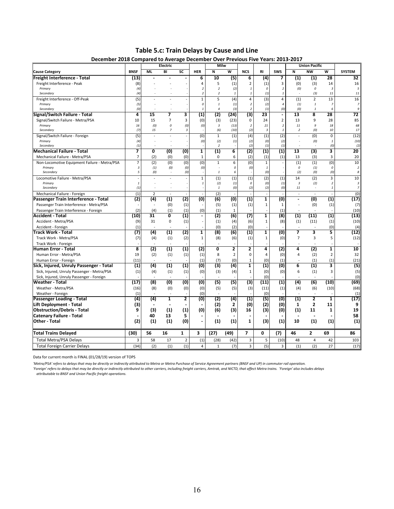**Table 5.c: Train Delays by Cause and Line**

| December 2018 Compared to Average December Over Previous Five Years: 2013-2017           |                           |                       | Electric                        |                |                          | Milw                    |                     |                                |                         |                                |                               | <b>Union Pacific</b>    |                                  |                     |
|------------------------------------------------------------------------------------------|---------------------------|-----------------------|---------------------------------|----------------|--------------------------|-------------------------|---------------------|--------------------------------|-------------------------|--------------------------------|-------------------------------|-------------------------|----------------------------------|---------------------|
|                                                                                          | <b>BNSF</b>               | <b>ML</b>             | BI                              | SC             | <b>HER</b>               | N                       | W                   | <b>NCS</b>                     | <b>RI</b>               | <b>SWS</b>                     | N                             | <b>NW</b>               | W                                | <b>SYSTEM</b>       |
| <b>Cause Category</b>                                                                    |                           |                       |                                 |                |                          | 10                      |                     |                                |                         |                                |                               |                         | 28                               | 32                  |
| Freight Interference - Total                                                             | (13)                      |                       |                                 |                | 6                        |                         | (5)                 | 6                              | $\overline{a}$          | 7                              | $\left( 1\right)$             | (1)                     |                                  |                     |
| Freight Interference - Peak                                                              | (8)                       |                       |                                 |                | 4<br>$\overline{2}$      | 5<br>$\boldsymbol{2}$   | (1)                 | $\overline{2}$<br>$\mathbf{1}$ | (1)                     | 3                              | (0)                           | (3)                     | 14<br>3                          | 16                  |
| Primary<br>Secondary                                                                     | (4)<br>(4)                |                       |                                 |                | $\overline{2}$           | 2                       | (2)<br>$\mathbf{1}$ | $\mathbf{1}$                   | 0<br>(1)                | $\overline{2}$<br>$\mathbf{1}$ | (0)                           | 0<br>(3)                | 11                               | 5<br>$11\,$         |
| Freight Interference - Off-Peak                                                          | (5)                       |                       |                                 |                | $\mathbf 1$              | 5                       | (4)                 | $\overline{4}$                 | (3)                     | $\overline{4}$                 | (1)                           | $\overline{2}$          | 13                               | 16                  |
| Primary                                                                                  | (5)                       |                       |                                 |                | 0                        | $\mathbf{1}$            | (1)                 | $\overline{2}$                 | (2)                     | $\overline{4}$                 | (1)                           | $\it 1$                 | $\overline{7}$                   | 7                   |
| Secondary                                                                                | (0)                       |                       |                                 |                | $\overline{1}$           | $\it 4$                 | (3)                 | $\boldsymbol{2}$               | (1)                     | (0)                            | (0)                           | $\it 1$                 | 6                                | 9                   |
| Signal/Switch Failure - Total                                                            | 4                         | 15                    | 7                               | 3              | (1)                      | (2)                     | (24)                | (3)                            | 23                      | ÷,                             | 13                            | 8                       | 28                               | 72                  |
| Signal/Switch Failure - Metra/PSA                                                        | 10                        | 15                    | $\overline{7}$                  | 3              | (0)                      | (3)                     | (23)                | $\mathbf 0$                    | 24                      | $\overline{2}$                 | 13                            | 9                       | 28                               | 85                  |
| Primary                                                                                  | 16                        | (0)                   | 0                               | (0)            | (0)                      | $\overline{\mathbf{3}}$ | (13)                | $\overline{2}$                 | 21                      | $\boldsymbol{2}$               | $11\,$                        | 9                       | 18                               | 68                  |
| Secondary                                                                                | (7)                       | 15                    | $\overline{z}$                  | 3              |                          | (6)                     | (10)                | (2)                            | $\overline{\mathbf{3}}$ | $\mathbf{1}$                   | 2                             | (0)                     | 10                               | 17                  |
| Signal/Switch Failure - Foreign                                                          | (5)                       |                       |                                 |                | (0)                      | $\mathbf{1}$            | (1)                 | (4)                            | (1)                     | (2)                            | $\sim$                        | (0)                     | $\pmb{0}$                        | (12)                |
| Primary                                                                                  | (4)                       |                       |                                 |                | (0)                      | (2)                     | (1)                 | (2)                            | (0)                     | (2)                            |                               | (0)                     | $\mathbf{1}$                     | (10)                |
| Secondary                                                                                | (1)                       |                       |                                 |                |                          | $\overline{2}$          |                     | (2)                            | (1)                     | (1)                            |                               |                         | (0)                              | (2)                 |
| <b>Mechanical Failure - Total</b>                                                        | $\overline{\phantom{a}}$  | 0                     | (0)                             | (0)            | 1                        | (1)                     | 6                   | (2)                            | $\overline{(1)}$        | (1)                            | 13                            | (3)                     | 3                                | 20                  |
| Mechanical Failure - Metra/PSA                                                           | $\overline{7}$            | (2)                   | (0)                             | (0)            | $\mathbf{1}$             | 0                       | 6                   | (2)                            | (1)                     | (1)                            | 13                            | (3)                     | 3                                | 20                  |
| Non-Locomotive Equipment Failure - Metra/PSA                                             | $\overline{7}$            | (2)                   | (0)                             | (0)            | (0)                      | $\mathbf{1}$            | 6                   | (0)                            | $\mathbf{1}$            |                                | (1)                           | (1)                     | (0)                              | 10                  |
| Primary                                                                                  | $\overline{\mathbf{3}}$   | (1)                   | (0)                             | (0)            | (0)                      |                         | 0                   | (0)                            | $\it 1$                 |                                | $\pmb{\mathit{o}}$            | (1)                     | $\Omega$                         | $\overline{2}$      |
| Secondary                                                                                | 5                         | (0)                   |                                 | (0)            |                          | $\mathbf{1}$            | 6                   |                                | (0)                     |                                | (2)                           | (0)                     | (0)                              | 8                   |
| Locomotive Failure - Metra/PSA                                                           |                           |                       |                                 |                | $\mathbf{1}$             | (1)                     | (1)                 | (1)                            | (2)                     | (1)                            | 14                            | (2)                     | 3                                | 10                  |
| Primary<br>Secondary                                                                     | $\it 1$<br>(1)            |                       |                                 |                | $\overline{1}$           | (2)<br>$\mathbf{1}$     | (1)<br>(0)          | $\Omega$<br>(2)                | (0)<br>(2)              | (1)<br>(0)                     | $\overline{\mathbf{3}}$<br>11 | (2)<br>$\sim$           | $\boldsymbol{2}$<br>$\mathbf{1}$ | $\overline{3}$<br>7 |
|                                                                                          |                           |                       |                                 |                |                          |                         |                     |                                |                         |                                |                               |                         |                                  |                     |
| Mechanical Failure - Foreign                                                             | (1)                       | $\overline{2}$<br>(4) | ÷,                              | (2)            | (0)                      | (2)<br>(6)              | (0)                 | (1)                            | $\overline{\mathbf{1}}$ | (0)                            | $\sim$                        | ÷,<br>(0)               | (1)                              | (0)                 |
| Passenger Train Interference - Total                                                     | (2)                       |                       | (1)                             |                |                          |                         |                     |                                |                         |                                | $\blacksquare$                |                         |                                  | (17)                |
| Passenger Train Interference - Metra/PSA                                                 |                           |                       | (0)                             | (1)            |                          | (5)                     | (1)                 | (1)                            | $\mathbf{1}$            | $\mathbf{1}$                   | $\sim$                        | (0)                     | (1)                              | (7)                 |
| Passenger Train Interference - Foreign<br><b>Accident - Total</b>                        | (2)<br>(10)               | (4)<br>31             | (1)<br>O                        | (1)<br>(1)     | (0)                      | (1)<br>(2)              | 1<br>(6)            |                                | $\overline{\mathbf{1}}$ | (1)<br>(8)                     | $\overline{(1)}$              |                         |                                  | (10)                |
|                                                                                          |                           |                       |                                 |                | $\blacksquare$           |                         |                     | (7)                            |                         |                                |                               | (11)                    | (1)                              | (13)                |
| Accident - Metra/PSA                                                                     | (9)                       | 31                    | $\mathbf 0$                     | (1)            | $\overline{\phantom{a}}$ | (1)                     | (4)                 | (6)                            | $\mathbf{1}$            | (8)                            | (1)                           | (11)                    | (1)                              | (10)                |
| Accident - Foreign<br>Track Work - Total                                                 | (1)<br>(7)                |                       | (1)                             | (2)            | $\overline{\mathbf{1}}$  | (0)<br>(8)              | (2)<br>(6)          | (0)<br>(1)                     | $\overline{1}$          | $\overline{0}$                 | $\overline{\mathbf{z}}$       | 3                       | (0)<br>5                         | (4)<br>(12)         |
|                                                                                          |                           | (4)                   |                                 |                |                          |                         |                     |                                |                         |                                |                               |                         |                                  |                     |
| Track Work - Metra/PSA                                                                   | (7)                       | (4)                   | (1)                             | (2)            | 1                        | (8)                     | (6)                 | (1)                            | $\mathbf{1}$            | (0)                            | $\overline{7}$                | 3                       | 5                                | (12)                |
| Track Work - Foreign<br><b>Human Error - Total</b>                                       | 8                         | (2)                   | (1)                             | (1)            | (2)                      | 0                       | 2                   | 2                              | 4                       | (2)                            | 4                             | (2)                     | $\mathbf{1}$                     | 10                  |
|                                                                                          | 19                        |                       |                                 |                |                          | 8                       | $\overline{2}$      | $\mathbf 0$                    | 4                       |                                | 4                             |                         |                                  |                     |
| Human Error - Metra/PSA                                                                  |                           | (2)                   | (1)<br>$\overline{\phantom{a}}$ | (1)            | (1)                      |                         |                     |                                |                         | (0)                            |                               | (2)                     | $\overline{2}$                   | 32                  |
| Human Error - Foreign                                                                    | (11)                      | (4)                   | (1)                             | (1)            | (1)<br>(0)               | (7)<br>(3)              | (0)<br>(4)          | $\mathbf{1}$<br>$\mathbf{1}$   | (0)<br>(1)              | (1)<br>(0)                     | 6                             | (1)<br>(1)              | (1)<br>3                         | (21)<br>(5)         |
| Sick, Injured, Unruly Passenger - Total                                                  | (1)                       |                       |                                 |                |                          |                         |                     | $\mathbf{1}$                   |                         |                                | 6                             |                         | 3                                |                     |
| Sick, Injured, Unruly Passenger - Metra/PSA<br>Sick, Injured, Unruly Passenger - Foreign | (1)                       | (4)                   | (1)                             | (1)            | (0)                      | (3)                     | (4)                 |                                | (0)<br>(0)              | (0)                            |                               | (1)                     |                                  | (5)<br>(0)          |
| <b>Weather - Total</b>                                                                   | (17)                      | (8)                   | $\overline{0}$                  | $\overline{0}$ | $\overline{(0)}$         | (5)                     | (5)                 | (3)                            | (11)                    | (1)                            | (4)                           | (6)                     | (10)                             | (69)                |
| Weather - Metra/PSA                                                                      | (16)                      | (8)                   | (0)                             |                | (0)                      | (5)                     |                     |                                | (11)                    |                                | (4)                           | (6)                     | (10)                             | (68)                |
|                                                                                          | (1)                       |                       |                                 | (0)            | (0)                      |                         | (5)                 | (3)                            | (0)                     | (1)                            |                               |                         |                                  | (1)                 |
| Weather - Foreign<br>Passenger Loading - Total                                           | $\overline{\textbf{(4)}}$ | (4)                   | 1                               | 2              | (0)                      | (2)                     | (4)                 | $\left( 1\right)$              | (5)                     | (0)                            | $\left( 1\right)$             | $\overline{\mathbf{2}}$ | $\overline{\mathbf{1}}$          | (17)                |
| <b>Lift Deployment - Total</b>                                                           | (3)                       |                       |                                 |                |                          | (2)                     | $\mathbf{z}$        | (0)                            | (2)                     | (0)                            | 1                             | $\mathbf{2}$            | 11                               | 9                   |
| <b>Obstruction/Debris - Total</b>                                                        | 9                         | (3)                   | (1)                             | (1)            | (0)                      | (6)                     | (3)                 | 16                             | (3)                     | (0)                            | (1)                           | 11                      | 1                                | 19                  |
| <b>Catenary Failure - Total</b>                                                          |                           | 40                    | 13                              | 5              |                          |                         |                     |                                |                         |                                |                               |                         |                                  | 58                  |
| Other Total                                                                              | (2)                       | (1)                   | (1)                             | (0)            | ÷,                       | (1)                     | (1)                 | $\mathbf{1}$                   | (3)                     | (1)                            | 10                            | (1)                     | (1)                              | (1)                 |
|                                                                                          |                           |                       |                                 |                |                          |                         |                     |                                |                         |                                |                               |                         |                                  |                     |
| <b>Total Trains Delayed</b>                                                              | (30)                      | 56                    | 16                              | $\mathbf{1}$   | 3                        | (27)                    | (49)                | $\overline{\phantom{a}}$       | 0                       | (7)                            | 46                            | $\mathbf{z}$            | 69                               | 86                  |
| <b>Total Metra/PSA Delays</b>                                                            | 3                         | 58                    | 17                              | $\overline{2}$ | (1)                      | (28)                    | (42)                | 3                              | 5                       | (10)                           | 48                            | $\overline{4}$          | 42                               | 103                 |
| <b>Total Foreign Carrier Delays</b>                                                      | (34)                      | (2)                   | (1)                             | (1)            | $\overline{4}$           | $\mathbf{1}$            | (7)                 | $\overline{3}$                 | (5)                     | $\overline{3}$                 | (1)                           | (2)                     | 27                               | (17)                |

Data for current month is FINAL (01/28/19) version of TOPS

'Metra/PSA' refers to delays that may be directly or indirectly attributed to Metra or Metra Purchase of Service Agreement partners (BNSF and UP) in commuter rail operation.

'Foreign' refers to delays that may be directly or indirectly attributed to other carriers, including freight carriers, Amtrak, and NICTD, that affect Metra trains. 'Foreign' also includes delays<br> attributable to BNSF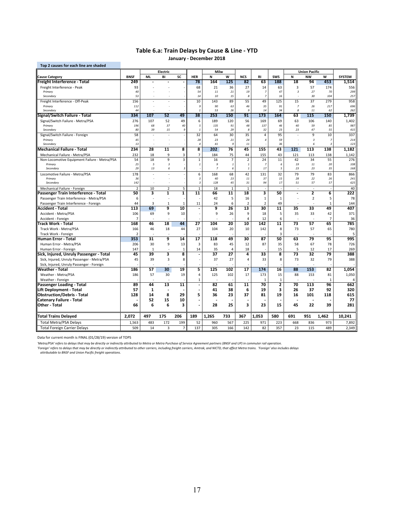### **Table 6.a: Train Delays by Cause & Line ‐ YTD January ‐ December 2018**

| <b>Union Pacific</b><br>Electric<br>Milw<br><b>BNSF</b><br><b>ML</b><br>BI<br>SC<br>W<br><b>SWS</b><br><b>NW</b><br>W<br><b>SYSTEM</b><br><b>HER</b><br>N<br><b>NCS</b><br>RI<br>N<br>Freight Interference - Total<br>249<br>78<br>164<br>125<br>82<br>63<br>188<br>18<br>94<br>453<br>1,514<br>93<br>63<br>$\overline{3}$<br>57<br>556<br>Freight Interference - Peak<br>68<br>21<br>36<br>27<br>14<br>174<br>21<br>19<br>47<br>$\sqrt{3}$<br>27<br>70<br>299<br>40<br>54<br>11<br>$\overline{7}$<br>Primary<br>14<br>10<br>15<br>8<br>$\overline{z}$<br>16<br>30<br>104<br>257<br>Secondary<br>53<br>÷<br>55<br>Freight Interference - Off-Peak<br>156<br>10<br>143<br>89<br>49<br>125<br>15<br>37<br>279<br>958<br>ä,<br>$\overline{7}$<br>9<br>90<br>63<br>46<br>91<br>26<br>217<br>696<br>Primary<br>112<br>35<br>÷<br>26<br>14<br>Secondary<br>44<br>$\mathbf{1}$<br>53<br>9<br>34<br>8<br>11<br>62<br>262<br>334<br>52<br>49<br>38<br>91<br>173<br>150<br>1,739<br>107<br>253<br>150<br>164<br>63<br>115<br>Signal/Switch Failure - Total<br>Signal/Switch Failure - Metra/PSA<br>107<br>52<br>49<br>6<br>189<br>120<br>169<br>69<br>63<br>106<br>140<br>1,402<br>276<br>56<br>37<br>40<br>5<br>135<br>48<br>137<br>40<br>85<br>987<br>Primary<br>196<br>68<br>91<br>46<br>59<br>23<br>55<br>80<br>39<br>15<br>9<br>$\mathbf{1}$<br>54<br>29<br>8<br>32<br>23<br>47<br>415<br>Secondary<br>32<br>30<br>35<br>95<br>9<br>10<br>337<br>58<br>64<br>$\overline{4}$<br>Signal/Switch Failure - Foreign<br>45<br>28<br>23<br>21<br>24<br>59<br>$\overline{\mathbf{3}}$<br>214<br>Primary<br>4<br>7<br>36<br>Secondary<br>13<br>41<br>9<br>11<br>6<br>123<br>$\overline{4}$<br>B<br>234<br>11<br>8<br>8<br>45<br>43<br>28<br>202<br>76<br>155<br>121<br>113<br>138<br>1,182<br>7<br>Mechanical Failure - Metra/PSA<br>9<br>3<br>184<br>75<br>155<br>43<br>121<br>113<br>1,142<br>232<br>18<br>44<br>138<br>$\overline{\mathbf{3}}$<br>$\,1\,$<br>54<br>18<br>9<br>$\overline{7}$<br>$\overline{2}$<br>11<br>42<br>34<br>55<br>276<br>Non-Locomotive Equipment Failure - Metra/PSA<br>16<br>24<br>$\it 1$<br>9<br>19<br>11<br>20<br>108<br>25<br>5<br>$\overline{\mathbf{3}}$<br>6<br>Primary<br>1<br>1<br>7<br>5<br>29<br>13<br>$\sqrt{3}$<br>$\overline{z}$<br>17<br>23<br>23<br>35<br>168<br>Secondary<br>6<br>6<br>$\mathbf{1}$<br>79<br>178<br>6<br>168<br>68<br>42<br>131<br>32<br>79<br>83<br>866<br>Locomotive Failure - Metra/PSA<br>×<br>$\sqrt{3}$<br>40<br>23<br>$11\,$<br>37<br>15<br>28<br>22<br>26<br>241<br>36<br>Primary<br>$\sqrt{3}$<br>17<br>57<br>142<br>128<br>45<br>31<br>94<br>51<br>57<br>625<br>Secondary<br>5<br>$\overline{2}$<br>10<br>$\overline{2}$<br>$\mathbf{1}$<br>18<br>$\mathbf{1}$<br>$\mathbf{1}$<br>40<br>Mechanical Failure - Foreign<br>L.<br>÷.<br>$\overline{2}$<br>222<br>Passenger Train Interference - Total<br>50<br>3<br>1<br>1<br>11<br>66<br>11<br>18<br>3<br>50<br>6<br>Passenger Train Interference - Metra/PSA<br>42<br>5<br>$\mathbf{1}$<br>$\overline{2}$<br>5<br>78<br>6<br>16<br>1<br>49<br>Passenger Train Interference - Foreign<br>44<br>3<br>$\mathbf{1}$<br>$\mathbf{1}$<br>11<br>24<br>6<br>$\overline{2}$<br>144<br>2<br>$\mathbf{1}$<br>٠<br>113<br>69<br>9<br>10<br>9<br>26<br>13<br>30<br>11<br>35<br>33<br>49<br>407<br>Accident - Total<br>Ĭ.<br>9<br>9<br>5<br>35<br>33<br>Accident - Metra/PSA<br>106<br>69<br>10<br>26<br>9<br>42<br>371<br>18<br>$\overline{7}$<br>6<br>$\overline{7}$<br>Accident - Foreign<br>4<br>12<br>36<br>$\overline{a}$<br>57<br>65<br>168<br>46<br>18<br>44<br>27<br>104<br>20<br>10<br>142<br>$\overline{11}$<br>73<br>785<br>Track Work - Total<br>18<br>27<br>73<br>57<br>780<br>Track Work - Metra/PSA<br>46<br>44<br>104<br>20<br>10<br>142<br>8<br>65<br>166<br>3<br>Track Work - Foreign<br>$\overline{2}$<br>5<br>353<br>31<br>9<br>14<br>$\overline{17}$<br>118<br>49<br>30<br>87<br>50<br>63<br>79<br>95<br>995<br>Human Error - Total<br>30<br>9<br>$\overline{\mathbf{3}}$<br>35<br>67<br>78<br>726<br>Human Error - Metra/PSA<br>206<br>13<br>83<br>45<br>87<br>58<br>12<br>147<br>14<br>35<br>18<br>15<br>5<br>12<br>17<br>269<br>$\mathbf{1}$<br>$\mathbf{1}$<br>$\overline{4}$<br>Human Error - Foreign<br>÷.<br>45<br>39<br>8<br>37<br>$\overline{32}$<br>79<br>3<br>27<br>$\overline{4}$<br>33<br>8<br>73<br>388<br>Sick, Injured, Unruly Passenger - Total<br>٠<br>$\overline{3}$<br>39<br>8<br>37<br>8<br>73<br>32<br>79<br>388<br>Sick, Injured, Unruly Passenger - Metra/PSA<br>45<br>27<br>33<br>4<br>Sick, Injured, Unruly Passenger - Foreign<br>186<br>57<br>30<br>19<br>5<br>125<br>102<br>$\overline{17}$<br>174<br>16<br>88<br>153<br>82<br>1,054<br>Weather - Total<br>15<br>88<br>1,050<br>Weather - Metra/PSA<br>186<br>57<br>30<br>19<br>4<br>125<br>102<br>17<br>173<br>153<br>81<br>$\mathbf{1}$<br>$\mathbf{1}$<br>4<br>Weather - Foreign<br>1<br>1<br>2<br>96<br>11<br>70<br>113<br>89<br>44<br>13<br>82<br>61<br>11<br>70<br>662<br>Passenger Loading - Total<br>$\overline{a}$<br>3<br>26<br>37<br>92<br>57<br>1<br>41<br>38<br>6<br>19<br>320<br>Lift Deployment - Total<br>$\overline{\phantom{a}}$<br>8<br>5<br>29<br>23<br>37<br>81<br>19<br>101<br>615<br><b>Obstruction/Debris - Total</b><br>128<br>14<br>36<br>16<br>118<br>52<br><b>Catenary Failure - Total</b><br>15<br>10<br>77<br>$\overline{a}$<br>Other - Total<br>6<br>6<br>3<br>28<br>25<br>3<br>23<br>15<br>45<br>22<br>39<br>281<br>66<br>$\overline{a}$<br>497<br>367<br>1,053<br>10,241<br><b>Total Trains Delayed</b><br>2.072<br>175<br>206<br>189<br>1,265<br>733<br>580<br>691<br>951<br>1,462<br><b>Total Metra/PSA Delays</b><br>1,563<br>483<br>172<br>199<br>52<br>567<br>225<br>971<br>223<br>668<br>7,892<br>960<br>836<br>973<br>$\overline{7}$<br>142<br>82<br><b>Total Foreign Carrier Delays</b><br>509<br>14<br>3<br>137<br>305<br>166<br>357<br>23<br>115<br>489<br>2,349 | Top 2 causes for each line are shaded |  |  |  |  |  |  |  |  |  |  |
|----------------------------------------------------------------------------------------------------------------------------------------------------------------------------------------------------------------------------------------------------------------------------------------------------------------------------------------------------------------------------------------------------------------------------------------------------------------------------------------------------------------------------------------------------------------------------------------------------------------------------------------------------------------------------------------------------------------------------------------------------------------------------------------------------------------------------------------------------------------------------------------------------------------------------------------------------------------------------------------------------------------------------------------------------------------------------------------------------------------------------------------------------------------------------------------------------------------------------------------------------------------------------------------------------------------------------------------------------------------------------------------------------------------------------------------------------------------------------------------------------------------------------------------------------------------------------------------------------------------------------------------------------------------------------------------------------------------------------------------------------------------------------------------------------------------------------------------------------------------------------------------------------------------------------------------------------------------------------------------------------------------------------------------------------------------------------------------------------------------------------------------------------------------------------------------------------------------------------------------------------------------------------------------------------------------------------------------------------------------------------------------------------------------------------------------------------------------------------------------------------------------------------------------------------------------------------------------------------------------------------------------------------------------------------------------------------------------------------------------------------------------------------------------------------------------------------------------------------------------------------------------------------------------------------------------------------------------------------------------------------------------------------------------------------------------------------------------------------------------------------------------------------------------------------------------------------------------------------------------------------------------------------------------------------------------------------------------------------------------------------------------------------------------------------------------------------------------------------------------------------------------------------------------------------------------------------------------------------------------------------------------------------------------------------------------------------------------------------------------------------------------------------------------------------------------------------------------------------------------------------------------------------------------------------------------------------------------------------------------------------------------------------------------------------------------------------------------------------------------------------------------------------------------------------------------------------------------------------------------------------------------------------------------------------------------------------------------------------------------------------------------------------------------------------------------------------------------------------------------------------------------------------------------------------------------------------------------------------------------------------------------------------------------------------------------------------------------------------------------------------------------------------------------------------------------------------------------------------------------------------------------------------------------------------------------------------------------------------------------------------------------------------------------------------------------------------------------------------------------------------------------------------------------------------------------------------------------------------------------------------------------------------------------------------------------------------------------------------------------------------------------------------------------------------------------------------------------------------------------------------------------------------------------------------------------------------------------------------------------------------------------------------------------------------------------------------------------------------------------------------------------------------------------------------------------------------------------------------------------------------------------------------------|---------------------------------------|--|--|--|--|--|--|--|--|--|--|
|                                                                                                                                                                                                                                                                                                                                                                                                                                                                                                                                                                                                                                                                                                                                                                                                                                                                                                                                                                                                                                                                                                                                                                                                                                                                                                                                                                                                                                                                                                                                                                                                                                                                                                                                                                                                                                                                                                                                                                                                                                                                                                                                                                                                                                                                                                                                                                                                                                                                                                                                                                                                                                                                                                                                                                                                                                                                                                                                                                                                                                                                                                                                                                                                                                                                                                                                                                                                                                                                                                                                                                                                                                                                                                                                                                                                                                                                                                                                                                                                                                                                                                                                                                                                                                                                                                                                                                                                                                                                                                                                                                                                                                                                                                                                                                                                                                                                                                                                                                                                                                                                                                                                                                                                                                                                                                                                                                                                                                                                                                                                                                                                                                                                                                                                                                                                                                                                                                          |                                       |  |  |  |  |  |  |  |  |  |  |
|                                                                                                                                                                                                                                                                                                                                                                                                                                                                                                                                                                                                                                                                                                                                                                                                                                                                                                                                                                                                                                                                                                                                                                                                                                                                                                                                                                                                                                                                                                                                                                                                                                                                                                                                                                                                                                                                                                                                                                                                                                                                                                                                                                                                                                                                                                                                                                                                                                                                                                                                                                                                                                                                                                                                                                                                                                                                                                                                                                                                                                                                                                                                                                                                                                                                                                                                                                                                                                                                                                                                                                                                                                                                                                                                                                                                                                                                                                                                                                                                                                                                                                                                                                                                                                                                                                                                                                                                                                                                                                                                                                                                                                                                                                                                                                                                                                                                                                                                                                                                                                                                                                                                                                                                                                                                                                                                                                                                                                                                                                                                                                                                                                                                                                                                                                                                                                                                                                          | <b>Cause Category</b>                 |  |  |  |  |  |  |  |  |  |  |
|                                                                                                                                                                                                                                                                                                                                                                                                                                                                                                                                                                                                                                                                                                                                                                                                                                                                                                                                                                                                                                                                                                                                                                                                                                                                                                                                                                                                                                                                                                                                                                                                                                                                                                                                                                                                                                                                                                                                                                                                                                                                                                                                                                                                                                                                                                                                                                                                                                                                                                                                                                                                                                                                                                                                                                                                                                                                                                                                                                                                                                                                                                                                                                                                                                                                                                                                                                                                                                                                                                                                                                                                                                                                                                                                                                                                                                                                                                                                                                                                                                                                                                                                                                                                                                                                                                                                                                                                                                                                                                                                                                                                                                                                                                                                                                                                                                                                                                                                                                                                                                                                                                                                                                                                                                                                                                                                                                                                                                                                                                                                                                                                                                                                                                                                                                                                                                                                                                          |                                       |  |  |  |  |  |  |  |  |  |  |
|                                                                                                                                                                                                                                                                                                                                                                                                                                                                                                                                                                                                                                                                                                                                                                                                                                                                                                                                                                                                                                                                                                                                                                                                                                                                                                                                                                                                                                                                                                                                                                                                                                                                                                                                                                                                                                                                                                                                                                                                                                                                                                                                                                                                                                                                                                                                                                                                                                                                                                                                                                                                                                                                                                                                                                                                                                                                                                                                                                                                                                                                                                                                                                                                                                                                                                                                                                                                                                                                                                                                                                                                                                                                                                                                                                                                                                                                                                                                                                                                                                                                                                                                                                                                                                                                                                                                                                                                                                                                                                                                                                                                                                                                                                                                                                                                                                                                                                                                                                                                                                                                                                                                                                                                                                                                                                                                                                                                                                                                                                                                                                                                                                                                                                                                                                                                                                                                                                          |                                       |  |  |  |  |  |  |  |  |  |  |
|                                                                                                                                                                                                                                                                                                                                                                                                                                                                                                                                                                                                                                                                                                                                                                                                                                                                                                                                                                                                                                                                                                                                                                                                                                                                                                                                                                                                                                                                                                                                                                                                                                                                                                                                                                                                                                                                                                                                                                                                                                                                                                                                                                                                                                                                                                                                                                                                                                                                                                                                                                                                                                                                                                                                                                                                                                                                                                                                                                                                                                                                                                                                                                                                                                                                                                                                                                                                                                                                                                                                                                                                                                                                                                                                                                                                                                                                                                                                                                                                                                                                                                                                                                                                                                                                                                                                                                                                                                                                                                                                                                                                                                                                                                                                                                                                                                                                                                                                                                                                                                                                                                                                                                                                                                                                                                                                                                                                                                                                                                                                                                                                                                                                                                                                                                                                                                                                                                          |                                       |  |  |  |  |  |  |  |  |  |  |
|                                                                                                                                                                                                                                                                                                                                                                                                                                                                                                                                                                                                                                                                                                                                                                                                                                                                                                                                                                                                                                                                                                                                                                                                                                                                                                                                                                                                                                                                                                                                                                                                                                                                                                                                                                                                                                                                                                                                                                                                                                                                                                                                                                                                                                                                                                                                                                                                                                                                                                                                                                                                                                                                                                                                                                                                                                                                                                                                                                                                                                                                                                                                                                                                                                                                                                                                                                                                                                                                                                                                                                                                                                                                                                                                                                                                                                                                                                                                                                                                                                                                                                                                                                                                                                                                                                                                                                                                                                                                                                                                                                                                                                                                                                                                                                                                                                                                                                                                                                                                                                                                                                                                                                                                                                                                                                                                                                                                                                                                                                                                                                                                                                                                                                                                                                                                                                                                                                          |                                       |  |  |  |  |  |  |  |  |  |  |
|                                                                                                                                                                                                                                                                                                                                                                                                                                                                                                                                                                                                                                                                                                                                                                                                                                                                                                                                                                                                                                                                                                                                                                                                                                                                                                                                                                                                                                                                                                                                                                                                                                                                                                                                                                                                                                                                                                                                                                                                                                                                                                                                                                                                                                                                                                                                                                                                                                                                                                                                                                                                                                                                                                                                                                                                                                                                                                                                                                                                                                                                                                                                                                                                                                                                                                                                                                                                                                                                                                                                                                                                                                                                                                                                                                                                                                                                                                                                                                                                                                                                                                                                                                                                                                                                                                                                                                                                                                                                                                                                                                                                                                                                                                                                                                                                                                                                                                                                                                                                                                                                                                                                                                                                                                                                                                                                                                                                                                                                                                                                                                                                                                                                                                                                                                                                                                                                                                          |                                       |  |  |  |  |  |  |  |  |  |  |
|                                                                                                                                                                                                                                                                                                                                                                                                                                                                                                                                                                                                                                                                                                                                                                                                                                                                                                                                                                                                                                                                                                                                                                                                                                                                                                                                                                                                                                                                                                                                                                                                                                                                                                                                                                                                                                                                                                                                                                                                                                                                                                                                                                                                                                                                                                                                                                                                                                                                                                                                                                                                                                                                                                                                                                                                                                                                                                                                                                                                                                                                                                                                                                                                                                                                                                                                                                                                                                                                                                                                                                                                                                                                                                                                                                                                                                                                                                                                                                                                                                                                                                                                                                                                                                                                                                                                                                                                                                                                                                                                                                                                                                                                                                                                                                                                                                                                                                                                                                                                                                                                                                                                                                                                                                                                                                                                                                                                                                                                                                                                                                                                                                                                                                                                                                                                                                                                                                          |                                       |  |  |  |  |  |  |  |  |  |  |
|                                                                                                                                                                                                                                                                                                                                                                                                                                                                                                                                                                                                                                                                                                                                                                                                                                                                                                                                                                                                                                                                                                                                                                                                                                                                                                                                                                                                                                                                                                                                                                                                                                                                                                                                                                                                                                                                                                                                                                                                                                                                                                                                                                                                                                                                                                                                                                                                                                                                                                                                                                                                                                                                                                                                                                                                                                                                                                                                                                                                                                                                                                                                                                                                                                                                                                                                                                                                                                                                                                                                                                                                                                                                                                                                                                                                                                                                                                                                                                                                                                                                                                                                                                                                                                                                                                                                                                                                                                                                                                                                                                                                                                                                                                                                                                                                                                                                                                                                                                                                                                                                                                                                                                                                                                                                                                                                                                                                                                                                                                                                                                                                                                                                                                                                                                                                                                                                                                          |                                       |  |  |  |  |  |  |  |  |  |  |
|                                                                                                                                                                                                                                                                                                                                                                                                                                                                                                                                                                                                                                                                                                                                                                                                                                                                                                                                                                                                                                                                                                                                                                                                                                                                                                                                                                                                                                                                                                                                                                                                                                                                                                                                                                                                                                                                                                                                                                                                                                                                                                                                                                                                                                                                                                                                                                                                                                                                                                                                                                                                                                                                                                                                                                                                                                                                                                                                                                                                                                                                                                                                                                                                                                                                                                                                                                                                                                                                                                                                                                                                                                                                                                                                                                                                                                                                                                                                                                                                                                                                                                                                                                                                                                                                                                                                                                                                                                                                                                                                                                                                                                                                                                                                                                                                                                                                                                                                                                                                                                                                                                                                                                                                                                                                                                                                                                                                                                                                                                                                                                                                                                                                                                                                                                                                                                                                                                          |                                       |  |  |  |  |  |  |  |  |  |  |
|                                                                                                                                                                                                                                                                                                                                                                                                                                                                                                                                                                                                                                                                                                                                                                                                                                                                                                                                                                                                                                                                                                                                                                                                                                                                                                                                                                                                                                                                                                                                                                                                                                                                                                                                                                                                                                                                                                                                                                                                                                                                                                                                                                                                                                                                                                                                                                                                                                                                                                                                                                                                                                                                                                                                                                                                                                                                                                                                                                                                                                                                                                                                                                                                                                                                                                                                                                                                                                                                                                                                                                                                                                                                                                                                                                                                                                                                                                                                                                                                                                                                                                                                                                                                                                                                                                                                                                                                                                                                                                                                                                                                                                                                                                                                                                                                                                                                                                                                                                                                                                                                                                                                                                                                                                                                                                                                                                                                                                                                                                                                                                                                                                                                                                                                                                                                                                                                                                          |                                       |  |  |  |  |  |  |  |  |  |  |
|                                                                                                                                                                                                                                                                                                                                                                                                                                                                                                                                                                                                                                                                                                                                                                                                                                                                                                                                                                                                                                                                                                                                                                                                                                                                                                                                                                                                                                                                                                                                                                                                                                                                                                                                                                                                                                                                                                                                                                                                                                                                                                                                                                                                                                                                                                                                                                                                                                                                                                                                                                                                                                                                                                                                                                                                                                                                                                                                                                                                                                                                                                                                                                                                                                                                                                                                                                                                                                                                                                                                                                                                                                                                                                                                                                                                                                                                                                                                                                                                                                                                                                                                                                                                                                                                                                                                                                                                                                                                                                                                                                                                                                                                                                                                                                                                                                                                                                                                                                                                                                                                                                                                                                                                                                                                                                                                                                                                                                                                                                                                                                                                                                                                                                                                                                                                                                                                                                          |                                       |  |  |  |  |  |  |  |  |  |  |
|                                                                                                                                                                                                                                                                                                                                                                                                                                                                                                                                                                                                                                                                                                                                                                                                                                                                                                                                                                                                                                                                                                                                                                                                                                                                                                                                                                                                                                                                                                                                                                                                                                                                                                                                                                                                                                                                                                                                                                                                                                                                                                                                                                                                                                                                                                                                                                                                                                                                                                                                                                                                                                                                                                                                                                                                                                                                                                                                                                                                                                                                                                                                                                                                                                                                                                                                                                                                                                                                                                                                                                                                                                                                                                                                                                                                                                                                                                                                                                                                                                                                                                                                                                                                                                                                                                                                                                                                                                                                                                                                                                                                                                                                                                                                                                                                                                                                                                                                                                                                                                                                                                                                                                                                                                                                                                                                                                                                                                                                                                                                                                                                                                                                                                                                                                                                                                                                                                          |                                       |  |  |  |  |  |  |  |  |  |  |
|                                                                                                                                                                                                                                                                                                                                                                                                                                                                                                                                                                                                                                                                                                                                                                                                                                                                                                                                                                                                                                                                                                                                                                                                                                                                                                                                                                                                                                                                                                                                                                                                                                                                                                                                                                                                                                                                                                                                                                                                                                                                                                                                                                                                                                                                                                                                                                                                                                                                                                                                                                                                                                                                                                                                                                                                                                                                                                                                                                                                                                                                                                                                                                                                                                                                                                                                                                                                                                                                                                                                                                                                                                                                                                                                                                                                                                                                                                                                                                                                                                                                                                                                                                                                                                                                                                                                                                                                                                                                                                                                                                                                                                                                                                                                                                                                                                                                                                                                                                                                                                                                                                                                                                                                                                                                                                                                                                                                                                                                                                                                                                                                                                                                                                                                                                                                                                                                                                          |                                       |  |  |  |  |  |  |  |  |  |  |
|                                                                                                                                                                                                                                                                                                                                                                                                                                                                                                                                                                                                                                                                                                                                                                                                                                                                                                                                                                                                                                                                                                                                                                                                                                                                                                                                                                                                                                                                                                                                                                                                                                                                                                                                                                                                                                                                                                                                                                                                                                                                                                                                                                                                                                                                                                                                                                                                                                                                                                                                                                                                                                                                                                                                                                                                                                                                                                                                                                                                                                                                                                                                                                                                                                                                                                                                                                                                                                                                                                                                                                                                                                                                                                                                                                                                                                                                                                                                                                                                                                                                                                                                                                                                                                                                                                                                                                                                                                                                                                                                                                                                                                                                                                                                                                                                                                                                                                                                                                                                                                                                                                                                                                                                                                                                                                                                                                                                                                                                                                                                                                                                                                                                                                                                                                                                                                                                                                          |                                       |  |  |  |  |  |  |  |  |  |  |
|                                                                                                                                                                                                                                                                                                                                                                                                                                                                                                                                                                                                                                                                                                                                                                                                                                                                                                                                                                                                                                                                                                                                                                                                                                                                                                                                                                                                                                                                                                                                                                                                                                                                                                                                                                                                                                                                                                                                                                                                                                                                                                                                                                                                                                                                                                                                                                                                                                                                                                                                                                                                                                                                                                                                                                                                                                                                                                                                                                                                                                                                                                                                                                                                                                                                                                                                                                                                                                                                                                                                                                                                                                                                                                                                                                                                                                                                                                                                                                                                                                                                                                                                                                                                                                                                                                                                                                                                                                                                                                                                                                                                                                                                                                                                                                                                                                                                                                                                                                                                                                                                                                                                                                                                                                                                                                                                                                                                                                                                                                                                                                                                                                                                                                                                                                                                                                                                                                          | <b>Mechanical Failure - Total</b>     |  |  |  |  |  |  |  |  |  |  |
|                                                                                                                                                                                                                                                                                                                                                                                                                                                                                                                                                                                                                                                                                                                                                                                                                                                                                                                                                                                                                                                                                                                                                                                                                                                                                                                                                                                                                                                                                                                                                                                                                                                                                                                                                                                                                                                                                                                                                                                                                                                                                                                                                                                                                                                                                                                                                                                                                                                                                                                                                                                                                                                                                                                                                                                                                                                                                                                                                                                                                                                                                                                                                                                                                                                                                                                                                                                                                                                                                                                                                                                                                                                                                                                                                                                                                                                                                                                                                                                                                                                                                                                                                                                                                                                                                                                                                                                                                                                                                                                                                                                                                                                                                                                                                                                                                                                                                                                                                                                                                                                                                                                                                                                                                                                                                                                                                                                                                                                                                                                                                                                                                                                                                                                                                                                                                                                                                                          |                                       |  |  |  |  |  |  |  |  |  |  |
|                                                                                                                                                                                                                                                                                                                                                                                                                                                                                                                                                                                                                                                                                                                                                                                                                                                                                                                                                                                                                                                                                                                                                                                                                                                                                                                                                                                                                                                                                                                                                                                                                                                                                                                                                                                                                                                                                                                                                                                                                                                                                                                                                                                                                                                                                                                                                                                                                                                                                                                                                                                                                                                                                                                                                                                                                                                                                                                                                                                                                                                                                                                                                                                                                                                                                                                                                                                                                                                                                                                                                                                                                                                                                                                                                                                                                                                                                                                                                                                                                                                                                                                                                                                                                                                                                                                                                                                                                                                                                                                                                                                                                                                                                                                                                                                                                                                                                                                                                                                                                                                                                                                                                                                                                                                                                                                                                                                                                                                                                                                                                                                                                                                                                                                                                                                                                                                                                                          |                                       |  |  |  |  |  |  |  |  |  |  |
|                                                                                                                                                                                                                                                                                                                                                                                                                                                                                                                                                                                                                                                                                                                                                                                                                                                                                                                                                                                                                                                                                                                                                                                                                                                                                                                                                                                                                                                                                                                                                                                                                                                                                                                                                                                                                                                                                                                                                                                                                                                                                                                                                                                                                                                                                                                                                                                                                                                                                                                                                                                                                                                                                                                                                                                                                                                                                                                                                                                                                                                                                                                                                                                                                                                                                                                                                                                                                                                                                                                                                                                                                                                                                                                                                                                                                                                                                                                                                                                                                                                                                                                                                                                                                                                                                                                                                                                                                                                                                                                                                                                                                                                                                                                                                                                                                                                                                                                                                                                                                                                                                                                                                                                                                                                                                                                                                                                                                                                                                                                                                                                                                                                                                                                                                                                                                                                                                                          |                                       |  |  |  |  |  |  |  |  |  |  |
|                                                                                                                                                                                                                                                                                                                                                                                                                                                                                                                                                                                                                                                                                                                                                                                                                                                                                                                                                                                                                                                                                                                                                                                                                                                                                                                                                                                                                                                                                                                                                                                                                                                                                                                                                                                                                                                                                                                                                                                                                                                                                                                                                                                                                                                                                                                                                                                                                                                                                                                                                                                                                                                                                                                                                                                                                                                                                                                                                                                                                                                                                                                                                                                                                                                                                                                                                                                                                                                                                                                                                                                                                                                                                                                                                                                                                                                                                                                                                                                                                                                                                                                                                                                                                                                                                                                                                                                                                                                                                                                                                                                                                                                                                                                                                                                                                                                                                                                                                                                                                                                                                                                                                                                                                                                                                                                                                                                                                                                                                                                                                                                                                                                                                                                                                                                                                                                                                                          |                                       |  |  |  |  |  |  |  |  |  |  |
|                                                                                                                                                                                                                                                                                                                                                                                                                                                                                                                                                                                                                                                                                                                                                                                                                                                                                                                                                                                                                                                                                                                                                                                                                                                                                                                                                                                                                                                                                                                                                                                                                                                                                                                                                                                                                                                                                                                                                                                                                                                                                                                                                                                                                                                                                                                                                                                                                                                                                                                                                                                                                                                                                                                                                                                                                                                                                                                                                                                                                                                                                                                                                                                                                                                                                                                                                                                                                                                                                                                                                                                                                                                                                                                                                                                                                                                                                                                                                                                                                                                                                                                                                                                                                                                                                                                                                                                                                                                                                                                                                                                                                                                                                                                                                                                                                                                                                                                                                                                                                                                                                                                                                                                                                                                                                                                                                                                                                                                                                                                                                                                                                                                                                                                                                                                                                                                                                                          |                                       |  |  |  |  |  |  |  |  |  |  |
|                                                                                                                                                                                                                                                                                                                                                                                                                                                                                                                                                                                                                                                                                                                                                                                                                                                                                                                                                                                                                                                                                                                                                                                                                                                                                                                                                                                                                                                                                                                                                                                                                                                                                                                                                                                                                                                                                                                                                                                                                                                                                                                                                                                                                                                                                                                                                                                                                                                                                                                                                                                                                                                                                                                                                                                                                                                                                                                                                                                                                                                                                                                                                                                                                                                                                                                                                                                                                                                                                                                                                                                                                                                                                                                                                                                                                                                                                                                                                                                                                                                                                                                                                                                                                                                                                                                                                                                                                                                                                                                                                                                                                                                                                                                                                                                                                                                                                                                                                                                                                                                                                                                                                                                                                                                                                                                                                                                                                                                                                                                                                                                                                                                                                                                                                                                                                                                                                                          |                                       |  |  |  |  |  |  |  |  |  |  |
|                                                                                                                                                                                                                                                                                                                                                                                                                                                                                                                                                                                                                                                                                                                                                                                                                                                                                                                                                                                                                                                                                                                                                                                                                                                                                                                                                                                                                                                                                                                                                                                                                                                                                                                                                                                                                                                                                                                                                                                                                                                                                                                                                                                                                                                                                                                                                                                                                                                                                                                                                                                                                                                                                                                                                                                                                                                                                                                                                                                                                                                                                                                                                                                                                                                                                                                                                                                                                                                                                                                                                                                                                                                                                                                                                                                                                                                                                                                                                                                                                                                                                                                                                                                                                                                                                                                                                                                                                                                                                                                                                                                                                                                                                                                                                                                                                                                                                                                                                                                                                                                                                                                                                                                                                                                                                                                                                                                                                                                                                                                                                                                                                                                                                                                                                                                                                                                                                                          |                                       |  |  |  |  |  |  |  |  |  |  |
|                                                                                                                                                                                                                                                                                                                                                                                                                                                                                                                                                                                                                                                                                                                                                                                                                                                                                                                                                                                                                                                                                                                                                                                                                                                                                                                                                                                                                                                                                                                                                                                                                                                                                                                                                                                                                                                                                                                                                                                                                                                                                                                                                                                                                                                                                                                                                                                                                                                                                                                                                                                                                                                                                                                                                                                                                                                                                                                                                                                                                                                                                                                                                                                                                                                                                                                                                                                                                                                                                                                                                                                                                                                                                                                                                                                                                                                                                                                                                                                                                                                                                                                                                                                                                                                                                                                                                                                                                                                                                                                                                                                                                                                                                                                                                                                                                                                                                                                                                                                                                                                                                                                                                                                                                                                                                                                                                                                                                                                                                                                                                                                                                                                                                                                                                                                                                                                                                                          |                                       |  |  |  |  |  |  |  |  |  |  |
|                                                                                                                                                                                                                                                                                                                                                                                                                                                                                                                                                                                                                                                                                                                                                                                                                                                                                                                                                                                                                                                                                                                                                                                                                                                                                                                                                                                                                                                                                                                                                                                                                                                                                                                                                                                                                                                                                                                                                                                                                                                                                                                                                                                                                                                                                                                                                                                                                                                                                                                                                                                                                                                                                                                                                                                                                                                                                                                                                                                                                                                                                                                                                                                                                                                                                                                                                                                                                                                                                                                                                                                                                                                                                                                                                                                                                                                                                                                                                                                                                                                                                                                                                                                                                                                                                                                                                                                                                                                                                                                                                                                                                                                                                                                                                                                                                                                                                                                                                                                                                                                                                                                                                                                                                                                                                                                                                                                                                                                                                                                                                                                                                                                                                                                                                                                                                                                                                                          |                                       |  |  |  |  |  |  |  |  |  |  |
|                                                                                                                                                                                                                                                                                                                                                                                                                                                                                                                                                                                                                                                                                                                                                                                                                                                                                                                                                                                                                                                                                                                                                                                                                                                                                                                                                                                                                                                                                                                                                                                                                                                                                                                                                                                                                                                                                                                                                                                                                                                                                                                                                                                                                                                                                                                                                                                                                                                                                                                                                                                                                                                                                                                                                                                                                                                                                                                                                                                                                                                                                                                                                                                                                                                                                                                                                                                                                                                                                                                                                                                                                                                                                                                                                                                                                                                                                                                                                                                                                                                                                                                                                                                                                                                                                                                                                                                                                                                                                                                                                                                                                                                                                                                                                                                                                                                                                                                                                                                                                                                                                                                                                                                                                                                                                                                                                                                                                                                                                                                                                                                                                                                                                                                                                                                                                                                                                                          |                                       |  |  |  |  |  |  |  |  |  |  |
|                                                                                                                                                                                                                                                                                                                                                                                                                                                                                                                                                                                                                                                                                                                                                                                                                                                                                                                                                                                                                                                                                                                                                                                                                                                                                                                                                                                                                                                                                                                                                                                                                                                                                                                                                                                                                                                                                                                                                                                                                                                                                                                                                                                                                                                                                                                                                                                                                                                                                                                                                                                                                                                                                                                                                                                                                                                                                                                                                                                                                                                                                                                                                                                                                                                                                                                                                                                                                                                                                                                                                                                                                                                                                                                                                                                                                                                                                                                                                                                                                                                                                                                                                                                                                                                                                                                                                                                                                                                                                                                                                                                                                                                                                                                                                                                                                                                                                                                                                                                                                                                                                                                                                                                                                                                                                                                                                                                                                                                                                                                                                                                                                                                                                                                                                                                                                                                                                                          |                                       |  |  |  |  |  |  |  |  |  |  |
|                                                                                                                                                                                                                                                                                                                                                                                                                                                                                                                                                                                                                                                                                                                                                                                                                                                                                                                                                                                                                                                                                                                                                                                                                                                                                                                                                                                                                                                                                                                                                                                                                                                                                                                                                                                                                                                                                                                                                                                                                                                                                                                                                                                                                                                                                                                                                                                                                                                                                                                                                                                                                                                                                                                                                                                                                                                                                                                                                                                                                                                                                                                                                                                                                                                                                                                                                                                                                                                                                                                                                                                                                                                                                                                                                                                                                                                                                                                                                                                                                                                                                                                                                                                                                                                                                                                                                                                                                                                                                                                                                                                                                                                                                                                                                                                                                                                                                                                                                                                                                                                                                                                                                                                                                                                                                                                                                                                                                                                                                                                                                                                                                                                                                                                                                                                                                                                                                                          |                                       |  |  |  |  |  |  |  |  |  |  |
|                                                                                                                                                                                                                                                                                                                                                                                                                                                                                                                                                                                                                                                                                                                                                                                                                                                                                                                                                                                                                                                                                                                                                                                                                                                                                                                                                                                                                                                                                                                                                                                                                                                                                                                                                                                                                                                                                                                                                                                                                                                                                                                                                                                                                                                                                                                                                                                                                                                                                                                                                                                                                                                                                                                                                                                                                                                                                                                                                                                                                                                                                                                                                                                                                                                                                                                                                                                                                                                                                                                                                                                                                                                                                                                                                                                                                                                                                                                                                                                                                                                                                                                                                                                                                                                                                                                                                                                                                                                                                                                                                                                                                                                                                                                                                                                                                                                                                                                                                                                                                                                                                                                                                                                                                                                                                                                                                                                                                                                                                                                                                                                                                                                                                                                                                                                                                                                                                                          |                                       |  |  |  |  |  |  |  |  |  |  |
|                                                                                                                                                                                                                                                                                                                                                                                                                                                                                                                                                                                                                                                                                                                                                                                                                                                                                                                                                                                                                                                                                                                                                                                                                                                                                                                                                                                                                                                                                                                                                                                                                                                                                                                                                                                                                                                                                                                                                                                                                                                                                                                                                                                                                                                                                                                                                                                                                                                                                                                                                                                                                                                                                                                                                                                                                                                                                                                                                                                                                                                                                                                                                                                                                                                                                                                                                                                                                                                                                                                                                                                                                                                                                                                                                                                                                                                                                                                                                                                                                                                                                                                                                                                                                                                                                                                                                                                                                                                                                                                                                                                                                                                                                                                                                                                                                                                                                                                                                                                                                                                                                                                                                                                                                                                                                                                                                                                                                                                                                                                                                                                                                                                                                                                                                                                                                                                                                                          |                                       |  |  |  |  |  |  |  |  |  |  |
|                                                                                                                                                                                                                                                                                                                                                                                                                                                                                                                                                                                                                                                                                                                                                                                                                                                                                                                                                                                                                                                                                                                                                                                                                                                                                                                                                                                                                                                                                                                                                                                                                                                                                                                                                                                                                                                                                                                                                                                                                                                                                                                                                                                                                                                                                                                                                                                                                                                                                                                                                                                                                                                                                                                                                                                                                                                                                                                                                                                                                                                                                                                                                                                                                                                                                                                                                                                                                                                                                                                                                                                                                                                                                                                                                                                                                                                                                                                                                                                                                                                                                                                                                                                                                                                                                                                                                                                                                                                                                                                                                                                                                                                                                                                                                                                                                                                                                                                                                                                                                                                                                                                                                                                                                                                                                                                                                                                                                                                                                                                                                                                                                                                                                                                                                                                                                                                                                                          |                                       |  |  |  |  |  |  |  |  |  |  |
|                                                                                                                                                                                                                                                                                                                                                                                                                                                                                                                                                                                                                                                                                                                                                                                                                                                                                                                                                                                                                                                                                                                                                                                                                                                                                                                                                                                                                                                                                                                                                                                                                                                                                                                                                                                                                                                                                                                                                                                                                                                                                                                                                                                                                                                                                                                                                                                                                                                                                                                                                                                                                                                                                                                                                                                                                                                                                                                                                                                                                                                                                                                                                                                                                                                                                                                                                                                                                                                                                                                                                                                                                                                                                                                                                                                                                                                                                                                                                                                                                                                                                                                                                                                                                                                                                                                                                                                                                                                                                                                                                                                                                                                                                                                                                                                                                                                                                                                                                                                                                                                                                                                                                                                                                                                                                                                                                                                                                                                                                                                                                                                                                                                                                                                                                                                                                                                                                                          |                                       |  |  |  |  |  |  |  |  |  |  |
|                                                                                                                                                                                                                                                                                                                                                                                                                                                                                                                                                                                                                                                                                                                                                                                                                                                                                                                                                                                                                                                                                                                                                                                                                                                                                                                                                                                                                                                                                                                                                                                                                                                                                                                                                                                                                                                                                                                                                                                                                                                                                                                                                                                                                                                                                                                                                                                                                                                                                                                                                                                                                                                                                                                                                                                                                                                                                                                                                                                                                                                                                                                                                                                                                                                                                                                                                                                                                                                                                                                                                                                                                                                                                                                                                                                                                                                                                                                                                                                                                                                                                                                                                                                                                                                                                                                                                                                                                                                                                                                                                                                                                                                                                                                                                                                                                                                                                                                                                                                                                                                                                                                                                                                                                                                                                                                                                                                                                                                                                                                                                                                                                                                                                                                                                                                                                                                                                                          |                                       |  |  |  |  |  |  |  |  |  |  |
|                                                                                                                                                                                                                                                                                                                                                                                                                                                                                                                                                                                                                                                                                                                                                                                                                                                                                                                                                                                                                                                                                                                                                                                                                                                                                                                                                                                                                                                                                                                                                                                                                                                                                                                                                                                                                                                                                                                                                                                                                                                                                                                                                                                                                                                                                                                                                                                                                                                                                                                                                                                                                                                                                                                                                                                                                                                                                                                                                                                                                                                                                                                                                                                                                                                                                                                                                                                                                                                                                                                                                                                                                                                                                                                                                                                                                                                                                                                                                                                                                                                                                                                                                                                                                                                                                                                                                                                                                                                                                                                                                                                                                                                                                                                                                                                                                                                                                                                                                                                                                                                                                                                                                                                                                                                                                                                                                                                                                                                                                                                                                                                                                                                                                                                                                                                                                                                                                                          |                                       |  |  |  |  |  |  |  |  |  |  |
|                                                                                                                                                                                                                                                                                                                                                                                                                                                                                                                                                                                                                                                                                                                                                                                                                                                                                                                                                                                                                                                                                                                                                                                                                                                                                                                                                                                                                                                                                                                                                                                                                                                                                                                                                                                                                                                                                                                                                                                                                                                                                                                                                                                                                                                                                                                                                                                                                                                                                                                                                                                                                                                                                                                                                                                                                                                                                                                                                                                                                                                                                                                                                                                                                                                                                                                                                                                                                                                                                                                                                                                                                                                                                                                                                                                                                                                                                                                                                                                                                                                                                                                                                                                                                                                                                                                                                                                                                                                                                                                                                                                                                                                                                                                                                                                                                                                                                                                                                                                                                                                                                                                                                                                                                                                                                                                                                                                                                                                                                                                                                                                                                                                                                                                                                                                                                                                                                                          |                                       |  |  |  |  |  |  |  |  |  |  |
|                                                                                                                                                                                                                                                                                                                                                                                                                                                                                                                                                                                                                                                                                                                                                                                                                                                                                                                                                                                                                                                                                                                                                                                                                                                                                                                                                                                                                                                                                                                                                                                                                                                                                                                                                                                                                                                                                                                                                                                                                                                                                                                                                                                                                                                                                                                                                                                                                                                                                                                                                                                                                                                                                                                                                                                                                                                                                                                                                                                                                                                                                                                                                                                                                                                                                                                                                                                                                                                                                                                                                                                                                                                                                                                                                                                                                                                                                                                                                                                                                                                                                                                                                                                                                                                                                                                                                                                                                                                                                                                                                                                                                                                                                                                                                                                                                                                                                                                                                                                                                                                                                                                                                                                                                                                                                                                                                                                                                                                                                                                                                                                                                                                                                                                                                                                                                                                                                                          |                                       |  |  |  |  |  |  |  |  |  |  |
|                                                                                                                                                                                                                                                                                                                                                                                                                                                                                                                                                                                                                                                                                                                                                                                                                                                                                                                                                                                                                                                                                                                                                                                                                                                                                                                                                                                                                                                                                                                                                                                                                                                                                                                                                                                                                                                                                                                                                                                                                                                                                                                                                                                                                                                                                                                                                                                                                                                                                                                                                                                                                                                                                                                                                                                                                                                                                                                                                                                                                                                                                                                                                                                                                                                                                                                                                                                                                                                                                                                                                                                                                                                                                                                                                                                                                                                                                                                                                                                                                                                                                                                                                                                                                                                                                                                                                                                                                                                                                                                                                                                                                                                                                                                                                                                                                                                                                                                                                                                                                                                                                                                                                                                                                                                                                                                                                                                                                                                                                                                                                                                                                                                                                                                                                                                                                                                                                                          |                                       |  |  |  |  |  |  |  |  |  |  |
|                                                                                                                                                                                                                                                                                                                                                                                                                                                                                                                                                                                                                                                                                                                                                                                                                                                                                                                                                                                                                                                                                                                                                                                                                                                                                                                                                                                                                                                                                                                                                                                                                                                                                                                                                                                                                                                                                                                                                                                                                                                                                                                                                                                                                                                                                                                                                                                                                                                                                                                                                                                                                                                                                                                                                                                                                                                                                                                                                                                                                                                                                                                                                                                                                                                                                                                                                                                                                                                                                                                                                                                                                                                                                                                                                                                                                                                                                                                                                                                                                                                                                                                                                                                                                                                                                                                                                                                                                                                                                                                                                                                                                                                                                                                                                                                                                                                                                                                                                                                                                                                                                                                                                                                                                                                                                                                                                                                                                                                                                                                                                                                                                                                                                                                                                                                                                                                                                                          |                                       |  |  |  |  |  |  |  |  |  |  |
|                                                                                                                                                                                                                                                                                                                                                                                                                                                                                                                                                                                                                                                                                                                                                                                                                                                                                                                                                                                                                                                                                                                                                                                                                                                                                                                                                                                                                                                                                                                                                                                                                                                                                                                                                                                                                                                                                                                                                                                                                                                                                                                                                                                                                                                                                                                                                                                                                                                                                                                                                                                                                                                                                                                                                                                                                                                                                                                                                                                                                                                                                                                                                                                                                                                                                                                                                                                                                                                                                                                                                                                                                                                                                                                                                                                                                                                                                                                                                                                                                                                                                                                                                                                                                                                                                                                                                                                                                                                                                                                                                                                                                                                                                                                                                                                                                                                                                                                                                                                                                                                                                                                                                                                                                                                                                                                                                                                                                                                                                                                                                                                                                                                                                                                                                                                                                                                                                                          |                                       |  |  |  |  |  |  |  |  |  |  |
|                                                                                                                                                                                                                                                                                                                                                                                                                                                                                                                                                                                                                                                                                                                                                                                                                                                                                                                                                                                                                                                                                                                                                                                                                                                                                                                                                                                                                                                                                                                                                                                                                                                                                                                                                                                                                                                                                                                                                                                                                                                                                                                                                                                                                                                                                                                                                                                                                                                                                                                                                                                                                                                                                                                                                                                                                                                                                                                                                                                                                                                                                                                                                                                                                                                                                                                                                                                                                                                                                                                                                                                                                                                                                                                                                                                                                                                                                                                                                                                                                                                                                                                                                                                                                                                                                                                                                                                                                                                                                                                                                                                                                                                                                                                                                                                                                                                                                                                                                                                                                                                                                                                                                                                                                                                                                                                                                                                                                                                                                                                                                                                                                                                                                                                                                                                                                                                                                                          |                                       |  |  |  |  |  |  |  |  |  |  |
|                                                                                                                                                                                                                                                                                                                                                                                                                                                                                                                                                                                                                                                                                                                                                                                                                                                                                                                                                                                                                                                                                                                                                                                                                                                                                                                                                                                                                                                                                                                                                                                                                                                                                                                                                                                                                                                                                                                                                                                                                                                                                                                                                                                                                                                                                                                                                                                                                                                                                                                                                                                                                                                                                                                                                                                                                                                                                                                                                                                                                                                                                                                                                                                                                                                                                                                                                                                                                                                                                                                                                                                                                                                                                                                                                                                                                                                                                                                                                                                                                                                                                                                                                                                                                                                                                                                                                                                                                                                                                                                                                                                                                                                                                                                                                                                                                                                                                                                                                                                                                                                                                                                                                                                                                                                                                                                                                                                                                                                                                                                                                                                                                                                                                                                                                                                                                                                                                                          |                                       |  |  |  |  |  |  |  |  |  |  |
|                                                                                                                                                                                                                                                                                                                                                                                                                                                                                                                                                                                                                                                                                                                                                                                                                                                                                                                                                                                                                                                                                                                                                                                                                                                                                                                                                                                                                                                                                                                                                                                                                                                                                                                                                                                                                                                                                                                                                                                                                                                                                                                                                                                                                                                                                                                                                                                                                                                                                                                                                                                                                                                                                                                                                                                                                                                                                                                                                                                                                                                                                                                                                                                                                                                                                                                                                                                                                                                                                                                                                                                                                                                                                                                                                                                                                                                                                                                                                                                                                                                                                                                                                                                                                                                                                                                                                                                                                                                                                                                                                                                                                                                                                                                                                                                                                                                                                                                                                                                                                                                                                                                                                                                                                                                                                                                                                                                                                                                                                                                                                                                                                                                                                                                                                                                                                                                                                                          |                                       |  |  |  |  |  |  |  |  |  |  |
|                                                                                                                                                                                                                                                                                                                                                                                                                                                                                                                                                                                                                                                                                                                                                                                                                                                                                                                                                                                                                                                                                                                                                                                                                                                                                                                                                                                                                                                                                                                                                                                                                                                                                                                                                                                                                                                                                                                                                                                                                                                                                                                                                                                                                                                                                                                                                                                                                                                                                                                                                                                                                                                                                                                                                                                                                                                                                                                                                                                                                                                                                                                                                                                                                                                                                                                                                                                                                                                                                                                                                                                                                                                                                                                                                                                                                                                                                                                                                                                                                                                                                                                                                                                                                                                                                                                                                                                                                                                                                                                                                                                                                                                                                                                                                                                                                                                                                                                                                                                                                                                                                                                                                                                                                                                                                                                                                                                                                                                                                                                                                                                                                                                                                                                                                                                                                                                                                                          |                                       |  |  |  |  |  |  |  |  |  |  |
|                                                                                                                                                                                                                                                                                                                                                                                                                                                                                                                                                                                                                                                                                                                                                                                                                                                                                                                                                                                                                                                                                                                                                                                                                                                                                                                                                                                                                                                                                                                                                                                                                                                                                                                                                                                                                                                                                                                                                                                                                                                                                                                                                                                                                                                                                                                                                                                                                                                                                                                                                                                                                                                                                                                                                                                                                                                                                                                                                                                                                                                                                                                                                                                                                                                                                                                                                                                                                                                                                                                                                                                                                                                                                                                                                                                                                                                                                                                                                                                                                                                                                                                                                                                                                                                                                                                                                                                                                                                                                                                                                                                                                                                                                                                                                                                                                                                                                                                                                                                                                                                                                                                                                                                                                                                                                                                                                                                                                                                                                                                                                                                                                                                                                                                                                                                                                                                                                                          |                                       |  |  |  |  |  |  |  |  |  |  |
|                                                                                                                                                                                                                                                                                                                                                                                                                                                                                                                                                                                                                                                                                                                                                                                                                                                                                                                                                                                                                                                                                                                                                                                                                                                                                                                                                                                                                                                                                                                                                                                                                                                                                                                                                                                                                                                                                                                                                                                                                                                                                                                                                                                                                                                                                                                                                                                                                                                                                                                                                                                                                                                                                                                                                                                                                                                                                                                                                                                                                                                                                                                                                                                                                                                                                                                                                                                                                                                                                                                                                                                                                                                                                                                                                                                                                                                                                                                                                                                                                                                                                                                                                                                                                                                                                                                                                                                                                                                                                                                                                                                                                                                                                                                                                                                                                                                                                                                                                                                                                                                                                                                                                                                                                                                                                                                                                                                                                                                                                                                                                                                                                                                                                                                                                                                                                                                                                                          |                                       |  |  |  |  |  |  |  |  |  |  |
|                                                                                                                                                                                                                                                                                                                                                                                                                                                                                                                                                                                                                                                                                                                                                                                                                                                                                                                                                                                                                                                                                                                                                                                                                                                                                                                                                                                                                                                                                                                                                                                                                                                                                                                                                                                                                                                                                                                                                                                                                                                                                                                                                                                                                                                                                                                                                                                                                                                                                                                                                                                                                                                                                                                                                                                                                                                                                                                                                                                                                                                                                                                                                                                                                                                                                                                                                                                                                                                                                                                                                                                                                                                                                                                                                                                                                                                                                                                                                                                                                                                                                                                                                                                                                                                                                                                                                                                                                                                                                                                                                                                                                                                                                                                                                                                                                                                                                                                                                                                                                                                                                                                                                                                                                                                                                                                                                                                                                                                                                                                                                                                                                                                                                                                                                                                                                                                                                                          |                                       |  |  |  |  |  |  |  |  |  |  |
|                                                                                                                                                                                                                                                                                                                                                                                                                                                                                                                                                                                                                                                                                                                                                                                                                                                                                                                                                                                                                                                                                                                                                                                                                                                                                                                                                                                                                                                                                                                                                                                                                                                                                                                                                                                                                                                                                                                                                                                                                                                                                                                                                                                                                                                                                                                                                                                                                                                                                                                                                                                                                                                                                                                                                                                                                                                                                                                                                                                                                                                                                                                                                                                                                                                                                                                                                                                                                                                                                                                                                                                                                                                                                                                                                                                                                                                                                                                                                                                                                                                                                                                                                                                                                                                                                                                                                                                                                                                                                                                                                                                                                                                                                                                                                                                                                                                                                                                                                                                                                                                                                                                                                                                                                                                                                                                                                                                                                                                                                                                                                                                                                                                                                                                                                                                                                                                                                                          |                                       |  |  |  |  |  |  |  |  |  |  |
|                                                                                                                                                                                                                                                                                                                                                                                                                                                                                                                                                                                                                                                                                                                                                                                                                                                                                                                                                                                                                                                                                                                                                                                                                                                                                                                                                                                                                                                                                                                                                                                                                                                                                                                                                                                                                                                                                                                                                                                                                                                                                                                                                                                                                                                                                                                                                                                                                                                                                                                                                                                                                                                                                                                                                                                                                                                                                                                                                                                                                                                                                                                                                                                                                                                                                                                                                                                                                                                                                                                                                                                                                                                                                                                                                                                                                                                                                                                                                                                                                                                                                                                                                                                                                                                                                                                                                                                                                                                                                                                                                                                                                                                                                                                                                                                                                                                                                                                                                                                                                                                                                                                                                                                                                                                                                                                                                                                                                                                                                                                                                                                                                                                                                                                                                                                                                                                                                                          |                                       |  |  |  |  |  |  |  |  |  |  |
|                                                                                                                                                                                                                                                                                                                                                                                                                                                                                                                                                                                                                                                                                                                                                                                                                                                                                                                                                                                                                                                                                                                                                                                                                                                                                                                                                                                                                                                                                                                                                                                                                                                                                                                                                                                                                                                                                                                                                                                                                                                                                                                                                                                                                                                                                                                                                                                                                                                                                                                                                                                                                                                                                                                                                                                                                                                                                                                                                                                                                                                                                                                                                                                                                                                                                                                                                                                                                                                                                                                                                                                                                                                                                                                                                                                                                                                                                                                                                                                                                                                                                                                                                                                                                                                                                                                                                                                                                                                                                                                                                                                                                                                                                                                                                                                                                                                                                                                                                                                                                                                                                                                                                                                                                                                                                                                                                                                                                                                                                                                                                                                                                                                                                                                                                                                                                                                                                                          |                                       |  |  |  |  |  |  |  |  |  |  |
|                                                                                                                                                                                                                                                                                                                                                                                                                                                                                                                                                                                                                                                                                                                                                                                                                                                                                                                                                                                                                                                                                                                                                                                                                                                                                                                                                                                                                                                                                                                                                                                                                                                                                                                                                                                                                                                                                                                                                                                                                                                                                                                                                                                                                                                                                                                                                                                                                                                                                                                                                                                                                                                                                                                                                                                                                                                                                                                                                                                                                                                                                                                                                                                                                                                                                                                                                                                                                                                                                                                                                                                                                                                                                                                                                                                                                                                                                                                                                                                                                                                                                                                                                                                                                                                                                                                                                                                                                                                                                                                                                                                                                                                                                                                                                                                                                                                                                                                                                                                                                                                                                                                                                                                                                                                                                                                                                                                                                                                                                                                                                                                                                                                                                                                                                                                                                                                                                                          |                                       |  |  |  |  |  |  |  |  |  |  |

Data for current month is FINAL (01/28/19) version of TOPS

'Metra/PSA' refers to delays that may be directly or indirectly attributed to Metra or Metra Purchase of Service Agreement partners (BNSF and UP) in commuter rail operation.<br>'Foreign' refers to delays that may be direction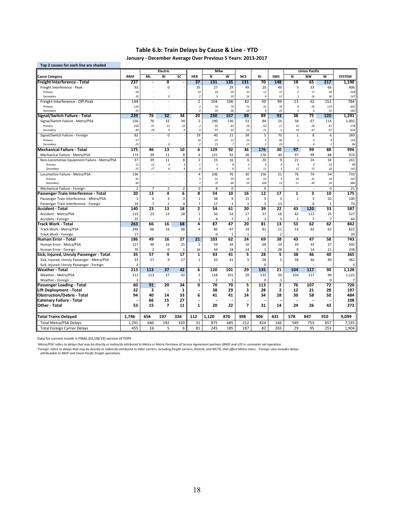## **Table 6.b: Train Delays by Cause & Line ‐ YTD**

**January ‐ December Average Over Previous 5 Years: 2013‐2017**

| Top 2 causes for each line are shaded                                |                |                  |                           |                          |                                 |                |                         |                         |                        |                 |                         |                      |                         |                |
|----------------------------------------------------------------------|----------------|------------------|---------------------------|--------------------------|---------------------------------|----------------|-------------------------|-------------------------|------------------------|-----------------|-------------------------|----------------------|-------------------------|----------------|
|                                                                      |                |                  | Electric                  |                          |                                 | Milw           |                         |                         |                        |                 |                         | <b>Union Pacific</b> |                         |                |
| <b>Cause Category</b>                                                | <b>BNSF</b>    | <b>ML</b>        | BI                        | SC                       | <b>HER</b>                      | Ñ              | $\overline{\mathsf{w}}$ | <b>NCS</b>              | <b>RI</b>              | <b>SWS</b>      | Ñ                       | <b>NW</b>            | $\overline{\mathsf{w}}$ | <b>SYSTEM</b>  |
| Freight Interference - Total                                         | 237            |                  | $\overline{\mathfrak{o}}$ |                          | 37                              | 131            | 135                     | 131                     | 70                     | 148             | 18                      | 65                   | 217                     | 1,190          |
| Freight Interference - Peak                                          | 92             |                  | 0                         |                          | 35                              | 27             | 29                      | 49                      | 20                     | 49              | 5                       | 33                   | 66                      | 406            |
| Primary                                                              | 58             |                  |                           |                          | 33                              | 18             | 20                      | 33                      | 11                     | 37              | $\overline{\mathbf{2}}$ | 17                   | 30                      | 258            |
| Secondary                                                            | 35             |                  | $\mathcal{O}$             |                          | $\overline{2}$                  | 9              | 10                      | 16                      | 9                      | 12              | $\overline{3}$          | 16                   | 36                      | 147            |
| Freight Interference - Off-Peak                                      | 144            |                  |                           | $\overline{\phantom{a}}$ | $\overline{2}$                  | 104            | 106                     | 82                      | 50                     | 99              | 13                      | 32                   | 151                     | 784            |
| Primary<br>Secondary                                                 | 120<br>24      |                  | ÷.                        |                          | $\overline{2}$<br>$\mathcal{O}$ | 70<br>34       | 70<br>36                | 72<br>10                | 41<br>$\boldsymbol{g}$ | 74<br>25        | 8<br>5                  | 26<br>$\epsilon$     | 119<br>32               | 602<br>183     |
| Signal/Switch Failure - Total                                        | 239            | 76               | 32                        | 34                       | 20                              | 230            | 157                     | 89                      | 89                     | 93              | 38                      | 75                   | 120                     | 1,291          |
| Signal/Switch Failure - Metra/PSA                                    | 156            | 76               | 32                        | 34                       | $\overline{2}$                  | 190            | 136                     | 51                      | 84                     | 24              | 38                      | 67                   | 114                     | 1,002          |
| Primary                                                              | 108            | 47               | 22                        | 24                       | $\overline{2}$                  | 93             | 83                      | 28                      | 63                     | 17              | 19                      | 26                   | 47                      | 578            |
| Secondary                                                            | 49             | 29               | 9                         | 9                        | $\theta$                        | 97             | 53                      | 23                      | 21                     | 6               | 19                      | 41                   | 67                      | 424            |
| Signal/Switch Failure - Foreign                                      | 82             |                  | 0                         | ÷,                       | 19                              | 40             | 21                      | 38                      | 5                      | 70              | 1                       | 8                    | 6                       | 289            |
| Primary                                                              | 57             |                  |                           |                          | 16                              | 25             | 15                      | 23                      | $\overline{z}$         | 46              | $\mathbf{1}$            | $\overline{4}$       | $\overline{a}$          | 193            |
| Secondary                                                            | 25             |                  | 0                         |                          | $\overline{2}$                  | 15             | $\overline{7}$          | 15                      | $\overline{z}$         | 23              |                         | $\overline{a}$       | $\overline{z}$          | 96             |
| Mechanical Failure - Total                                           | 175            | 46               | 13                        | 10                       | 6                               | 129            | 92                      | 36                      | 176                    | 30              | 97                      | 99                   | 88                      | 996            |
| Mechanical Failure - Metra/PSA                                       | 173            | 39               | 11                        | 8                        | 6                               | 121            | 92                      | 36                      | 176                    | 30              | 97                      | 99                   | 88                      | 974            |
| Non-Locomotive Equipment Failure - Metra/PSA                         | 37             | 39               | 11                        | 8                        | $\overline{2}$                  | 15             | 16                      | 6                       | 20                     | 9               | 21                      | 24                   | 34                      | 241            |
| Primary                                                              | 15             | 12               | $\overline{4}$            | 4                        | $\it 1$                         | 5              | 8                       | $\overline{2}$          | 9                      | $\overline{4}$  | $\boldsymbol{g}$        | 9                    | 16                      | 99             |
| Secondary                                                            | 21             | 27               | 6                         | $\overline{4}$           | 0                               | 9              | 8                       | $\overline{\mathbf{3}}$ | 11                     | 5               | $12\,$                  | 15                   | 18                      | 142            |
| Locomotive Failure - Metra/PSA                                       | 136            |                  |                           | J.                       | $\overline{4}$                  | 106            | 76                      | 30                      | 156                    | 21              | 76                      | 74                   | 54                      | 733            |
| Primary<br>Secondary                                                 | 42<br>94       |                  |                           |                          | $\sqrt{3}$<br>$\mathbf{1}$      | 31<br>75       | 29<br>46                | 10<br>20                | 52<br>104              | 9<br>12         | 26<br>51                | 25<br>49             | 18<br>36                | 247<br>486     |
|                                                                      | $\overline{2}$ | $\overline{7}$   | $\overline{2}$            | $\overline{2}$           | $\mathbf 0$                     | 8              | $\mathbf 0$             | J.                      | $\mathbf 0$            |                 | ÷.                      | $\sim$               | $\mathbf 0$             | 21             |
| Mechanical Failure - Foreign<br>Passenger Train Interference - Total | 20             | 13               | 4                         | 6                        | 8                               | 54             | 10                      | 16                      | $\overline{12}$        | $\overline{17}$ | 1                       | 3                    | 10                      | 175            |
| Passenger Train Interference - Metra/PSA                             | $\mathbf{1}$   | 6                | 3                         | $\overline{2}$           | $\mathbf 1$                     | 38             | $\overline{9}$          | 15                      | 9                      | $\overline{3}$  | $\mathbf{1}$            | 3                    | 10                      | 100            |
|                                                                      | 19             | $\overline{7}$   | $\overline{2}$            | 4                        | $\overline{7}$                  | 17             | $\overline{2}$          | $\mathbf{1}$            | 3                      | 13              |                         | $\Omega$             | 1                       | 74             |
| Passenger Train Interference - Foreign<br>Accident - Total           | 140            | 23               | 13                        | 18                       | 2                               | 54             | 61                      | 20                      | 39                     | 22              | 43                      | 120                  | 33                      | 587            |
| Accident - Metra/PSA                                                 | 115            | 23               | 13                        | 18                       | $\mathbf 1$                     | 50             | 54                      | 17                      | 37                     | 18              | 42                      | 113                  | 25                      | 527            |
| Accident - Foreign                                                   | 25             |                  |                           |                          | 1                               | 4              | $\overline{7}$          | $\overline{3}$          | $\overline{2}$         | 3               | $\mathbf{1}$            | $\overline{7}$       | $\overline{7}$          | 60             |
| Track Work - Total                                                   | 263            | 66               | 16                        | 68                       | 4                               | 87             | 47                      | 20                      | 81                     | 13              | 53                      | 62                   | 62                      | 842            |
| Track Work - Metra/PSA                                               | 246            | 66               | 16                        | 68                       | 4                               | 86             | 47                      | 19                      | 81                     | 11              | 53                      | 62                   | 62                      | 822            |
| Track Work - Foreign                                                 | 17             | ÷                |                           |                          |                                 | $\Omega$       | 1                       | $\mathbf{1}$            |                        | $\overline{2}$  |                         |                      |                         | 20             |
| Human Error - Total                                                  | 186            | 49               | 16                        | 27                       | 21                              | 103            | 62                      | 24                      | 69                     | 38              | 43                      | 47                   | 58                      | 743            |
| Human Error - Metra/PSA                                              | 117            | 46               | 16                        | 25                       | 5                               | 59             | 44                      | 10                      | 68                     | 10              | 34                      | 33                   | 37                      | 505            |
| Human Error - Foreign                                                | 70             | $\overline{2}$   | 0                         | 1                        | 16                              | 44             | 18                      | 14                      | 1                      | 28              | 9                       | 14                   | 21                      | 238            |
| Sick, Injured, Unruly Passenger - Total                              | 35             | 57               | 9                         | $\overline{17}$          | $\overline{\mathbf{1}}$         | 43             | 41                      | 5                       | 28                     | 5               | 38                      | 46                   | 40                      | 365            |
| Sick, Injured, Unruly Passenger - Metra/PSA                          | 33             | 57               | 9                         | 17                       | $\mathbf{1}$                    | 43             | 41                      | 5                       | 28                     | 5               | 38                      | 46                   | 40                      | 362            |
| Sick, Injured, Unruly Passenger - Foreign                            | $\overline{2}$ |                  |                           |                          |                                 |                |                         |                         | $\Omega$               |                 |                         |                      |                         | 3              |
| <b>Weather - Total</b>                                               | 213            | $\overline{113}$ | $\overline{37}$           | 42                       | 6                               | 120            | 101                     | 29                      | 135                    | 21              | 104                     | $\overline{117}$     | 90                      | 1,128          |
| Weather - Metra/PSA                                                  | 211            | 113              | 37                        | 42                       | 5                               | 118            | 101                     | 29                      | 135                    | 20              | 104                     | 117                  | 90                      | 1,121          |
| Weather - Foreign                                                    | $\overline{2}$ |                  |                           |                          | $\mathbf 1$                     | $\overline{2}$ | 1                       |                         | $\mathbf 0$            | $\mathbf{1}$    |                         |                      | $\mathbf 0$             | $\overline{7}$ |
| Passenger Loading - Total                                            | 60             | 91               | 20                        | 34                       | $\overline{\mathbf{0}}$         | 70             | 70                      | 5                       | 113                    | $\overline{2}$  | 76                      | 107                  | $\overline{72}$         | 720            |
| Lift Deployment - Total                                              | 32             | 3                | $\overline{a}$            | 1                        | L,                              | 38             | 29                      | 3                       | 28                     | $\overline{2}$  | 12                      | 21                   | 28                      | 197            |
| <b>Obstruction/Debris - Total</b>                                    | 94             | 40               | 14                        | 33                       | 6                               | 41             | 41                      | 14                      | 34                     | 28              | 30                      | 58                   | 50                      | 484            |
| Catenary Failure - Total                                             |                | 66               | 15                        | 27                       |                                 |                |                         |                         |                        |                 |                         |                      |                         | 108            |
| Other - Total                                                        | 53             | 15               | $\overline{ }$            | 11                       | $\mathbf{1}$                    | 20             | 22                      | $\overline{ }$          | 31                     | 14              | 24                      | 26                   | 42                      | 273            |
| Total Trains Delayed                                                 | 1,746          | 656              | 197                       | 326                      | 112                             | 1,120          | 870                     | 398                     | 906                    | 431             | 578                     | 847                  | 910                     | 9,099          |
| <b>Total Metra/PSA Delays</b>                                        | 1,291          | 640              | 192                       | 320                      | 31                              | 875            | 685                     | 212                     | 824                    | 166             | 549                     | 753                  | 657                     | 7,195          |
| <b>Total Foreign Carrier Delays</b>                                  | 455            | 16               | 5                         | 6                        | 81                              | 245            | 185                     | 187                     | 82                     | 265             | 29                      | 95                   | 253                     | 1,904          |
|                                                                      |                |                  |                           |                          |                                 |                |                         |                         |                        |                 |                         |                      |                         |                |

Data for current month is FINAL (01/28/19) version of TOPS

'Metra/PSA' refers to delays that may be directly or indirectly attributed to Metra or Metra Purchase of Service Agreement partners (BNSF and UP) in commuter rail operation.

'Foreign' refers to delays that may be directly or indirectly attributed to other carriers, including freight carriers, Amtrak, and NICTD, that affect Metra trains. 'Foreign' also includes delays<br>attributable to BNSF and U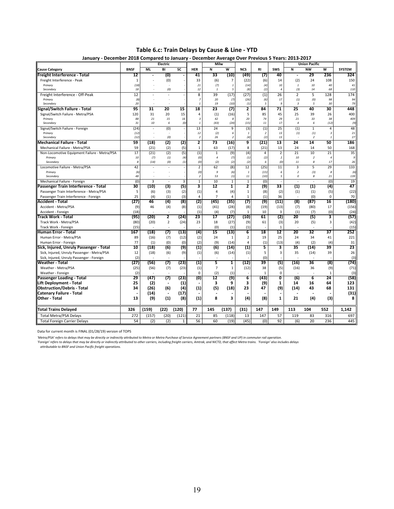**Table 6.c: Train Delays by Cause & Line ‐ YTD January ‐ December 2018 Compared to January ‐ December Average Over Previous 5 Years: 2013‐2017**

|                                              | January - December 2018 Compared to January - December Average Over Previous 5 Tears: 2013-2017<br>Electric |                |                          |                | Milw                    |                |                               |                     |                                 | <b>Union Pacific</b>    |                          |                          |                                  |               |
|----------------------------------------------|-------------------------------------------------------------------------------------------------------------|----------------|--------------------------|----------------|-------------------------|----------------|-------------------------------|---------------------|---------------------------------|-------------------------|--------------------------|--------------------------|----------------------------------|---------------|
| <b>Cause Category</b>                        | <b>BNSF</b>                                                                                                 | <b>ML</b>      | BI                       | SC             | <b>HER</b>              | Ñ              | W                             | <b>NCS</b>          | RI                              | <b>SWS</b>              | Ñ                        | <b>NW</b>                | W                                | <b>SYSTEM</b> |
| Freight Interference - Total                 | 12                                                                                                          |                | $\left( 0 \right)$       |                | 41                      | 33             | (10)                          | (49)                | (7)                             | 40                      | $\overline{a}$           | 29                       | 236                              | 324           |
| Freight Interference - Peak                  | $\mathbf{1}$                                                                                                |                | (0)                      |                | 33                      | (6)            | $\overline{7}$                | (22)                | (6)                             | 14                      | (2)                      | 24                       | 108                              | 150           |
| Primary                                      | (18)                                                                                                        |                |                          |                | 21                      | (7)            | $\overline{1}$                | (14)                | (4)                             | 10                      | $\mathbf{1}$             | 10                       | 40                               | 41            |
| Secondary                                    | 18                                                                                                          |                | (0)                      |                | 12                      | $\mathbf{1}$   | 5                             | (8)                 | (2)                             | $\overline{4}$          | (3)                      | 14                       | 68                               | 110           |
| Freight Interference - Off-Peak              | 12                                                                                                          |                |                          |                | 8                       | 39             | (17)                          | (27)                | (1)                             | 26                      | $\overline{2}$           | 5                        | 128                              | 174           |
| Primary                                      | (8)                                                                                                         |                |                          |                | $\overline{7}$          | 20             | (7)                           | (26)                | (6)                             | 17                      | (1)                      | (0)                      | 98                               | 94            |
| Secondary                                    | 20                                                                                                          |                |                          |                | $\mathbf{1}$            | 19             | (10)                          | (1)                 | 5                               | 9                       | $\overline{\mathbf{3}}$  | 5                        | 30                               | 79            |
| Signal/Switch Failure - Total                | 95                                                                                                          | 31             | 20                       | 15             | 18                      | 23             | (7)                           | 2                   | 84                              | 71                      | 25                       | 40                       | 30                               | 448           |
| Signal/Switch Failure - Metra/PSA            | 120                                                                                                         | 31             | 20                       | 15             | 4                       | (1)            | (16)                          | 5                   | 85                              | 45                      | 25                       | 39                       | 26                               | 400           |
| Primary                                      | 88                                                                                                          | 21             | 15                       | 16             | $\overline{3}$          | 42             | 8                             | 20                  | 74                              | 29                      | 21                       | 33                       | 38                               | 409           |
| Secondary                                    | 31                                                                                                          | 10             | 6                        | (0)            | $\it 1$                 | (43)           | (24)                          | (15)                | $11\,$                          | 17                      | $\overline{a}$           | 6                        | (12)                             | (9)           |
| Signal/Switch Failure - Foreign              | (24)<br>(12)                                                                                                | ×.             | (0)                      |                | 13<br>12                | 24             | 9                             | (3)<br>$\mathbf{1}$ | (1)<br>$\overline{\phantom{a}}$ | 25<br>13                | (1)                      | $\mathbf{1}$             | $\overline{4}$<br>$\overline{3}$ | 48<br>21      |
| Primary<br>Secondary                         | (12)                                                                                                        |                | (0)                      |                | $\overline{2}$          | (2)<br>26      | 6<br>$\overline{\phantom{a}}$ | (4)                 | (2)                             | 13                      | (1)                      | (1)<br>$\overline{2}$    | $\mathbf{1}$                     | 27            |
| Mechanical Failure - Total                   | 59                                                                                                          | (18)           | (2)                      | (2)            | $\overline{2}$          | 73             | (16)                          | 9                   | (21)                            | 13                      | 24                       | 14                       | 50                               | 186           |
| Mechanical Failure - Metra/PSA               | 59                                                                                                          | (21)           | (2)                      | (5)            | $\mathbf 1$             | 63             | (17)                          | 8                   | (21)                            | 13                      | 24                       | 14                       | 50                               | 168           |
| Non-Locomotive Equipment Failure - Metra/PSA | 17                                                                                                          | (21)           | (2)                      | (5)            | (1)                     | $\mathbf{1}$   | (9)                           | (4)                 | $\overline{4}$                  | $\overline{2}$          | 21                       | 10                       | 21                               | 35            |
| Primary                                      | 10                                                                                                          | (7)            | (1)                      | (4)            | (0)                     | $\overline{a}$ | (7)                           | (1)                 | (2)                             | $\overline{2}$          | 10                       | $\overline{2}$           | $\overline{a}$                   | g             |
| Secondary                                    | 8                                                                                                           | (14)           | (0)                      | (1)            | (0)                     | (2)            | (2)                           | (2)                 | 6                               | (0)                     | 11                       | 8                        | 17                               | 26            |
| Locomotive Failure - Metra/PSA               | 42                                                                                                          |                |                          |                | $\overline{2}$          | 62             | (8)                           | 12                  | (25)                            | 11                      | 3                        | 5                        | 29                               | 133           |
| Primary                                      | (6)                                                                                                         |                |                          |                | (0)                     | 9              | (6)                           | $\mathbf{1}$        | (15)                            | 6                       | $\overline{2}$           | (3)                      | 8                                | (6)           |
| Secondary                                    | 48                                                                                                          |                |                          |                | $\overline{\mathbf{2}}$ | 53             | (1)                           | $11\,$              | (10)                            | 5                       | 0                        | $\boldsymbol{s}$         | 21                               | 139           |
| Mechanical Failure - Foreign                 | (0)                                                                                                         | $\overline{3}$ | $\sim$                   | $\overline{3}$ | $\mathbf 1$             | 10             | $\mathbf{1}$                  | $\mathbf{1}$        | (0)                             |                         | $\overline{\phantom{a}}$ | $\overline{\phantom{a}}$ | (0)                              | 19            |
| Passenger Train Interference - Total         | 30                                                                                                          | (10)           | (3)                      | (5)            | 3                       | 12             | 1                             | 2                   | (9)                             | 33                      | (1)                      | (1)                      | (4)                              | 47            |
| Passenger Train Interference - Metra/PSA     | 5                                                                                                           | (6)            | (3)                      | (2)            | (1)                     | $\overline{4}$ | (4)                           | 1                   | (8)                             | (2)                     | (1)                      | (1)                      | (5)                              | (22)          |
| Passenger Train Interference - Foreign       | 25                                                                                                          | (4)            | (1)                      | (3)            | 4                       | $\overline{7}$ | $\overline{4}$                | $\mathbf{1}$        | (1)                             | 36                      |                          | (0)                      | $\mathbf 0$                      | 70            |
| Accident - Total                             | (27)                                                                                                        | 46             | (4)                      | (8)            | (2)                     | (45)           | (35)                          | (7)                 | (9)                             | (11)                    | (8)                      | (87)                     | 16                               | (180)         |
| Accident - Metra/PSA                         | (9)                                                                                                         | 46             | (4)                      | (8)            | (1)                     | (41)           | (28)                          | (8)                 | (19)<br>10                      | (13)<br>3               | (7)                      | (80)                     | 17<br>(0)                        | (156)         |
| Accident - Foreign                           | (18)<br>(95)                                                                                                | (20)           | 2                        | (24)           | (1)<br>23               | (4)            | (7)<br>(27)                   | 1<br>(10)           | 61                              | (2)                     | (1)<br>20                | (7)<br>(5)               | 3                                | (24)<br>(57)  |
| Track Work - Total<br>Track Work - Metra/PSA |                                                                                                             |                | $\overline{2}$           |                | 23                      | 17<br>18       |                               |                     | 61                              |                         | 20                       |                          | 3                                |               |
| Track Work - Foreign                         | (80)<br>(15)                                                                                                | (20)           |                          | (24)           |                         | (0)            | (27)<br>(1)                   | (9)<br>(1)          |                                 | (3)<br>1                |                          | (5)                      |                                  | (42)<br>(15)  |
| -Iuman Error - Total                         | 167                                                                                                         | (18)           | (7)                      | (13)           | (4)                     | 15             | (13)                          | 6                   | 18                              | 12                      | 20                       | 32                       | 37                               | 252           |
| Human Error - Metra/PSA                      | 89                                                                                                          | (16)           | (7)                      | (12)           | (2)                     | 24             | 1                             | $\overline{2}$      | 19                              | 25                      | 24                       | 34                       | 41                               | 221           |
| Human Error - Foreign                        | 77                                                                                                          | (1)            | (0)                      | (0)            | (2)                     | (9)            | (14)                          | 4                   | (1)                             | (13)                    | (4)                      | (2)                      | (4)                              | 31            |
| Sick, Injured, Unruly Passenger - Total      | 10                                                                                                          | (18)           | (6)                      | (9)            | (1)                     | (6)            | (14)                          | (1)                 | 5                               | 3                       | 35                       | (14)                     | 39                               | 23            |
| Sick, Injured, Unruly Passenger - Metra/PSA  | 12                                                                                                          | (18)           | (6)                      | (9)            | (1)                     | (6)            | (14)                          | (1)                 | 5                               | 3                       | 35                       | (14)                     | 39                               | 26            |
| Sick, Injured, Unruly Passenger - Foreign    | (2)                                                                                                         |                |                          |                |                         |                |                               |                     | (0)                             |                         |                          |                          |                                  | (3)           |
| Weather - Total                              | (27)                                                                                                        | (56)           | (7)                      | (23)           | (1)                     | 5              | ${\bf 1}$                     | (12)                | 39                              | (5)                     | (16)                     | 36                       | (8)                              | (74)          |
| Weather - Metra/PSA                          | (25)                                                                                                        | (56)           | (7)                      | (23)           | (1)                     | $\overline{7}$ | $\,1\,$                       | (12)                | 38                              | (5)                     | (16)                     | 36                       | (9)                              | (71)          |
| Weather - Foreign                            | (2)                                                                                                         |                |                          |                | $\mathbf 0$             | (2)            | (1)                           |                     | $\mathbf{1}$                    | $\mathbf 0$             |                          | ÷.                       | $\mathbf{1}$                     | (3)           |
| Passenger Loading - Total                    | 29                                                                                                          | (47)           | (7)                      | (23)           | (0)                     | 12             | (9)                           | 6                   | (43)                            | $\overline{\mathbf{0}}$ | (6)                      | 6                        | 24                               | (58)          |
| Lift Deployment - Total                      | 25                                                                                                          | (2)            | $\overline{\phantom{a}}$ | (1)            |                         | 3              | 9                             | 3                   | (9)                             | 1                       | 14                       | 16                       | 64                               | 123           |
| <b>Obstruction/Debris - Total</b>            | 34                                                                                                          | (26)           | (6)                      | (4)            | (1)                     | (5)            | (18)                          | 23                  | 47                              | (9)                     | (14)                     | 43                       | 68                               | 131           |
| Catenary Failure - Total                     |                                                                                                             | (14)           |                          | (17)           |                         |                |                               |                     |                                 |                         |                          |                          |                                  | (31)          |
| Other - Total                                | 13                                                                                                          | (9)            | (1)                      | (8)            | (1)                     | 8              | 3                             | (4)                 | (8)                             | $\mathbf{1}$            | 21                       | (4)                      | (3)                              | 8             |
| <b>Total Trains Delayed</b>                  | 326                                                                                                         | (159)          | (22)                     | (120)          | 77                      | 145            | (137)                         | (31)                | 147                             | 149                     | 113                      | 104                      | 552                              | 1,142         |
| <b>Total Metra/PSA Delays</b>                | 272                                                                                                         | (157)          | (20)                     | (121)          | 21                      | 85             | (118)                         | 13                  | 147                             | 57                      | 119                      | 83                       | 316                              | 697           |
| <b>Total Foreign Carrier Delays</b>          | 54                                                                                                          | (2)            | (2)                      | $\mathbf{1}$   | 56                      | 60             | (19)                          | (45)                | (0)                             | 92                      | (6)                      | 20                       | 236                              | 445           |

Data for current month is FINAL (01/28/19) version of TOPS

'Metra/PSA' refers to delays that may be directly or indirectly attributed to Metra or Metra Purchase of Service Agreement partners (BNSF and UP) in commuter rail operation.<br>'Foreign' refers to delays that may be direction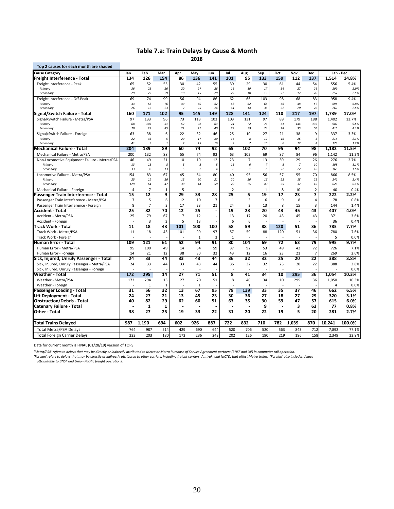## **Table 7.a: Train Delays by Cause & Month**

**2018**

| <b>Cause Category</b><br>Jan<br>134<br>Freight Interference - Total<br>Freight Interference - Peak<br>Primary<br>Secondary<br>Freight Interference - Off-Peak | Feb<br>126<br>65<br>36 | 52             | Mar<br>154      | Apr<br>86            | May            | Jun                      | Jul            | Aug            | Sep            | Oct      | Nov             | Dec            | Jan - Dec      |              |
|---------------------------------------------------------------------------------------------------------------------------------------------------------------|------------------------|----------------|-----------------|----------------------|----------------|--------------------------|----------------|----------------|----------------|----------|-----------------|----------------|----------------|--------------|
|                                                                                                                                                               |                        |                |                 |                      |                |                          |                |                |                |          |                 |                |                |              |
|                                                                                                                                                               |                        |                |                 |                      | 136            | 141                      | 101            | 95             | 133            | 159      | 112             | 137            | 1.514          | 14.8%        |
|                                                                                                                                                               |                        |                | 55              | 30                   | 42             | 55                       | 39             | 29             | 30             | 61       | 44              | 54             | 556            | 5.4%         |
|                                                                                                                                                               |                        | 25             | 26              | 20                   | 27             | 26                       | 16             | 19             | 17             | 34       | 27              | 26             | 299            | 2.9%         |
|                                                                                                                                                               | 29                     | 27             | 29              | 10                   | 15             | 29                       | 23             | 10             | 13             | 27       | 17              | 28             | 257            | 2.5%         |
|                                                                                                                                                               | 69                     | 74             | 99              | 56                   | 94             | 86                       | 62             | 66             | 103            | 98       | 68              | 83             | 958            | 9.4%         |
| Primary<br>Secondary                                                                                                                                          | 43<br>26               | 58<br>16       | 76<br>23        | 49<br>$\overline{7}$ | 69<br>25       | 62<br>24                 | 48<br>14       | 52<br>14       | 68<br>35       | 66<br>32 | 48<br>20        | 57<br>26       | 696<br>262     | 6.8%<br>2.6% |
| Signal/Switch Failure - Total<br>160                                                                                                                          | 171                    |                | 102             | 95                   | 145            | 149                      | 128            | 141            | 124            | 110      | 217             | 197            | 1,739          | 17.0%        |
| 97                                                                                                                                                            | 133                    |                | 96              | 73                   | 113            | 103                      | 103            | 131            | 97             | 89       | 179             | 188            | 1,402          | 13.7%        |
| Signal/Switch Failure - Metra/PSA<br>Primary                                                                                                                  | 68                     | 105            | 51              | 52                   | 92             | 63                       | 74             | 72             | 73             | 61       | 144             | 132            | 987            | 9.6%         |
| Secondary                                                                                                                                                     | 29                     | 28             | 45              | 21                   | 21             | 40                       | 29             | 59             | 24             | 28       | 35              | 56             | 415            | 4.1%         |
| Signal/Switch Failure - Foreign                                                                                                                               | 63                     | 38             | 6               | 22                   | 32             | 46                       | 25             | 10             | 27             | 21       | 38              | 9              | 337            | 3.3%         |
| Primary                                                                                                                                                       | 22                     | 33             | 5               | 20                   | 17             | 30                       | 16             | 8              | 17             | 15       | 26              | 5              | 214            | 2.1%         |
| Secondary                                                                                                                                                     | 41                     | 5              | $\mathbf{1}$    | $\overline{2}$       | 15             | 16                       | 9              | $\overline{2}$ | 10             | 6        | 12              | $\overline{4}$ | 123            | 1.2%         |
| 204<br><b>Mechanical Failure - Total</b>                                                                                                                      | 139                    |                | 89              | 60                   | 74             | 92                       | 65             | 102            | 70             | 95       | 94              | 98             | 1,182          | 11.5%        |
| Mechanical Failure - Metra/PSA<br>200                                                                                                                         | 132                    |                | 88              | 55                   | 74             | 92                       | 63             | 102            | 69             | 87       | 84              | 96             | 1,142          | 11.2%        |
| Non-Locomotive Equipment Failure - Metra/PSA                                                                                                                  | 46                     | 49             | 21              | 10                   | 10             | 12                       | 23             | $\overline{7}$ | 13             | 30       | 29              | 26             | 276            | 2.7%         |
| Primary                                                                                                                                                       | 13                     | 13             | 8               | $\sqrt{5}$           | 8              | 8                        | 15             | 6              | $\overline{7}$ | 8        | $\overline{7}$  | 10             | 108            | 1.1%         |
| Secondary                                                                                                                                                     | 33                     | 36             | 13              | 5                    | $\overline{2}$ | $\it 4$                  | 8              | $\mathbf{1}$   | 6              | 22       | 22              | 16             | 168            | 1.6%         |
| Locomotive Failure - Metra/PSA<br>154                                                                                                                         |                        | 83             | 67              | 45                   | 64             | 80                       | 40             | 95             | 56             | 57       | 55              | 70             | 866            | 8.5%         |
| Primary<br>129<br>Secondary                                                                                                                                   | 25                     | 19<br>64       | 20<br>47        | 15<br>30             | 20<br>44       | 21<br>59                 | 20<br>20       | 20<br>75       | 16<br>40       | 22<br>35 | 18<br>37        | 25<br>45       | 241<br>625     | 2.4%<br>6.1% |
|                                                                                                                                                               | 4                      | $\overline{7}$ | $\mathbf{1}$    | 5                    | ÷,             |                          | $\overline{2}$ |                | $\mathbf{1}$   | 8        | 10              | $\overline{2}$ | 40             | 0.4%         |
| Mechanical Failure - Foreign<br>15<br>Passenger Train Interference - Total                                                                                    |                        | 12             | 9               | 29                   | 33             | 28                       | 25             | 5              | 19             | 17       | 23              | 7              | 222            | 2.2%         |
| Passenger Train Interference - Metra/PSA                                                                                                                      | $\overline{7}$         | 5              | 6               | 12                   | 10             | $\overline{7}$           | $\mathbf 1$    | 3              | 6              | 9        | 8               | 4              | 78             | 0.8%         |
| Passenger Train Interference - Foreign                                                                                                                        | 8                      | $\overline{7}$ | 3               | 17                   | 23             | 21                       | 24             | $\overline{2}$ | 13             | 8        | 15              | 3              | 144            | 1.4%         |
| 25<br>Accident - Total                                                                                                                                        | 82                     |                | 70              | $\overline{12}$      | 25             | $\overline{\phantom{a}}$ | 19             | 23             | 20             | 43       | 45              | 43             | 407            | 4.0%         |
| 25<br>Accident - Metra/PSA                                                                                                                                    |                        | 79             | 67              | $\overline{7}$       | 12             | $\sim$                   | 13             | 17             | 20             | 43       | 45              | 43             | 371            | 3.6%         |
| Accident - Foreign                                                                                                                                            |                        | $\overline{3}$ | 3               | 5                    | 13             |                          | 6              | 6              |                |          |                 |                | 36             | 0.4%         |
| Track Work - Total<br>11                                                                                                                                      | $\overline{18}$        |                | 43              | 101                  | 100            | 100                      | 58             | 59             | 88             | 120      | 51              | 36             | 785            | 7.7%         |
| Track Work - Metra/PSA<br>11                                                                                                                                  |                        | 18             | 43              | 101                  | 99             | 97                       | 57             | 59             | 88             | 120      | 51              | 36             | 780            | 7.6%         |
| Track Work - Foreign                                                                                                                                          |                        |                |                 |                      | $\mathbf{1}$   | 3                        | $\mathbf{1}$   |                |                |          |                 |                | 5              | 0.0%         |
| 109<br>Human Error - Total                                                                                                                                    | 121                    |                | 61              | 52                   | 94             | 91                       | 80             | 104            | 69             | 72       | 63              | 79             | 995            | 9.7%         |
| 95<br>Human Error - Metra/PSA                                                                                                                                 | 100                    |                | 49              | 14                   | 64             | 59                       | 37             | 92             | 53             | 49       | 42              | 72             | 726            | 7.1%         |
| 14<br>Human Error - Foreign                                                                                                                                   |                        | 21             | 12              | 38                   | 30             | 32                       | 43             | 12             | 16             | 23       | 21              | $\overline{7}$ | 269            | 2.6%         |
| 24<br>Sick, Injured, Unruly Passenger - Total                                                                                                                 | 33                     |                | 44              | 33                   | 43             | 44                       | 36             | 32             | 32             | 25       | $\overline{20}$ | 22             | 388            | 3.8%         |
| Sick, Injured, Unruly Passenger - Metra/PSA                                                                                                                   | 24                     | 33             | 44              | 33                   | 43             | 44                       | 36             | 32             | 32             | 25       | 20              | 22             | 388            | 3.8%         |
| Sick, Injured, Unruly Passenger - Foreign                                                                                                                     |                        |                |                 |                      |                |                          |                |                |                |          |                 |                |                | 0.0%         |
| 172<br>Weather - Total                                                                                                                                        | 295                    |                | 14              | 27                   | 71             | 51                       | 8              | 41             | 34             | 10       | 295             | 36             | 1,054          | 10.3%        |
| Weather - Metra/PSA<br>172                                                                                                                                    | 294                    |                | 13              | 27                   | 70             | 51                       | 8              | 40             | 34             | 10       | 295             | 36             | 1,050          | 10.3%        |
| Weather - Foreign                                                                                                                                             |                        | $\mathbf{1}$   | $\mathbf{1}$    | ÷.                   | $\mathbf{1}$   |                          |                | $\mathbf{1}$   |                |          |                 |                | $\overline{4}$ | 0.0%         |
| 31<br>Passenger Loading - Total                                                                                                                               | 56                     |                | $\overline{32}$ | 13                   | 67             | 95                       | 78             | 139            | 33             | 35       | 37              | 46             | 662            | 6.5%         |
| 24<br>Lift Deployment - Total                                                                                                                                 | 27                     |                | 21              | 13                   | 45             | 23                       | 30             | 36             | 27             | 18       | 27              | 29             | 320            | 3.1%         |
| 40<br><b>Obstruction/Debris - Total</b>                                                                                                                       | 82                     |                | 29              | 62                   | 60             | 51                       | 63             | 35             | 30             | 59       | 47              | 57             | 615            | 6.0%         |
| <b>Catenary Failure - Total</b>                                                                                                                               |                        | $\mathbf{1}$   | 1               |                      |                |                          |                |                | 9              |          | 3               | 63             | 77             | 0.8%         |
| 38<br><b>Other - Total</b>                                                                                                                                    | 27                     |                | 25              | 19                   | 33             | 22                       | 31             | 20             | 22             | 19       | 5               | 20             | 281            | 2.7%         |
| 987<br><b>Total Trains Delayed</b>                                                                                                                            | 1,190                  |                | 694             | 602                  | 926            | 887                      | 722            | 832            | 710            | 782      | 1,039           | 870            | 10,241         | 100.0%       |
| <b>Total Metra/PSA Delays</b>                                                                                                                                 | 764                    | 987            | 514             | 429                  | 690            | 644                      | 520            | 706            | 520            | 563      | 843             | 712            | 7,892          | 77.1%        |
| <b>Total Foreign Carrier Delays</b>                                                                                                                           | 223                    | 203            | 180             | 173                  | 236            | 243                      | 202            | 126            | 190            | 219      | 196             | 158            | 2,349          | 22.9%        |

Data for current month is FINAL (01/28/19) version of TOPS

'Metro/PSA' refers to delays that may be directly or indirectly attributed to Metra or Metra Purchase of Service Agreement partners (BNSF and UP) in commuter rail operation.

'Foreign' refers to delays that may be directly or indirectly attributed to other carriers, including freight carriers, Amtrak, and NICTD, that affect Metra trains. 'Foreign' also includes delays<br>attributable to BNSF and U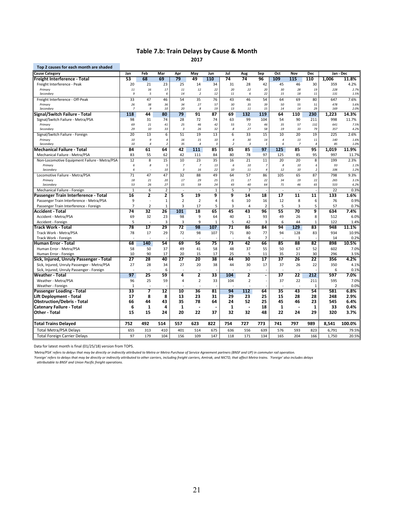### **Table 7.b: Train Delays by Cause & Month 2017**

| Top 2 causes for each month are shaded                                           |                      |                              |                     |                         |                |                 |                          |                          |                          |                                |                |                          |                |              |
|----------------------------------------------------------------------------------|----------------------|------------------------------|---------------------|-------------------------|----------------|-----------------|--------------------------|--------------------------|--------------------------|--------------------------------|----------------|--------------------------|----------------|--------------|
| <b>Cause Category</b>                                                            | Jan                  | Feb                          | Mar                 | Apr                     | May            | Jun             | Jul                      | Aug                      | Sep                      | Oct                            | <b>Nov</b>     | <b>Dec</b>               |                | Jan - Dec    |
| Freight Interference - Total                                                     | 53                   | 68                           | 69                  | 79                      | 49             | 110             | 74                       | 74                       | 96                       | 109                            | 115            | 110                      | 1,006          | 11.8%        |
| Freight Interference - Peak                                                      | 20                   | 21                           | 23                  | 25                      | 14             | 34              | 31                       | 28                       | 42                       | 45                             | 46             | 30                       | 359            | 4.2%         |
| Primary                                                                          | 11                   | 16                           | 17                  | 11                      | 12             | 22              | 20                       | 22                       | 20                       | 30                             | 28             | 19                       | 228            | 2.7%         |
| Secondary                                                                        | 9                    | 5                            | 6                   | 14                      | $\overline{2}$ | 12              | 11                       | 6                        | 22                       | 15                             | 18             | 11                       | 131            | 1.5%         |
| Freight Interference - Off-Peak                                                  | 33                   | 47                           | 46                  | 54                      | 35             | 76              | 43                       | 46                       | 54                       | 64                             | 69             | 80                       | 647            | 7.6%         |
| Primary<br>Secondary                                                             | 26<br>$\overline{z}$ | 38<br>9                      | 36<br>10            | 34<br>20                | 27<br>8        | 57<br>19        | 30<br>13                 | 35<br>11                 | 39<br>15                 | 50<br>14                       | 55<br>14       | 51<br>29                 | 478<br>169     | 5.6%<br>2.0% |
| Signal/Switch Failure - Total                                                    | 118                  | 44                           | $\overline{80}$     | 79                      | 91             | $\overline{87}$ | 69                       | 132                      | 119                      | 64                             | 110            | 230                      | 1,223          | 14.3%        |
|                                                                                  | 98                   | 31                           | 74                  | 28                      | 72             | 74              | 63                       | 99                       | 104                      | 54                             | 90             |                          | 998            | 11.7%        |
| Signal/Switch Failure - Metra/PSA<br>Primary                                     | 69                   | 21                           | 41                  | 25                      | 46             | 42              | 55                       | 72                       | 46                       | 35                             | 57             | 211<br>132               | 641            | 7.5%         |
| Secondary                                                                        | 29                   | 10                           | 33                  | $\overline{\mathbf{3}}$ | 26             | 32              | 8                        | 27                       | 58                       | 19                             | 33             | 79                       | 357            | 4.2%         |
| Signal/Switch Failure - Foreign                                                  | 20                   | 13                           | 6                   | 51                      | 19             | 13              | 6                        | 33                       | 15                       | 10                             | 20             | 19                       | 225            | 2.6%         |
| Primary                                                                          | 10                   | 9                            | $\overline{4}$      | 16                      | 15             | 10              | $\overline{4}$           | 30                       | 14                       | $\overline{4}$                 | 13             | 11                       | 140            | 1.6%         |
| Secondary                                                                        | 10                   | $\overline{4}$               | $\overline{2}$      | 35                      | $\overline{4}$ | $\overline{3}$  | $\overline{\phantom{a}}$ | $\overline{3}$           | $\mathbf{1}$             | 6                              | $\overline{z}$ | 8                        | 85             | 1.0%         |
| Mechanical Failure - Total                                                       | 84                   | 61                           | 64                  | 42                      | 111            | 85              | 85                       | 85                       | 97                       | 125                            | 85             | 95                       | 1.019          | 11.9%        |
| Mechanical Failure - Metra/PSA                                                   | 83                   | 55                           | 62                  | 42                      | 111            | 84              | 80                       | 78                       | 97                       | 125                            | 85             | 95                       | 997            | 11.7%        |
| Non-Locomotive Equipment Failure - Metra/PSA                                     | 12                   | 8                            | 15                  | 10                      | 23             | 35              | 16                       | 21                       | 11                       | 20                             | 20             | 8                        | 199            | 2.3%         |
| Primary                                                                          | 6                    | 8                            | 5                   | $\overline{z}$          | $\overline{z}$ | 13              | 6                        | 10                       | $\overline{7}$           | 8                              | 10             | 6                        | 93             | 1.1%         |
| Secondary                                                                        | 6                    |                              | 10                  | $\overline{\mathbf{3}}$ | 16             | 22              | 10                       | 11                       | $\it 4$                  | 12                             | 10             | $\overline{\phantom{a}}$ | 106            | 1.2%         |
| Locomotive Failure - Metra/PSA                                                   | 71                   | 47                           | 47                  | 32                      | 88             | 49              | 64                       | 57                       | 86                       | 105                            | 65             | 87                       | 798            | 9.3%         |
| Primary                                                                          | 18                   | 21                           | 20                  | 17                      | 29             | 25              | 21                       | 17                       | 22                       | 34                             | 19             | 22                       | 265            | 3.1%         |
| Secondary                                                                        | 53                   | 26                           | 27                  | 15                      | 59             | 24              | 43                       | 40                       | 64                       | 71                             | 46             | 65                       | 533            | 6.2%         |
| Mechanical Failure - Foreign                                                     | $\mathbf{1}$<br>16   | 6<br>$\overline{\mathbf{2}}$ | $\overline{2}$<br>2 | $\sim$<br>5             | $\sim$<br>19   | $1\,$<br>9      | 5<br>9                   | $\overline{7}$<br>14     | $\sim$<br>18             | $\overline{\phantom{a}}$<br>17 | $\sim$<br>11   | $\overline{11}$          | 22<br>133      | 0.3%<br>1.6% |
| Passenger Train Interference - Total<br>Passenger Train Interference - Metra/PSA | 9                    | ÷,                           | $1\,$               | $\overline{2}$          | $\overline{2}$ | $\overline{4}$  | 6                        | 10                       | 16                       | 12                             | 8              |                          | 76             | 0.9%         |
|                                                                                  | $\overline{7}$       | $\overline{2}$               | $\mathbf 1$         | 3                       | 17             | 5               | 3                        |                          | $\overline{2}$           | 5                              | 3              | 6<br>5                   | 57             | 0.7%         |
| Passenger Train Interference - Foreign<br>Accident - Total                       | 74                   | 32                           | 26                  | 101                     | 18             | 65              | 45                       | 4<br>43                  | 96                       | 55                             | 70             | 9                        | 634            | 7.4%         |
| Accident - Metra/PSA                                                             | 69                   | 32                           | 23                  | 98                      | 9              | 64              | 40                       | $\mathbf{1}$             | 93                       | 49                             | 26             | 8                        | 512            | 6.0%         |
| Accident - Foreign                                                               | 5                    |                              | $\overline{3}$      | $\overline{3}$          | 9              | $\mathbf{1}$    | 5                        | 42                       | 3                        | 6                              | 44             | $\mathbf{1}$             | 122            | 1.4%         |
| Track Work - Total                                                               | 78                   | 17                           | 29                  | 72                      | 98             | 107             | 71                       | 86                       | 84                       | 94                             | 129            | 83                       | 948            | 11.1%        |
| Track Work - Metra/PSA                                                           | 78                   | 17                           | 29                  | 72                      | 98             | 107             | 71                       | 80                       | 77                       | 94                             | 128            | 83                       | 934            | 10.9%        |
| Track Work - Foreign                                                             |                      |                              |                     |                         |                |                 |                          | 6                        | 7                        |                                | $\mathbf{1}$   |                          | 14             | 0.2%         |
| Human Error - Total                                                              | 68                   | 140                          | 54                  | 69                      | 56             | 75              | 73                       | 42                       | 66                       | 85                             | 88             | 82                       | 898            | 10.5%        |
| Human Error - Metra/PSA                                                          | 58                   | 50                           | 37                  | 49                      | 41             | 58              | 48                       | 37                       | 55                       | 50                             | 67             | 52                       | 602            | 7.0%         |
| Human Error - Foreign                                                            | 10                   | 90                           | 17                  | 20                      | 15             | 17              | 25                       | 5                        | 11                       | 35                             | 21             | 30                       | 296            | 3.5%         |
| Sick, Injured, Unruly Passenger - Total                                          | 27                   | 28                           | 40                  | 27                      | 20             | 38              | 44                       | 30                       | $\overline{17}$          | 37                             | 26             | 22                       | 356            | 4.2%         |
| Sick, Injured, Unruly Passenger - Metra/PSA                                      | 27                   | 28                           | 34                  | 27                      | 20             | 38              | 44                       | 30                       | 17                       | 37                             | 26             | 22                       | 350            | 4.1%         |
| Sick, Injured, Unruly Passenger - Foreign                                        |                      |                              | 6                   | ÷                       | ÷,             |                 |                          | $\sim$                   |                          | ÷                              | L.             |                          | 6              | 0.1%         |
| <b>Weather - Total</b>                                                           | 97                   | 25                           | 59                  | 4                       | 2              | 33              | 104                      | 2                        | $\overline{\phantom{a}}$ | $\overline{37}$                | 22             | 212                      | 597            | 7.0%         |
| Weather - Metra/PSA                                                              | 96                   | 25                           | 59                  | 4                       | $\overline{2}$ | 33              | 104                      | $\overline{2}$           |                          | 37                             | 22             | 211                      | 595            | 7.0%         |
| Weather - Foreign                                                                | $\mathbf{1}$         |                              |                     |                         |                |                 |                          |                          |                          |                                |                | $\mathbf{1}$             | $\overline{2}$ | 0.0%         |
| Passenger Loading - Total                                                        | 33                   | 7                            | 12                  | 10                      | 36             | 81              | 94                       | 112                      | 64                       | 35                             | 43             | 54                       | 581            | 6.8%         |
| Lift Deployment - Total                                                          | 17                   | 8                            | 8                   | 13                      | 23             | 31              | 29                       | 23                       | 25                       | 15                             | 28             | 28                       | 248            | 2.9%         |
| <b>Obstruction/Debris - Total</b>                                                | 66                   | 44                           | 43                  | 35                      | 78             | 64              | 24                       | 52                       | 25                       | 45                             | 46             | 23                       | 545            | 6.4%         |
| Catenary Failure - Total                                                         | 6                    | $\mathbf{1}$                 | 4                   | $\mathbf{1}$            | $\blacksquare$ |                 | 1                        | $\overline{\phantom{a}}$ | 18                       | 1                              |                | $\mathbf{1}$             | 33             | 0.4%         |
| Other - Total                                                                    | 15                   | 15                           | 24                  | 20                      | 22             | 37              | 32                       | 32                       | 48                       | 22                             | 24             | 29                       | 320            | 3.7%         |
| Total Trains Delayed                                                             | 752                  | 492                          | 514                 | 557                     | 623            | 822             | 754                      | 727                      | 773                      | 741                            | 797            | 989                      | 8,541          | 100.0%       |
| <b>Total Metra/PSA Delays</b>                                                    | 655                  | 313                          | 410                 | 401                     | 514            | 675             | 636                      | 556                      | 639                      | 576                            | 593            | 823                      | 6,791          | 79.5%        |
| <b>Total Foreign Carrier Delays</b>                                              | 97                   | 179                          | 104                 | 156                     | 109            | 147             | 118                      | 171                      | 134                      | 165                            | 204            | 166                      | 1,750          | 20.5%        |
|                                                                                  |                      |                              |                     |                         |                |                 |                          |                          |                          |                                |                |                          |                |              |

Data for latest month is final (01/25/18) version from TOPS.

'Metra/PSA' refers to delays that may be directly or indirectly attributed to Metra or Metra Purchase of Service Agreement partners (BNSF and UP) in commuter rail operation.

'Foreign' refers to delays that may be directly or indirectly attributed to other carriers, including freight carriers, Amtrak, and NICTD, that affect Metra trains. 'Foreign' also includes delays<br>attributable to BNSF and U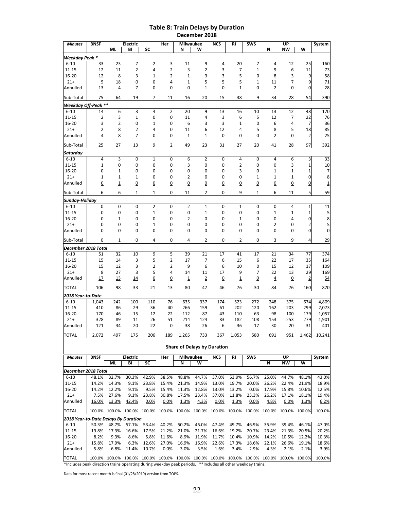### **Table 8: Train Delays by Duration December 2018**

| <b>Minutes</b>                                                                                              | <b>BNSF</b>             |                                                                                            | <b>Electric</b> |                     | Her                 | Milwaukee            |                                    | <b>NCS</b>           | RI                           | <b>SWS</b>          |                      | UP                   | $\overline{\mathsf{w}}$ | System          |
|-------------------------------------------------------------------------------------------------------------|-------------------------|--------------------------------------------------------------------------------------------|-----------------|---------------------|---------------------|----------------------|------------------------------------|----------------------|------------------------------|---------------------|----------------------|----------------------|-------------------------|-----------------|
|                                                                                                             |                         | <b>ML</b>                                                                                  | BI              | SC                  |                     | N                    | W                                  |                      |                              |                     | N                    | <b>NW</b>            |                         |                 |
| Weekday Peak *                                                                                              |                         | 23                                                                                         | $\overline{7}$  | 2                   |                     | 11                   | 9                                  | 4                    |                              | 7                   | 4                    | 12                   |                         |                 |
| $6 - 10$<br>$11 - 15$                                                                                       | 33<br>12                | 11                                                                                         | 2               | 4                   | 3<br>2              | 3                    | 2                                  | 3                    | 20<br>7                      | $\mathbf{1}$        | 9                    | 6                    | 25<br>11                | 160<br>73       |
| $16 - 20$                                                                                                   | 12                      | 8                                                                                          | 3               | 1                   | 2                   | $\mathbf{1}$         | 3                                  | 3                    | 5                            | $\mathbf 0$         | 8                    | 3                    | 9                       | 58              |
| $21+$                                                                                                       | 5                       | 18                                                                                         | 0               | 0                   | 4                   | $\mathbf{1}$         | 5                                  | 5                    | 5                            | 1                   | 11                   | 7                    | 9                       | 71              |
| Annulled                                                                                                    | <u>13</u>               | 4                                                                                          | Z               | $\overline{0}$      | <u>0</u>            | 0                    | 1                                  | $\overline{0}$       | $\mathbf 1$                  | $\overline{0}$      | $\overline{2}$       | $\overline{0}$       | $\overline{0}$          | 28              |
| Sub-Total                                                                                                   | 75                      | 64                                                                                         | 19              | 7                   | 11                  | 16                   | 20                                 | 15                   | 38                           | 9                   | 34                   | 28                   | 54                      | 390             |
| Weekday Off-Peak **                                                                                         |                         |                                                                                            |                 |                     |                     |                      |                                    |                      |                              |                     |                      |                      |                         |                 |
| $6 - 10$                                                                                                    | 14                      | 6                                                                                          | 3               | 4                   | 2                   | 20                   | 9                                  | 13                   | 16                           | 10                  | 13                   | 12                   | 48                      | 170             |
| $11 - 15$                                                                                                   | $\overline{\mathbf{c}}$ | 3                                                                                          | $\mathbf 1$     | 0                   | 0                   | 11                   | 4                                  | 3                    | 6                            | 5                   | 12                   | 7                    | 22                      | 76              |
| $16 - 20$                                                                                                   | 3                       | $\overline{2}$                                                                             | $\mathbf 0$     | $\mathbf{1}$        | 0                   | 6                    | 3                                  | 3                    | $\mathbf{1}$                 | $\mathbf 0$         | 6                    | 4                    | $\overline{7}$          | 36              |
| $21+$                                                                                                       | 2                       | 8                                                                                          | 2               | 4                   | 0                   | 11                   | 6                                  | 12                   | 4                            | 5                   | 8                    | 5                    | 18                      | 85              |
| Annulled                                                                                                    | $\overline{4}$          | <u>8</u>                                                                                   | $\overline{z}$  | $\overline{0}$      | <u>0</u>            | $\overline{1}$       | $\overline{\mathbf{1}}$            | $\overline{0}$       | <u>0</u>                     | $\overline{0}$      | $\overline{2}$       | $\overline{0}$       | $\overline{2}$          | 25              |
| Sub-Total                                                                                                   | 25                      | 27                                                                                         | 13              | 9                   | 2                   | 49                   | 23                                 | 31                   | 27                           | 20                  | 41                   | 28                   | 97                      | 392             |
| Saturday                                                                                                    |                         |                                                                                            |                 |                     |                     |                      |                                    |                      |                              |                     |                      |                      |                         |                 |
| $6 - 10$                                                                                                    | 4                       | 3                                                                                          | 0               | $\mathbf{1}$        | 0                   | 6                    | 2                                  | $\mathbf 0$          | 4                            | $\mathbf 0$         | 4                    | 6                    | 3                       | 33              |
| $11 - 15$                                                                                                   | $\mathbf{1}$            | 0                                                                                          | 0               | 0                   | 0                   | 3                    | 0                                  | 0                    | 2                            | $\pmb{0}$           | 0                    | 3                    | 1                       | 10              |
| $16 - 20$<br>$21+$                                                                                          | 0<br>$\mathbf{1}$       | 1<br>1                                                                                     | 0<br>1          | 0<br>0              | 0<br>0              | 0<br>$\overline{2}$  | 0<br>0                             | 0<br>0               | 3<br>0                       | 0<br>1              | 1<br>1               | 1<br>1               | 1<br>0                  | 7<br>$\bf8$     |
| Annulled                                                                                                    | <u>0</u>                | $\overline{\mathbf{1}}$                                                                    | $\overline{0}$  | $\overline{0}$      | <u>0</u>            | $\overline{0}$       | <u>0</u>                           | $\overline{0}$       | $\overline{0}$               | $\overline{0}$      | <u>0</u>             | $\overline{0}$       | $\overline{0}$          | $\mathbf{1}$    |
|                                                                                                             | 6                       | 6                                                                                          | 1               | $\mathbf{1}$        | 0                   | 11                   | 2                                  | 0                    | 9                            | $\mathbf{1}$        | 6                    | 11                   | 5                       | 59              |
| Sub-Total<br>Sunday-Holiday                                                                                 |                         |                                                                                            |                 |                     |                     |                      |                                    |                      |                              |                     |                      |                      |                         |                 |
| $6 - 10$                                                                                                    | 0                       | 0                                                                                          | 0               | 2                   | 0                   | $\overline{2}$       | 1                                  | $\mathbf 0$          | 1                            | $\mathbf 0$         | 0                    | 4                    | $\mathbf{1}$            | 11              |
| $11 - 15$                                                                                                   | 0                       | 0                                                                                          | 0               | $\mathbf{1}$        | 0                   | 0                    | 1                                  | 0                    | 0                            | 0                   | 1                    | 1                    | 1                       | 5               |
| $16 - 20$                                                                                                   | 0                       | $\mathbf{1}$                                                                               | 0               | 0                   | 0                   | $\overline{2}$       | 0                                  | 0                    | $\mathbf{1}$                 | $\mathbf 0$         | 0                    | 4                    | 0                       | 8               |
| $21+$                                                                                                       | 0                       | 0                                                                                          | 0               | $\mathbf{1}$        | 0                   | 0                    | 0                                  | 0                    | 0                            | 0                   | 2                    | 0                    | 2                       | $\mathsf{S}$    |
| Annulled                                                                                                    | $\overline{0}$          | $\overline{0}$                                                                             | $\overline{0}$  | $\overline{0}$      | <u>0</u>            | $\overline{0}$       | $\overline{0}$                     | $\overline{0}$       | $\overline{0}$               | $\overline{0}$      | $\overline{0}$       | $\overline{0}$       | $\overline{0}$          | $\underline{0}$ |
| Sub-Total                                                                                                   | 0                       | 1                                                                                          | 0               | 4                   | 0                   | 4                    | 2                                  | 0                    | 2                            | 0                   | 3                    | 9                    | 4                       | 29              |
| December 2018 Total                                                                                         |                         |                                                                                            |                 |                     |                     |                      |                                    |                      |                              |                     |                      |                      |                         |                 |
| $6 - 10$                                                                                                    | 51                      | 32                                                                                         | 10              | 9                   | 5                   | 39                   | 21                                 | 17                   | 41                           | 17                  | 21                   | 34                   | 77                      | 374             |
| $11 - 15$                                                                                                   | 15                      | 14                                                                                         | 3               | 5                   | 2                   | 17                   | 7                                  | 6                    | 15                           | 6                   | 22                   | 17                   | 35                      | 164             |
| $16 - 20$                                                                                                   | 15                      | 12                                                                                         | 3               | 2                   | 2                   | 9                    | 6                                  | 6                    | 10                           | $\mathbf 0$         | 15                   | 12                   | 17                      | 109             |
| $21+$<br>Annulled                                                                                           | 8<br>17                 | 27<br><u>13</u>                                                                            | 3<br><u>14</u>  | 5<br>$\overline{0}$ | 4<br>$\overline{0}$ | 14<br>$\overline{1}$ | 11<br>$\overline{2}$               | 17<br>$\overline{0}$ | 9<br>$\overline{\mathbf{1}}$ | 7<br>$\overline{0}$ | 22<br>$\overline{4}$ | 13<br>$\overline{0}$ | 29<br>$\overline{2}$    | 169<br>54       |
|                                                                                                             |                         |                                                                                            |                 |                     |                     |                      |                                    |                      |                              |                     |                      |                      |                         |                 |
| <b>TOTAL</b>                                                                                                | 106                     | 98                                                                                         | 33              | 21                  | 13                  | 80                   | 47                                 | 46                   | 76                           | 30                  | 84                   | 76                   | 160                     | 870             |
| 2018 Year-to-Date                                                                                           |                         |                                                                                            |                 |                     |                     |                      |                                    |                      |                              |                     |                      |                      |                         |                 |
| $6 - 10$                                                                                                    | 1,043                   | 242                                                                                        | 100<br>29       | 110                 | 76<br>40            | 635                  | 337                                | 174                  | 523<br>202                   | 272<br>120          | 248                  | 375<br>203           | 674<br>299              | 4,809<br>2,073  |
| $11 - 15$<br>$16 - 20$                                                                                      | 410<br>170              | 86<br>46                                                                                   | 15              | 36<br>12            | 22                  | 266<br>112           | 159<br>87                          | 61<br>43             | 110                          | 63                  | 162<br>98            | 100                  | 179                     | 1,057           |
| $21+$                                                                                                       | 328                     | 89                                                                                         | 11              | 26                  | 51                  | 214                  | 124                                | 83                   | 182                          | 108                 | 153                  | 253                  | 279                     | 1,901           |
| Annulled                                                                                                    | <u>121</u>              | 34                                                                                         | 20              | 22                  | <u>0</u>            | 38                   | 26                                 | 6                    | 36                           | 17                  | 30                   | 20                   | <u>31</u>               | 401             |
| TOTAL                                                                                                       | 2,072                   | 497                                                                                        | 175             | 206                 | 189                 | 1,265                | 733                                | 367                  | 1,053                        | 580                 | 691                  | 951                  | 1,462                   | 10,241          |
|                                                                                                             |                         |                                                                                            |                 |                     |                     |                      |                                    |                      |                              |                     |                      |                      |                         |                 |
|                                                                                                             |                         |                                                                                            |                 |                     |                     |                      | <b>Share of Delays by Duration</b> |                      |                              |                     |                      |                      |                         |                 |
| <b>Minutes</b>                                                                                              | <b>BNSF</b>             |                                                                                            | Electric        |                     | Her                 | Milwaukee            |                                    | NCS                  | RI                           | SWS                 |                      | UP                   |                         | System          |
|                                                                                                             |                         | ML                                                                                         | BI              | SC                  |                     | N                    | w                                  |                      |                              |                     | N                    | NW                   | W                       |                 |
| December 2018 Total                                                                                         |                         |                                                                                            |                 |                     |                     |                      |                                    |                      |                              |                     |                      |                      |                         |                 |
| $6 - 10$                                                                                                    | 48.1%                   | 32.7%                                                                                      | 30.3%           | 42.9%               | 38.5%               | 48.8%                | 44.7%                              | 37.0%                | 53.9%                        | 56.7%               | 25.0%                | 44.7%                | 48.1%                   | 43.0%           |
| 11-15<br>16-20                                                                                              | 14.2%<br>14.2%          | 14.3%<br>12.2%                                                                             | 9.1%<br>9.1%    | 23.8%<br>9.5%       | 15.4%<br>15.4%      | 21.3%<br>11.3%       | 14.9%<br>12.8%                     | 13.0%<br>13.0%       | 19.7%<br>13.2%               | 20.0%<br>0.0%       | 26.2%<br>17.9%       | 22.4%<br>15.8%       | 21.9%<br>10.6%          | 18.9%<br>12.5%  |
| $21+$                                                                                                       | 7.5%                    | 27.6%                                                                                      | 9.1%            | 23.8%               | 30.8%               | 17.5%                | 23.4%                              | 37.0%                | 11.8%                        | 23.3%               | 26.2%                | 17.1%                | 18.1%                   | 19.4%           |
| Annulled                                                                                                    | 16.0%                   | 13.3%                                                                                      | 42.4%           | 0.0%                | 0.0%                | 1.3%                 | 4.3%                               | 0.0%                 | 1.3%                         | 0.0%                | 4.8%                 | 0.0%                 | <u>1.3%</u>             | 6.2%            |
| <b>TOTAL</b>                                                                                                |                         | 100.0% 100.0% 100.0% 100.0%                                                                |                 |                     |                     |                      | 100.0% 100.0% 100.0% 100.0%        |                      | 100.0%                       |                     | 100.0% 100.0%        | 100.0% 100.0%        |                         | 100.0%          |
| 2018 Year-to-Date Delays By Duration                                                                        |                         |                                                                                            |                 |                     |                     |                      |                                    |                      |                              |                     |                      |                      |                         |                 |
| $6 - 10$                                                                                                    | 50.3%                   | 48.7%                                                                                      | 57.1%           | 53.4%               | 40.2%               | 50.2%                | 46.0%                              | 47.4%                | 49.7%                        | 46.9%               | 35.9%                | 39.4%                | 46.1%                   | 47.0%           |
| $11 - 15$                                                                                                   | 19.8%                   | 17.3%                                                                                      | 16.6%           | 17.5%               | 21.2%               | 21.0%                | 21.7%                              | 16.6%                | 19.2%                        | 20.7%               | 23.4%                | 21.3%                | 20.5%                   | 20.2%           |
| 16-20                                                                                                       | 8.2%                    | 9.3%                                                                                       | 8.6%            | 5.8%                | 11.6%               | 8.9%                 | 11.9%                              | 11.7%                | 10.4%                        | 10.9%               | 14.2%                | 10.5%                | 12.2%                   | 10.3%           |
| $21+$                                                                                                       | 15.8%                   | 17.9%                                                                                      | 6.3%            | 12.6%               | 27.0%               | 16.9%                | 16.9%                              | 22.6%                | 17.3%                        | 18.6%               | 22.1%                | 26.6%                | 19.1%                   | 18.6%           |
| Annulled                                                                                                    | 5.8%                    | 6.8%                                                                                       | <u>11.4%</u>    | <u>10.7%</u>        | 0.0%                | 3.0%                 | 3.5%                               | 1.6%                 | 3.4%                         | <u>2.9%</u>         | 4.3%                 | <u>2.1%</u>          | 2.1%                    | 3.9%            |
| TOTAL                                                                                                       |                         | 100.0% 100.0% 100.0% 100.0% 100.0% 100.0% 100.0% 100.0% 100.0% 100.0% 100.0% 100.0% 100.0% |                 |                     |                     |                      |                                    |                      |                              |                     |                      |                      |                         | 100.0%          |
| *Includes peak direction trains operating during weekday peak periods. **Includes all other weekday trains. |                         |                                                                                            |                 |                     |                     |                      |                                    |                      |                              |                     |                      |                      |                         |                 |

Data for most recent month is final (01/28/2019) version from TOPS.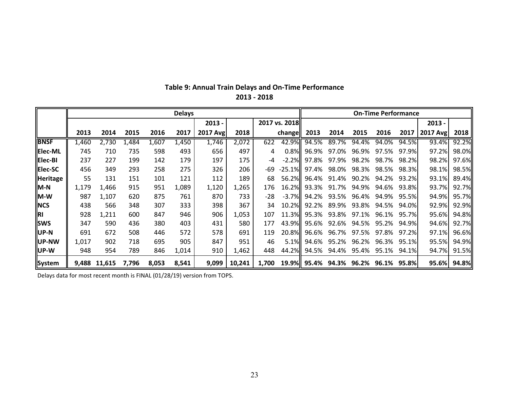|                |       |        |       |       | <b>Delays</b> |          |        |       |               | <b>On-Time Performance</b> |       |             |                   |        |          |       |
|----------------|-------|--------|-------|-------|---------------|----------|--------|-------|---------------|----------------------------|-------|-------------|-------------------|--------|----------|-------|
|                |       |        |       |       |               | $2013 -$ |        |       | 2017 vs. 2018 |                            |       |             |                   |        | 2013 -   |       |
|                | 2013  | 2014   | 2015  | 2016  | 2017          | 2017 Avg | 2018   |       | change        | 2013                       | 2014  | 2015        | 2016              | 2017   | 2017 Avg | 2018  |
| <b>BNSF</b>    | 1,460 | 2,730  | 1,484 | 1,607 | 1,450         | 1,746    | 2,072  | 622   | 42.9%         | 94.5%                      | 89.7% | 94.4%       | 94.0%             | 94.5%  | 93.4%    | 92.2% |
| <b>Elec-ML</b> | 745   | 710    | 735   | 598   | 493           | 656      | 497    | 4     | $0.8\%$       | 96.9%                      | 97.0% | 96.9%       | 97.5%             | 97.9%  | 97.2%    | 98.0% |
| <b>Elec-BI</b> | 237   | 227    | 199   | 142   | 179           | 197      | 175    | $-4$  | $-2.2%$       | 97.8%                      | 97.9% | 98.2%       | 98.7%             | 98.2%l | 98.2%    | 97.6% |
| <b>Elec-SC</b> | 456   | 349    | 293   | 258   | 275           | 326      | 206    | -69   | $-25.1\%$     | 97.4%                      | 98.0% | 98.3%       | 98.5%             | 98.3%  | 98.1%    | 98.5% |
| Heritage       | 55    | 131    | 151   | 101   | 121           | 112      | 189    | 68    | 56.2%         | 96.4%                      | 91.4% | 90.2%       | 94.2%             | 93.2%  | 93.1%    | 89.4% |
| $M-N$          | 1,179 | 1,466  | 915   | 951   | 1,089         | 1,120    | 1,265  | 176   |               | 16.2% 93.3%                | 91.7% | 94.9%       | 94.6%             | 93.8%  | 93.7%    | 92.7% |
| $M-W$          | 987   | 1,107  | 620   | 875   | 761           | 870      | 733    | $-28$ | $-3.7\%$      | 94.2%                      | 93.5% | 96.4%       | 94.9%             | 95.5%  | 94.9%    | 95.7% |
| <b>NCS</b>     | 438   | 566    | 348   | 307   | 333           | 398      | 367    | 34    |               | 10.2% 92.2%                | 89.9% | 93.8%       | 94.5%             | 94.0%  | 92.9%    | 92.9% |
| IRI            | 928   | 1,211  | 600   | 847   | 946           | 906      | 1,053  | 107   |               | 11.3% 95.3%                | 93.8% | 97.1%       | 96.1%             | 95.7%  | 95.6%    | 94.8% |
| <b>SWS</b>     | 347   | 590    | 436   | 380   | 403           | 431      | 580    | 177   |               | 43.9% 95.6%                | 92.6% | 94.5%       | 95.2%             | 94.9%  | 94.6%    | 92.7% |
| <b>IUP-N</b>   | 691   | 672    | 508   | 446   | 572           | 578      | 691    | 119   |               | 20.8% 96.6%                |       | 96.7% 97.5% | 97.8%             | 97.2%  | 97.1%    | 96.6% |
| <b>IUP-NW</b>  | 1,017 | 902    | 718   | 695   | 905           | 847      | 951    | 46    | $5.1\%$       | 94.6%                      | 95.2% | 96.2%       | 96.3%             | 95.1%  | 95.5%    | 94.9% |
| llUP-W         | 948   | 954    | 789   | 846   | 1,014         | 910      | 1,462  | 448   | 44.2%         | 94.5%                      | 94.4% | 95.4%       | 95.1%             | 94.1%  | 94.7%    | 91.5% |
| System         | 9.488 | 11,615 | 7,796 | 8,053 | 8,541         | 9,099    | 10,241 | 1,700 | 19.9%         | 95.4%                      | 94.3% |             | 96.2% 96.1% 95.8% |        | 95.6%    | 94.8% |

## **Table 9: Annual Train Delays and On‐Time Performance 2013 ‐ 2018**

Delays data for most recent month is FINAL (01/28/19) version from TOPS.